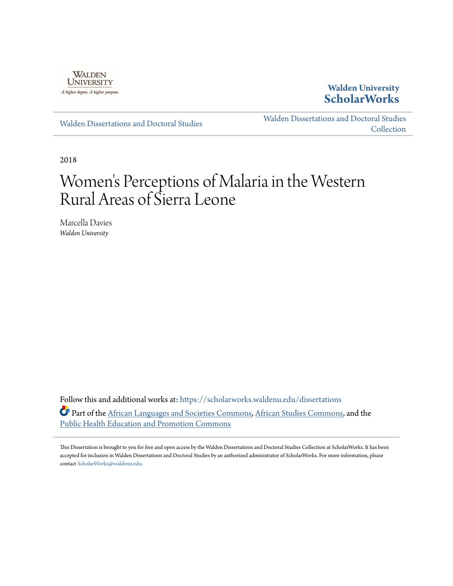

**Walden University [ScholarWorks](https://scholarworks.waldenu.edu?utm_source=scholarworks.waldenu.edu%2Fdissertations%2F5618&utm_medium=PDF&utm_campaign=PDFCoverPages)**

[Walden Dissertations and Doctoral Studies](https://scholarworks.waldenu.edu/dissertations?utm_source=scholarworks.waldenu.edu%2Fdissertations%2F5618&utm_medium=PDF&utm_campaign=PDFCoverPages)

[Walden Dissertations and Doctoral Studies](https://scholarworks.waldenu.edu/dissanddoc?utm_source=scholarworks.waldenu.edu%2Fdissertations%2F5618&utm_medium=PDF&utm_campaign=PDFCoverPages) [Collection](https://scholarworks.waldenu.edu/dissanddoc?utm_source=scholarworks.waldenu.edu%2Fdissertations%2F5618&utm_medium=PDF&utm_campaign=PDFCoverPages)

2018

# Women 's Perceptions of Malaria in the Western Rural Areas of Sierra Leone

Marcella Davies *Walden University*

Follow this and additional works at: [https://scholarworks.waldenu.edu/dissertations](https://scholarworks.waldenu.edu/dissertations?utm_source=scholarworks.waldenu.edu%2Fdissertations%2F5618&utm_medium=PDF&utm_campaign=PDFCoverPages) Part of the [African Languages and Societies Commons](http://network.bepress.com/hgg/discipline/476?utm_source=scholarworks.waldenu.edu%2Fdissertations%2F5618&utm_medium=PDF&utm_campaign=PDFCoverPages), [African Studies Commons,](http://network.bepress.com/hgg/discipline/1043?utm_source=scholarworks.waldenu.edu%2Fdissertations%2F5618&utm_medium=PDF&utm_campaign=PDFCoverPages) and the [Public Health Education and Promotion Commons](http://network.bepress.com/hgg/discipline/743?utm_source=scholarworks.waldenu.edu%2Fdissertations%2F5618&utm_medium=PDF&utm_campaign=PDFCoverPages)

This Dissertation is brought to you for free and open access by the Walden Dissertations and Doctoral Studies Collection at ScholarWorks. It has been accepted for inclusion in Walden Dissertations and Doctoral Studies by an authorized administrator of ScholarWorks. For more information, please contact [ScholarWorks@waldenu.edu](mailto:ScholarWorks@waldenu.edu).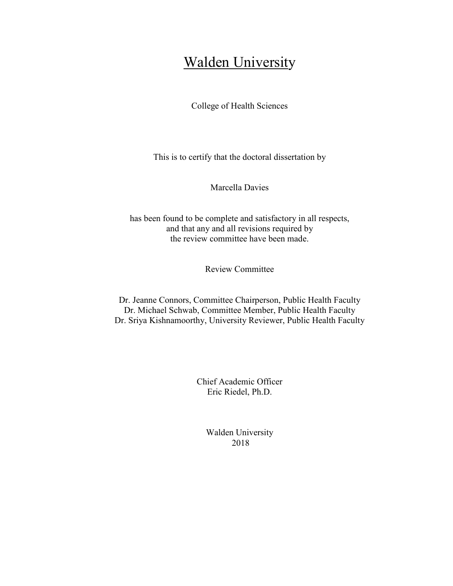# Walden University

College of Health Sciences

This is to certify that the doctoral dissertation by

Marcella Davies

has been found to be complete and satisfactory in all respects, and that any and all revisions required by the review committee have been made.

Review Committee

Dr. Jeanne Connors, Committee Chairperson, Public Health Faculty Dr. Michael Schwab, Committee Member, Public Health Faculty Dr. Sriya Kishnamoorthy, University Reviewer, Public Health Faculty

> Chief Academic Officer Eric Riedel, Ph.D.

> > Walden University 2018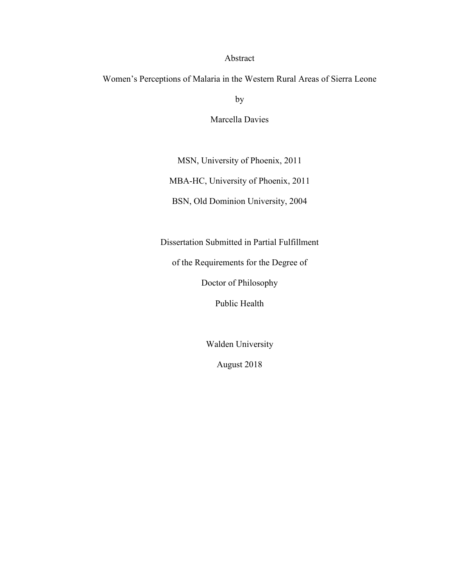# Abstract

Women's Perceptions of Malaria in the Western Rural Areas of Sierra Leone

by

Marcella Davies

MSN, University of Phoenix, 2011

MBA-HC, University of Phoenix, 2011

BSN, Old Dominion University, 2004

Dissertation Submitted in Partial Fulfillment

of the Requirements for the Degree of

Doctor of Philosophy

Public Health

Walden University

August 2018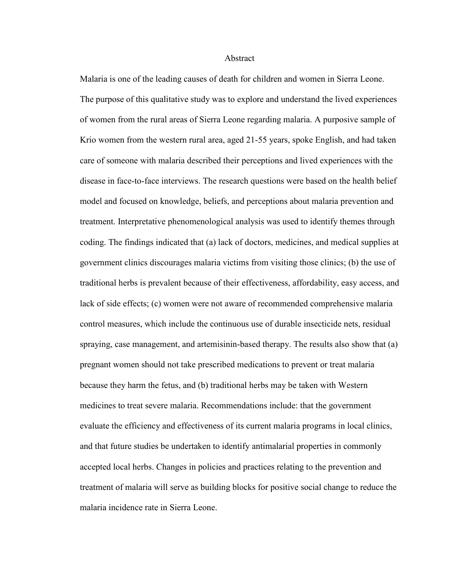#### Abstract

Malaria is one of the leading causes of death for children and women in Sierra Leone. The purpose of this qualitative study was to explore and understand the lived experiences of women from the rural areas of Sierra Leone regarding malaria. A purposive sample of Krio women from the western rural area, aged 21-55 years, spoke English, and had taken care of someone with malaria described their perceptions and lived experiences with the disease in face-to-face interviews. The research questions were based on the health belief model and focused on knowledge, beliefs, and perceptions about malaria prevention and treatment. Interpretative phenomenological analysis was used to identify themes through coding. The findings indicated that (a) lack of doctors, medicines, and medical supplies at government clinics discourages malaria victims from visiting those clinics; (b) the use of traditional herbs is prevalent because of their effectiveness, affordability, easy access, and lack of side effects; (c) women were not aware of recommended comprehensive malaria control measures, which include the continuous use of durable insecticide nets, residual spraying, case management, and artemisinin-based therapy. The results also show that (a) pregnant women should not take prescribed medications to prevent or treat malaria because they harm the fetus, and (b) traditional herbs may be taken with Western medicines to treat severe malaria. Recommendations include: that the government evaluate the efficiency and effectiveness of its current malaria programs in local clinics, and that future studies be undertaken to identify antimalarial properties in commonly accepted local herbs. Changes in policies and practices relating to the prevention and treatment of malaria will serve as building blocks for positive social change to reduce the malaria incidence rate in Sierra Leone.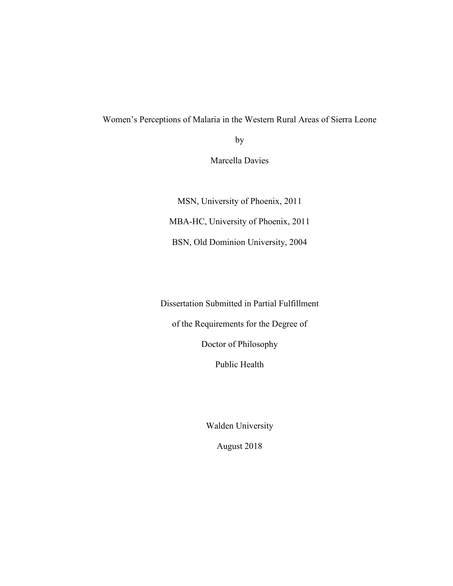# Women's Perceptions of Malaria in the Western Rural Areas of Sierra Leone

by

Marcella Davies

MSN, University of Phoenix, 2011 MBA-HC, University of Phoenix, 2011 BSN, Old Dominion University, 2004

Dissertation Submitted in Partial Fulfillment

of the Requirements for the Degree of

Doctor of Philosophy

Public Health

Walden University

August 2018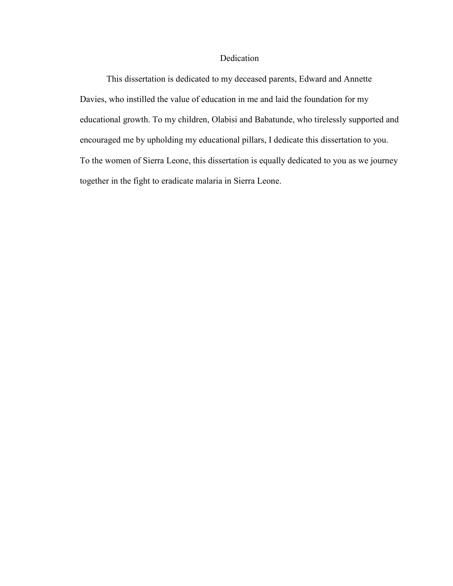# Dedication

This dissertation is dedicated to my deceased parents, Edward and Annette Davies, who instilled the value of education in me and laid the foundation for my educational growth. To my children, Olabisi and Babatunde, who tirelessly supported and encouraged me by upholding my educational pillars, I dedicate this dissertation to you. To the women of Sierra Leone, this dissertation is equally dedicated to you as we journey together in the fight to eradicate malaria in Sierra Leone.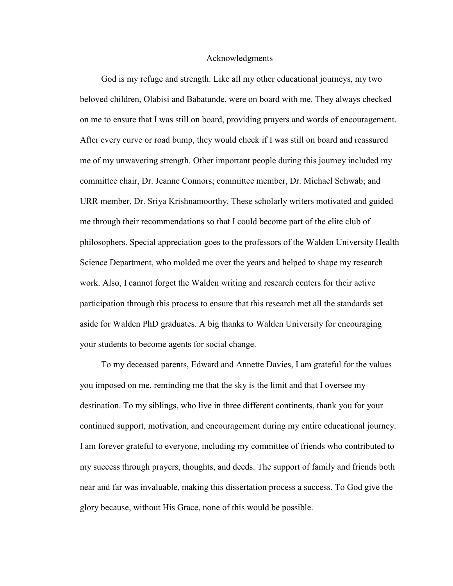#### Acknowledgments

God is my refuge and strength. Like all my other educational journeys, my two beloved children, Olabisi and Babatunde, were on board with me. They always checked on me to ensure that I was still on board, providing prayers and words of encouragement. After every curve or road bump, they would check if I was still on board and reassured me of my unwavering strength. Other important people during this journey included my committee chair, Dr. Jeanne Connors; committee member, Dr. Michael Schwab; and URR member, Dr. Sriya Krishnamoorthy. These scholarly writers motivated and guided me through their recommendations so that I could become part of the elite club of philosophers. Special appreciation goes to the professors of the Walden University Health Science Department, who molded me over the years and helped to shape my research work. Also, I cannot forget the Walden writing and research centers for their active participation through this process to ensure that this research met all the standards set aside for Walden PhD graduates. A big thanks to Walden University for encouraging your students to become agents for social change.

To my deceased parents, Edward and Annette Davies, I am grateful for the values you imposed on me, reminding me that the sky is the limit and that I oversee my destination. To my siblings, who live in three different continents, thank you for your continued support, motivation, and encouragement during my entire educational journey. I am forever grateful to everyone, including my committee of friends who contributed to my success through prayers, thoughts, and deeds. The support of family and friends both near and far was invaluable, making this dissertation process a success. To God give the glory because, without His Grace, none of this would be possible.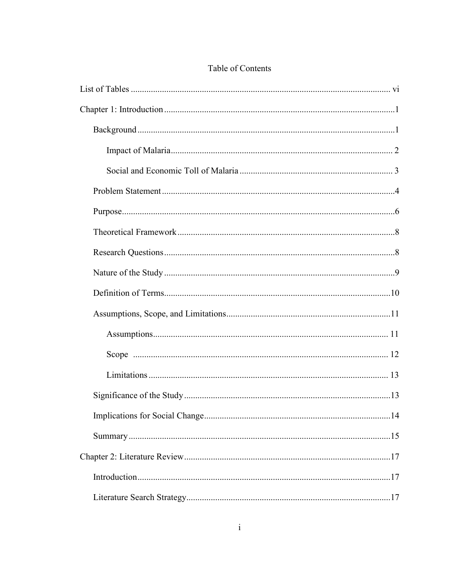# Table of Contents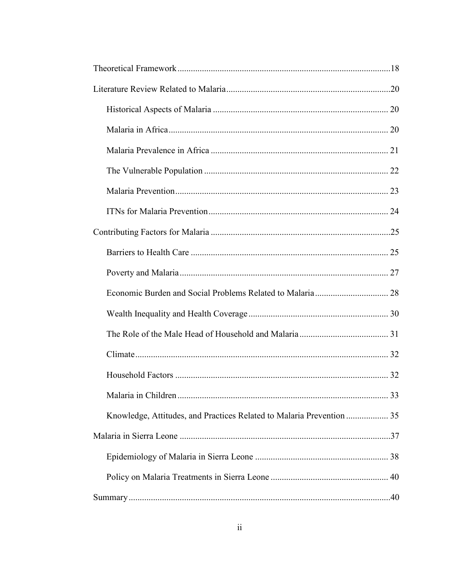| Knowledge, Attitudes, and Practices Related to Malaria Prevention  35 |  |
|-----------------------------------------------------------------------|--|
|                                                                       |  |
|                                                                       |  |
|                                                                       |  |
|                                                                       |  |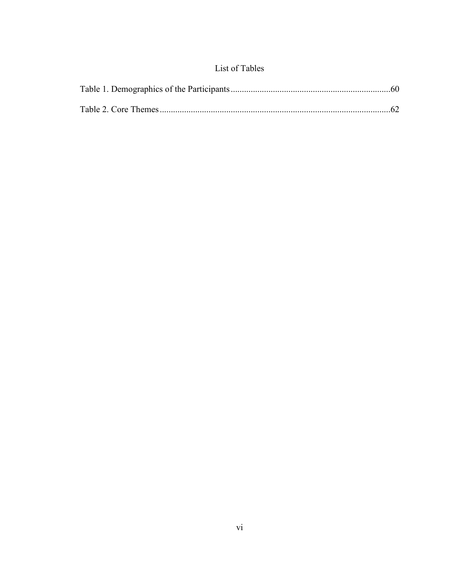# List of Tables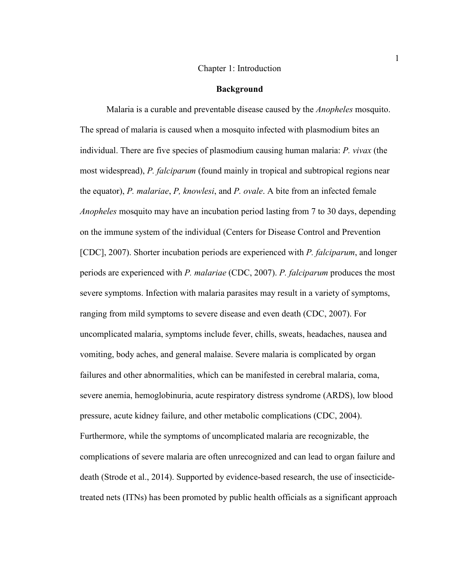#### Chapter 1: Introduction

#### **Background**

Malaria is a curable and preventable disease caused by the *Anopheles* mosquito. The spread of malaria is caused when a mosquito infected with plasmodium bites an individual. There are five species of plasmodium causing human malaria: *P. vivax* (the most widespread), *P. falciparum* (found mainly in tropical and subtropical regions near the equator), *P. malariae*, *P, knowlesi*, and *P. ovale*. A bite from an infected female *Anopheles* mosquito may have an incubation period lasting from 7 to 30 days, depending on the immune system of the individual (Centers for Disease Control and Prevention [CDC], 2007). Shorter incubation periods are experienced with *P. falciparum*, and longer periods are experienced with *P. malariae* (CDC, 2007). *P. falciparum* produces the most severe symptoms. Infection with malaria parasites may result in a variety of symptoms, ranging from mild symptoms to severe disease and even death (CDC, 2007). For uncomplicated malaria, symptoms include fever, chills, sweats, headaches, nausea and vomiting, body aches, and general malaise. Severe malaria is complicated by organ failures and other abnormalities, which can be manifested in cerebral malaria, coma, severe anemia, hemoglobinuria, acute respiratory distress syndrome (ARDS), low blood pressure, acute kidney failure, and other metabolic complications (CDC, 2004). Furthermore, while the symptoms of uncomplicated malaria are recognizable, the complications of severe malaria are often unrecognized and can lead to organ failure and death (Strode et al., 2014). Supported by evidence-based research, the use of insecticidetreated nets (ITNs) has been promoted by public health officials as a significant approach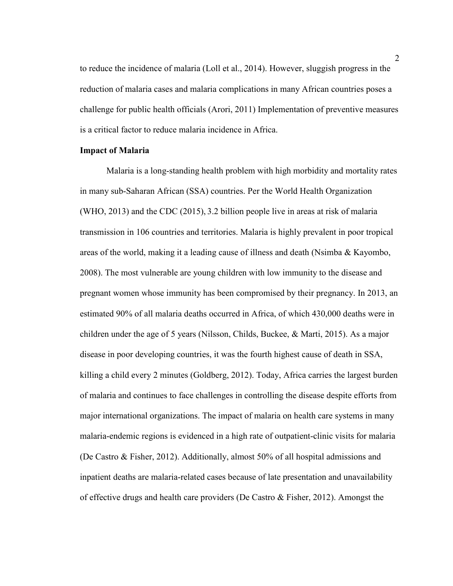to reduce the incidence of malaria (Loll et al., 2014). However, sluggish progress in the reduction of malaria cases and malaria complications in many African countries poses a challenge for public health officials (Arori, 2011) Implementation of preventive measures is a critical factor to reduce malaria incidence in Africa.

## **Impact of Malaria**

Malaria is a long-standing health problem with high morbidity and mortality rates in many sub-Saharan African (SSA) countries. Per the World Health Organization (WHO, 2013) and the CDC (2015), 3.2 billion people live in areas at risk of malaria transmission in 106 countries and territories. Malaria is highly prevalent in poor tropical areas of the world, making it a leading cause of illness and death (Nsimba & Kayombo, 2008). The most vulnerable are young children with low immunity to the disease and pregnant women whose immunity has been compromised by their pregnancy. In 2013, an estimated 90% of all malaria deaths occurred in Africa, of which 430,000 deaths were in children under the age of 5 years (Nilsson, Childs, Buckee, & Marti, 2015). As a major disease in poor developing countries, it was the fourth highest cause of death in SSA, killing a child every 2 minutes (Goldberg, 2012). Today, Africa carries the largest burden of malaria and continues to face challenges in controlling the disease despite efforts from major international organizations. The impact of malaria on health care systems in many malaria-endemic regions is evidenced in a high rate of outpatient-clinic visits for malaria (De Castro & Fisher, 2012). Additionally, almost 50% of all hospital admissions and inpatient deaths are malaria-related cases because of late presentation and unavailability of effective drugs and health care providers (De Castro & Fisher, 2012). Amongst the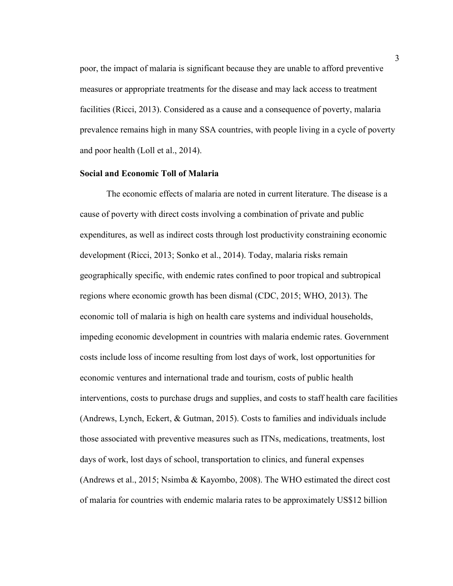poor, the impact of malaria is significant because they are unable to afford preventive measures or appropriate treatments for the disease and may lack access to treatment facilities (Ricci, 2013). Considered as a cause and a consequence of poverty, malaria prevalence remains high in many SSA countries, with people living in a cycle of poverty and poor health (Loll et al., 2014).

#### **Social and Economic Toll of Malaria**

The economic effects of malaria are noted in current literature. The disease is a cause of poverty with direct costs involving a combination of private and public expenditures, as well as indirect costs through lost productivity constraining economic development (Ricci, 2013; Sonko et al., 2014). Today, malaria risks remain geographically specific, with endemic rates confined to poor tropical and subtropical regions where economic growth has been dismal (CDC, 2015; WHO, 2013). The economic toll of malaria is high on health care systems and individual households, impeding economic development in countries with malaria endemic rates. Government costs include loss of income resulting from lost days of work, lost opportunities for economic ventures and international trade and tourism, costs of public health interventions, costs to purchase drugs and supplies, and costs to staff health care facilities (Andrews, Lynch, Eckert, & Gutman, 2015). Costs to families and individuals include those associated with preventive measures such as ITNs, medications, treatments, lost days of work, lost days of school, transportation to clinics, and funeral expenses (Andrews et al., 2015; Nsimba & Kayombo, 2008). The WHO estimated the direct cost of malaria for countries with endemic malaria rates to be approximately US\$12 billion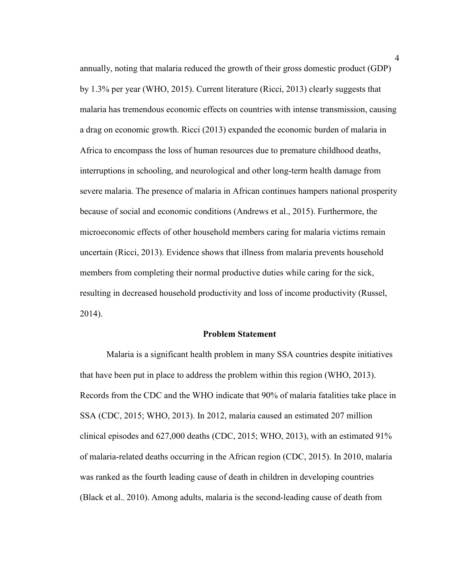annually, noting that malaria reduced the growth of their gross domestic product (GDP) by 1.3% per year (WHO, 2015). Current literature (Ricci, 2013) clearly suggests that malaria has tremendous economic effects on countries with intense transmission, causing a drag on economic growth. Ricci (2013) expanded the economic burden of malaria in Africa to encompass the loss of human resources due to premature childhood deaths, interruptions in schooling, and neurological and other long-term health damage from severe malaria. The presence of malaria in African continues hampers national prosperity because of social and economic conditions (Andrews et al., 2015). Furthermore, the microeconomic effects of other household members caring for malaria victims remain uncertain (Ricci, 2013). Evidence shows that illness from malaria prevents household members from completing their normal productive duties while caring for the sick, resulting in decreased household productivity and loss of income productivity (Russel, 2014).

## **Problem Statement**

Malaria is a significant health problem in many SSA countries despite initiatives that have been put in place to address the problem within this region (WHO, 2013). Records from the CDC and the WHO indicate that 90% of malaria fatalities take place in SSA (CDC, 2015; WHO, 2013). In 2012, malaria caused an estimated 207 million clinical episodes and 627,000 deaths (CDC, 2015; WHO, 2013), with an estimated 91% of malaria-related deaths occurring in the African region (CDC, 2015). In 2010, malaria was ranked as the fourth leading cause of death in children in developing countries (Black et al., 2010). Among adults, malaria is the second-leading cause of death from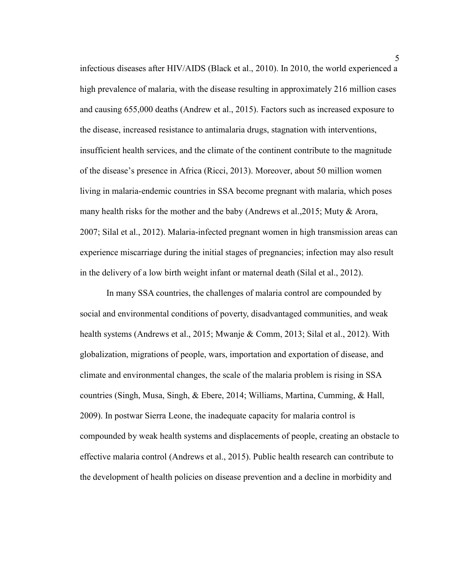infectious diseases after HIV/AIDS (Black et al., 2010). In 2010, the world experienced a high prevalence of malaria, with the disease resulting in approximately 216 million cases and causing 655,000 deaths (Andrew et al., 2015). Factors such as increased exposure to the disease, increased resistance to antimalaria drugs, stagnation with interventions, insufficient health services, and the climate of the continent contribute to the magnitude of the disease's presence in Africa (Ricci, 2013). Moreover, about 50 million women living in malaria-endemic countries in SSA become pregnant with malaria, which poses many health risks for the mother and the baby (Andrews et al.,2015; Muty & Arora, 2007; Silal et al., 2012). Malaria-infected pregnant women in high transmission areas can experience miscarriage during the initial stages of pregnancies; infection may also result in the delivery of a low birth weight infant or maternal death (Silal et al., 2012).

In many SSA countries, the challenges of malaria control are compounded by social and environmental conditions of poverty, disadvantaged communities, and weak health systems (Andrews et al., 2015; Mwanje & Comm, 2013; Silal et al., 2012). With globalization, migrations of people, wars, importation and exportation of disease, and climate and environmental changes, the scale of the malaria problem is rising in SSA countries (Singh, Musa, Singh, & Ebere, 2014; Williams, Martina, Cumming, & Hall, 2009). In postwar Sierra Leone, the inadequate capacity for malaria control is compounded by weak health systems and displacements of people, creating an obstacle to effective malaria control (Andrews et al., 2015). Public health research can contribute to the development of health policies on disease prevention and a decline in morbidity and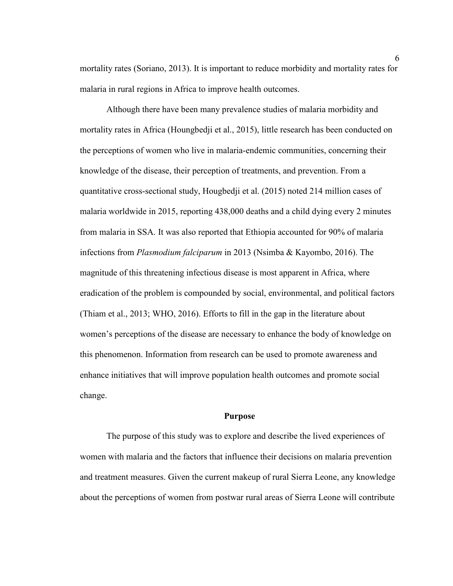mortality rates (Soriano, 2013). It is important to reduce morbidity and mortality rates for malaria in rural regions in Africa to improve health outcomes.

Although there have been many prevalence studies of malaria morbidity and mortality rates in Africa (Houngbedji et al., 2015), little research has been conducted on the perceptions of women who live in malaria-endemic communities, concerning their knowledge of the disease, their perception of treatments, and prevention. From a quantitative cross-sectional study, Hougbedji et al. (2015) noted 214 million cases of malaria worldwide in 2015, reporting 438,000 deaths and a child dying every 2 minutes from malaria in SSA. It was also reported that Ethiopia accounted for 90% of malaria infections from *Plasmodium falciparum* in 2013 (Nsimba & Kayombo, 2016). The magnitude of this threatening infectious disease is most apparent in Africa, where eradication of the problem is compounded by social, environmental, and political factors (Thiam et al., 2013; WHO, 2016). Efforts to fill in the gap in the literature about women's perceptions of the disease are necessary to enhance the body of knowledge on this phenomenon. Information from research can be used to promote awareness and enhance initiatives that will improve population health outcomes and promote social change.

#### **Purpose**

The purpose of this study was to explore and describe the lived experiences of women with malaria and the factors that influence their decisions on malaria prevention and treatment measures. Given the current makeup of rural Sierra Leone, any knowledge about the perceptions of women from postwar rural areas of Sierra Leone will contribute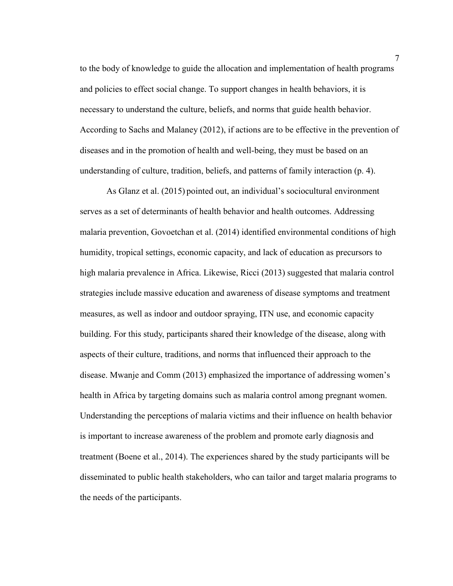to the body of knowledge to guide the allocation and implementation of health programs and policies to effect social change. To support changes in health behaviors, it is necessary to understand the culture, beliefs, and norms that guide health behavior. According to Sachs and Malaney (2012), if actions are to be effective in the prevention of diseases and in the promotion of health and well-being, they must be based on an understanding of culture, tradition, beliefs, and patterns of family interaction (p. 4).

As Glanz et al. (2015) pointed out, an individual's sociocultural environment serves as a set of determinants of health behavior and health outcomes. Addressing malaria prevention, Govoetchan et al. (2014) identified environmental conditions of high humidity, tropical settings, economic capacity, and lack of education as precursors to high malaria prevalence in Africa. Likewise, Ricci (2013) suggested that malaria control strategies include massive education and awareness of disease symptoms and treatment measures, as well as indoor and outdoor spraying, ITN use, and economic capacity building. For this study, participants shared their knowledge of the disease, along with aspects of their culture, traditions, and norms that influenced their approach to the disease. Mwanje and Comm (2013) emphasized the importance of addressing women's health in Africa by targeting domains such as malaria control among pregnant women. Understanding the perceptions of malaria victims and their influence on health behavior is important to increase awareness of the problem and promote early diagnosis and treatment (Boene et al., 2014). The experiences shared by the study participants will be disseminated to public health stakeholders, who can tailor and target malaria programs to the needs of the participants.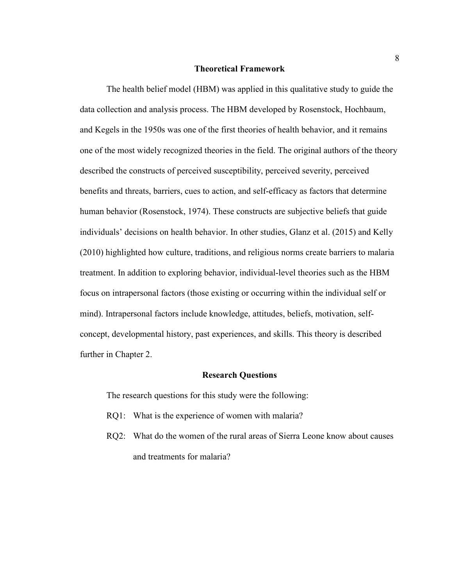#### **Theoretical Framework**

The health belief model (HBM) was applied in this qualitative study to guide the data collection and analysis process. The HBM developed by Rosenstock, Hochbaum, and Kegels in the 1950s was one of the first theories of health behavior, and it remains one of the most widely recognized theories in the field. The original authors of the theory described the constructs of perceived susceptibility, perceived severity, perceived benefits and threats, barriers, cues to action, and self-efficacy as factors that determine human behavior (Rosenstock, 1974). These constructs are subjective beliefs that guide individuals' decisions on health behavior. In other studies, Glanz et al. (2015) and Kelly (2010) highlighted how culture, traditions, and religious norms create barriers to malaria treatment. In addition to exploring behavior, individual-level theories such as the HBM focus on intrapersonal factors (those existing or occurring within the individual self or mind). Intrapersonal factors include knowledge, attitudes, beliefs, motivation, selfconcept, developmental history, past experiences, and skills. This theory is described further in Chapter 2.

#### **Research Questions**

The research questions for this study were the following:

- RQ1: What is the experience of women with malaria?
- RQ2: What do the women of the rural areas of Sierra Leone know about causes and treatments for malaria?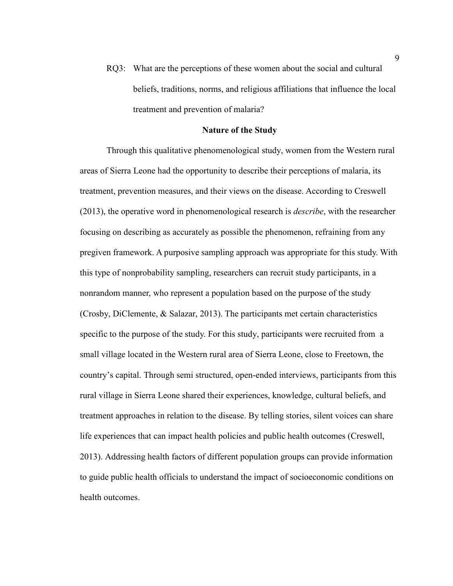RQ3: What are the perceptions of these women about the social and cultural beliefs, traditions, norms, and religious affiliations that influence the local treatment and prevention of malaria?

# **Nature of the Study**

Through this qualitative phenomenological study, women from the Western rural areas of Sierra Leone had the opportunity to describe their perceptions of malaria, its treatment, prevention measures, and their views on the disease. According to Creswell (2013), the operative word in phenomenological research is *describe*, with the researcher focusing on describing as accurately as possible the phenomenon, refraining from any pregiven framework. A purposive sampling approach was appropriate for this study. With this type of nonprobability sampling, researchers can recruit study participants, in a nonrandom manner, who represent a population based on the purpose of the study (Crosby, DiClemente, & Salazar, 2013). The participants met certain characteristics specific to the purpose of the study. For this study, participants were recruited from a small village located in the Western rural area of Sierra Leone, close to Freetown, the country's capital. Through semi structured, open-ended interviews, participants from this rural village in Sierra Leone shared their experiences, knowledge, cultural beliefs, and treatment approaches in relation to the disease. By telling stories, silent voices can share life experiences that can impact health policies and public health outcomes (Creswell, 2013). Addressing health factors of different population groups can provide information to guide public health officials to understand the impact of socioeconomic conditions on health outcomes.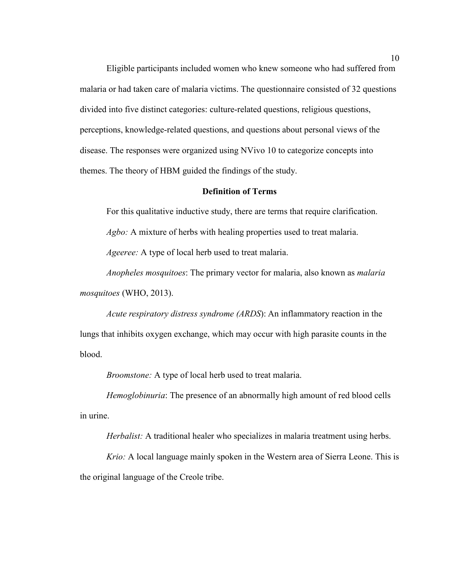Eligible participants included women who knew someone who had suffered from malaria or had taken care of malaria victims. The questionnaire consisted of 32 questions divided into five distinct categories: culture-related questions, religious questions, perceptions, knowledge-related questions, and questions about personal views of the disease. The responses were organized using NVivo 10 to categorize concepts into themes. The theory of HBM guided the findings of the study.

# **Definition of Terms**

For this qualitative inductive study, there are terms that require clarification. *Agbo:* A mixture of herbs with healing properties used to treat malaria. *Ageeree:* A type of local herb used to treat malaria.

*Anopheles mosquitoes*: The primary vector for malaria, also known as *malaria mosquitoes* (WHO, 2013).

*Acute respiratory distress syndrome (ARDS*): An inflammatory reaction in the lungs that inhibits oxygen exchange, which may occur with high parasite counts in the blood.

*Broomstone:* A type of local herb used to treat malaria.

*Hemoglobinuria*: The presence of an abnormally high amount of red blood cells in urine.

*Herbalist:* A traditional healer who specializes in malaria treatment using herbs.

*Krio:* A local language mainly spoken in the Western area of Sierra Leone. This is the original language of the Creole tribe.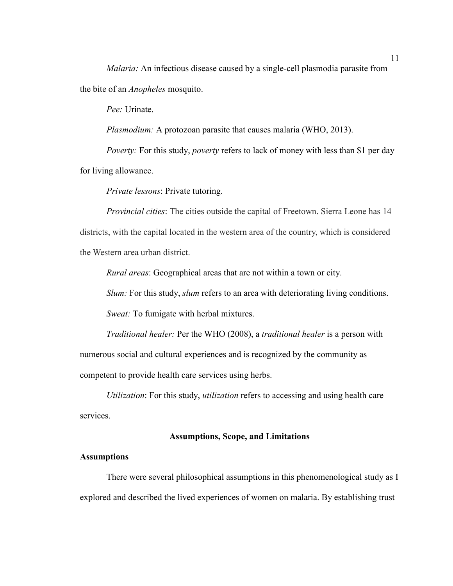*Malaria:* An infectious disease caused by a single-cell plasmodia parasite from the bite of an *Anopheles* mosquito.

*Pee:* Urinate.

*Plasmodium:* A protozoan parasite that causes malaria (WHO, 2013).

*Poverty:* For this study, *poverty* refers to lack of money with less than \$1 per day for living allowance.

*Private lessons*: Private tutoring.

*Provincial cities*: The cities outside the capital of Freetown. Sierra Leone has 14 districts, with the capital located in the western area of the country, which is considered the Western area urban district.

*Rural areas*: Geographical areas that are not within a town or city.

*Slum:* For this study, *slum* refers to an area with deteriorating living conditions.

*Sweat:* To fumigate with herbal mixtures.

*Traditional healer:* Per the WHO (2008), a *traditional healer* is a person with numerous social and cultural experiences and is recognized by the community as competent to provide health care services using herbs.

*Utilization*: For this study, *utilization* refers to accessing and using health care services.

#### **Assumptions, Scope, and Limitations**

# **Assumptions**

There were several philosophical assumptions in this phenomenological study as I explored and described the lived experiences of women on malaria. By establishing trust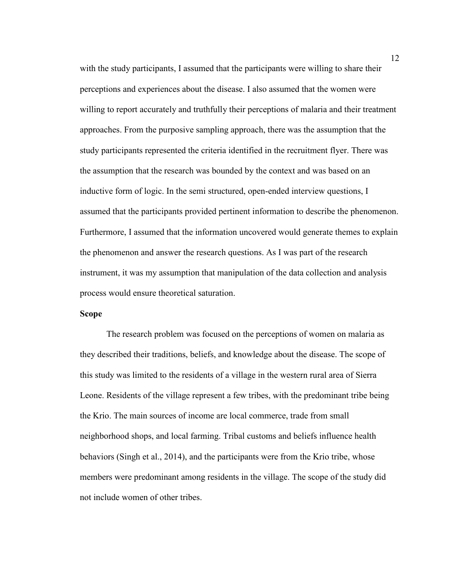with the study participants, I assumed that the participants were willing to share their perceptions and experiences about the disease. I also assumed that the women were willing to report accurately and truthfully their perceptions of malaria and their treatment approaches. From the purposive sampling approach, there was the assumption that the study participants represented the criteria identified in the recruitment flyer. There was the assumption that the research was bounded by the context and was based on an inductive form of logic. In the semi structured, open-ended interview questions, I assumed that the participants provided pertinent information to describe the phenomenon. Furthermore, I assumed that the information uncovered would generate themes to explain the phenomenon and answer the research questions. As I was part of the research instrument, it was my assumption that manipulation of the data collection and analysis process would ensure theoretical saturation.

## **Scope**

The research problem was focused on the perceptions of women on malaria as they described their traditions, beliefs, and knowledge about the disease. The scope of this study was limited to the residents of a village in the western rural area of Sierra Leone. Residents of the village represent a few tribes, with the predominant tribe being the Krio. The main sources of income are local commerce, trade from small neighborhood shops, and local farming. Tribal customs and beliefs influence health behaviors (Singh et al., 2014), and the participants were from the Krio tribe, whose members were predominant among residents in the village. The scope of the study did not include women of other tribes.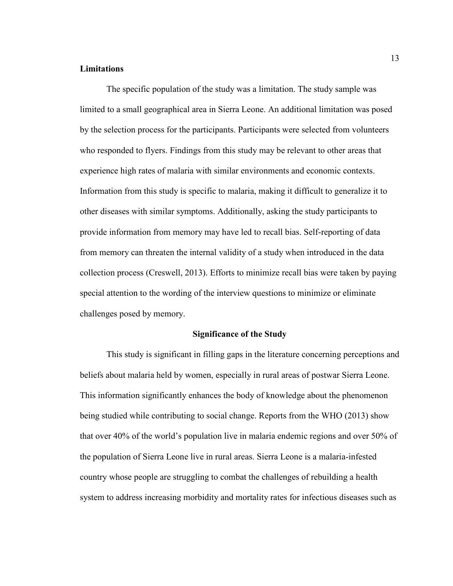## **Limitations**

The specific population of the study was a limitation. The study sample was limited to a small geographical area in Sierra Leone. An additional limitation was posed by the selection process for the participants. Participants were selected from volunteers who responded to flyers. Findings from this study may be relevant to other areas that experience high rates of malaria with similar environments and economic contexts. Information from this study is specific to malaria, making it difficult to generalize it to other diseases with similar symptoms. Additionally, asking the study participants to provide information from memory may have led to recall bias. Self-reporting of data from memory can threaten the internal validity of a study when introduced in the data collection process (Creswell, 2013). Efforts to minimize recall bias were taken by paying special attention to the wording of the interview questions to minimize or eliminate challenges posed by memory.

# **Significance of the Study**

This study is significant in filling gaps in the literature concerning perceptions and beliefs about malaria held by women, especially in rural areas of postwar Sierra Leone. This information significantly enhances the body of knowledge about the phenomenon being studied while contributing to social change. Reports from the WHO (2013) show that over 40% of the world's population live in malaria endemic regions and over 50% of the population of Sierra Leone live in rural areas. Sierra Leone is a malaria-infested country whose people are struggling to combat the challenges of rebuilding a health system to address increasing morbidity and mortality rates for infectious diseases such as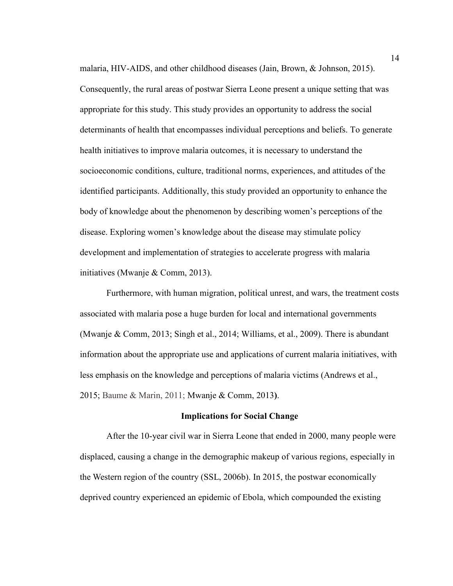malaria, HIV-AIDS, and other childhood diseases (Jain, Brown, & Johnson, 2015). Consequently, the rural areas of postwar Sierra Leone present a unique setting that was appropriate for this study. This study provides an opportunity to address the social determinants of health that encompasses individual perceptions and beliefs. To generate health initiatives to improve malaria outcomes, it is necessary to understand the socioeconomic conditions, culture, traditional norms, experiences, and attitudes of the identified participants. Additionally, this study provided an opportunity to enhance the body of knowledge about the phenomenon by describing women's perceptions of the disease. Exploring women's knowledge about the disease may stimulate policy development and implementation of strategies to accelerate progress with malaria initiatives (Mwanje & Comm, 2013).

Furthermore, with human migration, political unrest, and wars, the treatment costs associated with malaria pose a huge burden for local and international governments (Mwanje & Comm, 2013; Singh et al., 2014; Williams, et al., 2009). There is abundant information about the appropriate use and applications of current malaria initiatives, with less emphasis on the knowledge and perceptions of malaria victims (Andrews et al., 2015; Baume & Marin, 2011; Mwanje & Comm, 2013**)**.

#### **Implications for Social Change**

After the 10-year civil war in Sierra Leone that ended in 2000, many people were displaced, causing a change in the demographic makeup of various regions, especially in the Western region of the country (SSL, 2006b). In 2015, the postwar economically deprived country experienced an epidemic of Ebola, which compounded the existing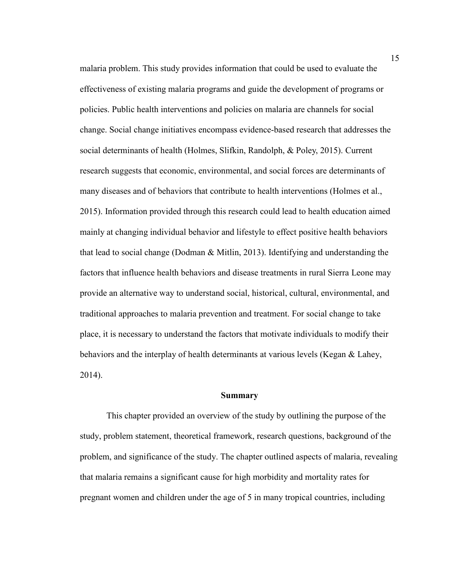malaria problem. This study provides information that could be used to evaluate the effectiveness of existing malaria programs and guide the development of programs or policies. Public health interventions and policies on malaria are channels for social change. Social change initiatives encompass evidence-based research that addresses the social determinants of health (Holmes, Slifkin, Randolph, & Poley, 2015). Current research suggests that economic, environmental, and social forces are determinants of many diseases and of behaviors that contribute to health interventions (Holmes et al., 2015). Information provided through this research could lead to health education aimed mainly at changing individual behavior and lifestyle to effect positive health behaviors that lead to social change (Dodman & Mitlin, 2013). Identifying and understanding the factors that influence health behaviors and disease treatments in rural Sierra Leone may provide an alternative way to understand social, historical, cultural, environmental, and traditional approaches to malaria prevention and treatment. For social change to take place, it is necessary to understand the factors that motivate individuals to modify their behaviors and the interplay of health determinants at various levels (Kegan & Lahey, 2014).

#### **Summary**

This chapter provided an overview of the study by outlining the purpose of the study, problem statement, theoretical framework, research questions, background of the problem, and significance of the study. The chapter outlined aspects of malaria, revealing that malaria remains a significant cause for high morbidity and mortality rates for pregnant women and children under the age of 5 in many tropical countries, including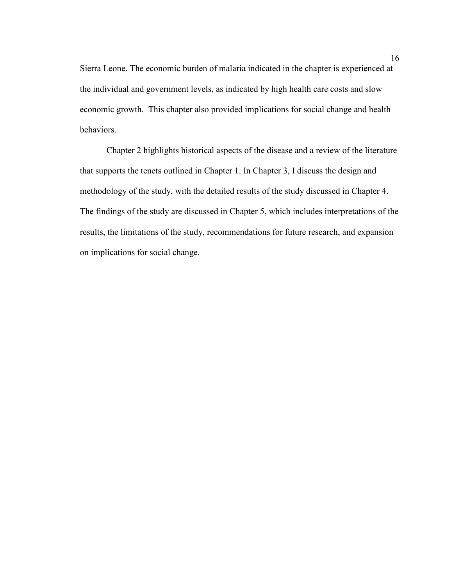Sierra Leone. The economic burden of malaria indicated in the chapter is experienced at the individual and government levels, as indicated by high health care costs and slow economic growth. This chapter also provided implications for social change and health behaviors.

Chapter 2 highlights historical aspects of the disease and a review of the literature that supports the tenets outlined in Chapter 1. In Chapter 3, I discuss the design and methodology of the study, with the detailed results of the study discussed in Chapter 4. The findings of the study are discussed in Chapter 5, which includes interpretations of the results, the limitations of the study, recommendations for future research, and expansion on implications for social change.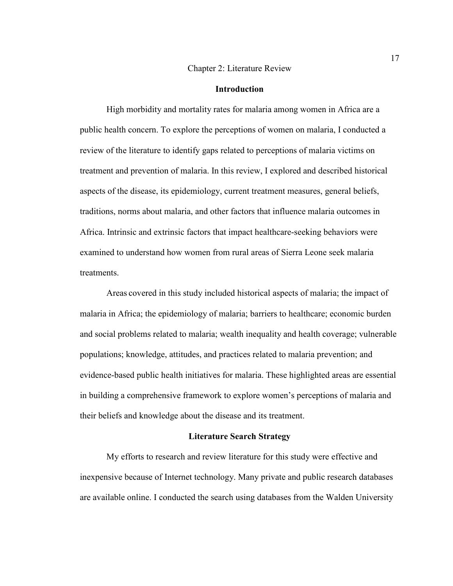#### Chapter 2: Literature Review

#### **Introduction**

High morbidity and mortality rates for malaria among women in Africa are a public health concern. To explore the perceptions of women on malaria, I conducted a review of the literature to identify gaps related to perceptions of malaria victims on treatment and prevention of malaria. In this review, I explored and described historical aspects of the disease, its epidemiology, current treatment measures, general beliefs, traditions, norms about malaria, and other factors that influence malaria outcomes in Africa. Intrinsic and extrinsic factors that impact healthcare-seeking behaviors were examined to understand how women from rural areas of Sierra Leone seek malaria treatments.

 Areas covered in this study included historical aspects of malaria; the impact of malaria in Africa; the epidemiology of malaria; barriers to healthcare; economic burden and social problems related to malaria; wealth inequality and health coverage; vulnerable populations; knowledge, attitudes, and practices related to malaria prevention; and evidence-based public health initiatives for malaria. These highlighted areas are essential in building a comprehensive framework to explore women's perceptions of malaria and their beliefs and knowledge about the disease and its treatment.

#### **Literature Search Strategy**

My efforts to research and review literature for this study were effective and inexpensive because of Internet technology. Many private and public research databases are available online. I conducted the search using databases from the Walden University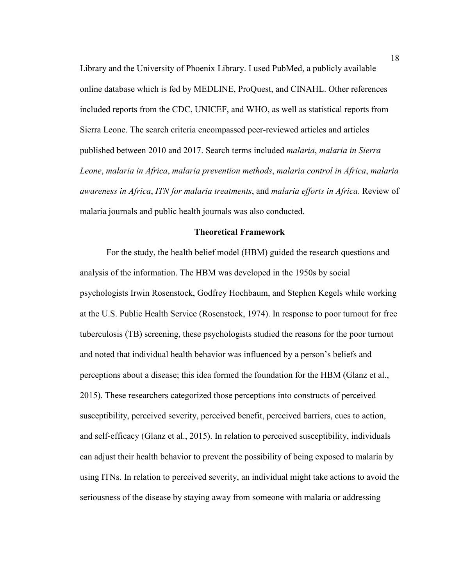Library and the University of Phoenix Library. I used PubMed, a publicly available online database which is fed by MEDLINE, ProQuest, and CINAHL. Other references included reports from the CDC, UNICEF, and WHO, as well as statistical reports from Sierra Leone. The search criteria encompassed peer-reviewed articles and articles published between 2010 and 2017. Search terms included *malaria*, *malaria in Sierra Leone*, *malaria in Africa*, *malaria prevention methods*, *malaria control in Africa*, *malaria awareness in Africa*, *ITN for malaria treatments*, and *malaria efforts in Africa*. Review of malaria journals and public health journals was also conducted.

#### **Theoretical Framework**

For the study, the health belief model (HBM) guided the research questions and analysis of the information. The HBM was developed in the 1950s by social psychologists Irwin Rosenstock, Godfrey Hochbaum, and Stephen Kegels while working at the U.S. Public Health Service (Rosenstock, 1974). In response to poor turnout for free tuberculosis (TB) screening, these psychologists studied the reasons for the poor turnout and noted that individual health behavior was influenced by a person's beliefs and perceptions about a disease; this idea formed the foundation for the HBM (Glanz et al., 2015). These researchers categorized those perceptions into constructs of perceived susceptibility, perceived severity, perceived benefit, perceived barriers, cues to action, and self-efficacy (Glanz et al., 2015). In relation to perceived susceptibility, individuals can adjust their health behavior to prevent the possibility of being exposed to malaria by using ITNs. In relation to perceived severity, an individual might take actions to avoid the seriousness of the disease by staying away from someone with malaria or addressing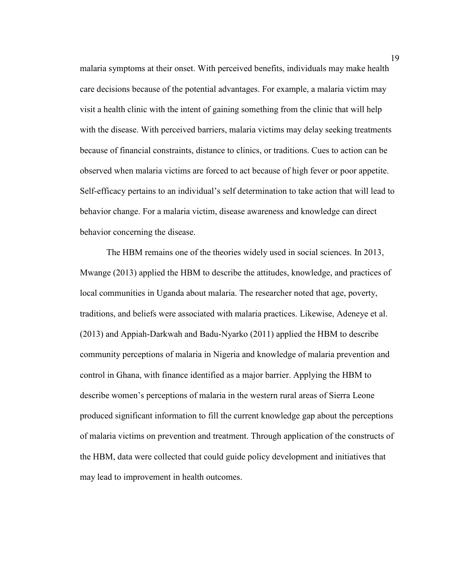malaria symptoms at their onset. With perceived benefits, individuals may make health care decisions because of the potential advantages. For example, a malaria victim may visit a health clinic with the intent of gaining something from the clinic that will help with the disease. With perceived barriers, malaria victims may delay seeking treatments because of financial constraints, distance to clinics, or traditions. Cues to action can be observed when malaria victims are forced to act because of high fever or poor appetite. Self-efficacy pertains to an individual's self determination to take action that will lead to behavior change. For a malaria victim, disease awareness and knowledge can direct behavior concerning the disease.

The HBM remains one of the theories widely used in social sciences. In 2013, Mwange (2013) applied the HBM to describe the attitudes, knowledge, and practices of local communities in Uganda about malaria. The researcher noted that age, poverty, traditions, and beliefs were associated with malaria practices. Likewise, Adeneye et al. (2013) and Appiah-Darkwah and Badu-Nyarko (2011) applied the HBM to describe community perceptions of malaria in Nigeria and knowledge of malaria prevention and control in Ghana, with finance identified as a major barrier. Applying the HBM to describe women's perceptions of malaria in the western rural areas of Sierra Leone produced significant information to fill the current knowledge gap about the perceptions of malaria victims on prevention and treatment. Through application of the constructs of the HBM, data were collected that could guide policy development and initiatives that may lead to improvement in health outcomes.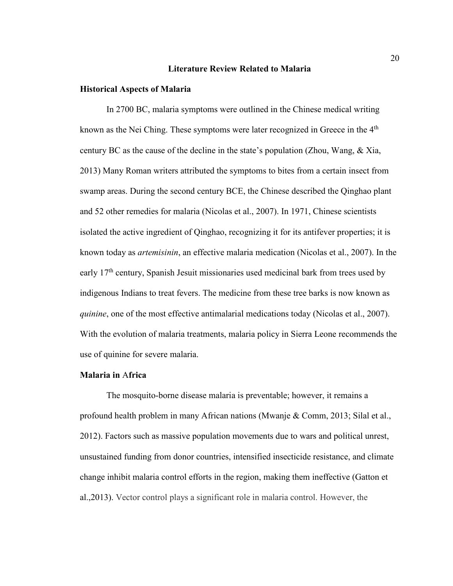#### **Literature Review Related to Malaria**

#### **Historical Aspects of Malaria**

In 2700 BC, malaria symptoms were outlined in the Chinese medical writing known as the Nei Ching. These symptoms were later recognized in Greece in the  $4<sup>th</sup>$ century BC as the cause of the decline in the state's population (Zhou, Wang, & Xia, 2013) Many Roman writers attributed the symptoms to bites from a certain insect from swamp areas. During the second century BCE, the Chinese described the Qinghao plant and 52 other remedies for malaria (Nicolas et al., 2007). In 1971, Chinese scientists isolated the active ingredient of Qinghao, recognizing it for its antifever properties; it is known today as *artemisinin*, an effective malaria medication (Nicolas et al., 2007). In the early 17<sup>th</sup> century, Spanish Jesuit missionaries used medicinal bark from trees used by indigenous Indians to treat fevers. The medicine from these tree barks is now known as *quinine*, one of the most effective antimalarial medications today (Nicolas et al., 2007). With the evolution of malaria treatments, malaria policy in Sierra Leone recommends the use of quinine for severe malaria.

# **Malaria in** A**frica**

The mosquito-borne disease malaria is preventable; however, it remains a profound health problem in many African nations (Mwanje & Comm, 2013; Silal et al., 2012). Factors such as massive population movements due to wars and political unrest, unsustained funding from donor countries, intensified insecticide resistance, and climate change inhibit malaria control efforts in the region, making them ineffective (Gatton et al.,2013). Vector control plays a significant role in malaria control. However, the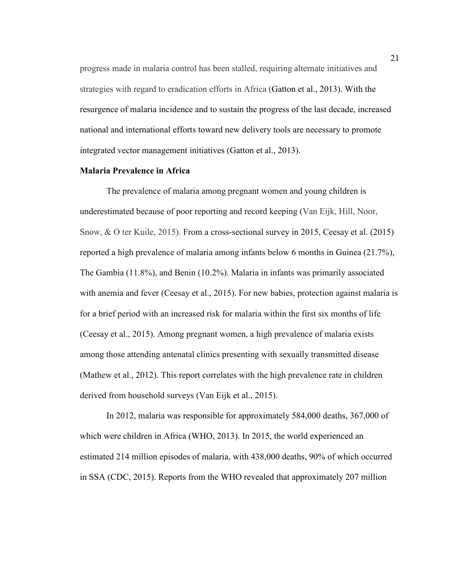progress made in malaria control has been stalled, requiring alternate initiatives and strategies with regard to eradication efforts in Africa (Gatton et al., 2013). With the resurgence of malaria incidence and to sustain the progress of the last decade, increased national and international efforts toward new delivery tools are necessary to promote integrated vector management initiatives (Gatton et al., 2013).

# **Malaria Prevalence in Africa**

The prevalence of malaria among pregnant women and young children is underestimated because of poor reporting and record keeping (Van Eijk, Hill, Noor, Snow, & O ter Kuile, 2015). From a cross-sectional survey in 2015, Ceesay et al. (2015) reported a high prevalence of malaria among infants below 6 months in Guinea (21.7%), The Gambia (11.8%), and Benin (10.2%). Malaria in infants was primarily associated with anemia and fever (Ceesay et al., 2015). For new babies, protection against malaria is for a brief period with an increased risk for malaria within the first six months of life (Ceesay et al., 2015). Among pregnant women, a high prevalence of malaria exists among those attending antenatal clinics presenting with sexually transmitted disease (Mathew et al., 2012). This report correlates with the high prevalence rate in children derived from household surveys (Van Eijk et al., 2015).

In 2012, malaria was responsible for approximately 584,000 deaths, 367,000 of which were children in Africa (WHO, 2013). In 2015, the world experienced an estimated 214 million episodes of malaria, with 438,000 deaths, 90% of which occurred in SSA (CDC, 2015). Reports from the WHO revealed that approximately 207 million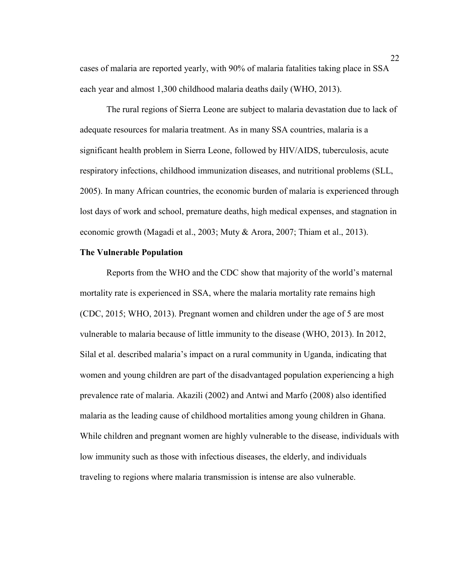cases of malaria are reported yearly, with 90% of malaria fatalities taking place in SSA each year and almost 1,300 childhood malaria deaths daily (WHO, 2013).

The rural regions of Sierra Leone are subject to malaria devastation due to lack of adequate resources for malaria treatment. As in many SSA countries, malaria is a significant health problem in Sierra Leone, followed by HIV/AIDS, tuberculosis, acute respiratory infections, childhood immunization diseases, and nutritional problems (SLL, 2005). In many African countries, the economic burden of malaria is experienced through lost days of work and school, premature deaths, high medical expenses, and stagnation in economic growth (Magadi et al., 2003; Muty & Arora, 2007; Thiam et al., 2013).

### **The Vulnerable Population**

Reports from the WHO and the CDC show that majority of the world's maternal mortality rate is experienced in SSA, where the malaria mortality rate remains high (CDC, 2015; WHO, 2013). Pregnant women and children under the age of 5 are most vulnerable to malaria because of little immunity to the disease (WHO, 2013). In 2012, Silal et al. described malaria's impact on a rural community in Uganda, indicating that women and young children are part of the disadvantaged population experiencing a high prevalence rate of malaria. Akazili (2002) and Antwi and Marfo (2008) also identified malaria as the leading cause of childhood mortalities among young children in Ghana. While children and pregnant women are highly vulnerable to the disease, individuals with low immunity such as those with infectious diseases, the elderly, and individuals traveling to regions where malaria transmission is intense are also vulnerable.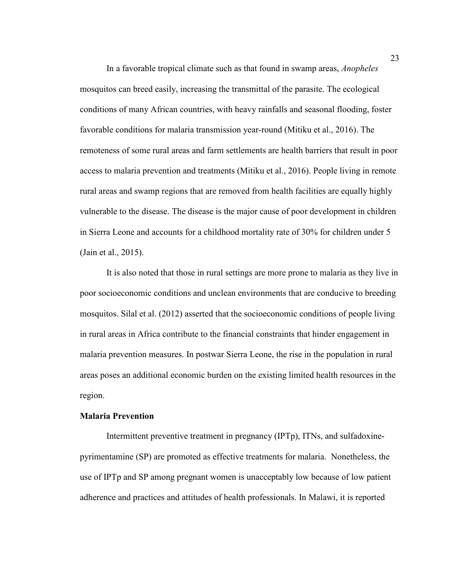In a favorable tropical climate such as that found in swamp areas, *Anopheles* mosquitos can breed easily, increasing the transmittal of the parasite. The ecological conditions of many African countries, with heavy rainfalls and seasonal flooding, foster favorable conditions for malaria transmission year-round (Mitiku et al., 2016). The remoteness of some rural areas and farm settlements are health barriers that result in poor access to malaria prevention and treatments (Mitiku et al., 2016). People living in remote rural areas and swamp regions that are removed from health facilities are equally highly vulnerable to the disease. The disease is the major cause of poor development in children in Sierra Leone and accounts for a childhood mortality rate of 30% for children under 5 (Jain et al., 2015).

It is also noted that those in rural settings are more prone to malaria as they live in poor socioeconomic conditions and unclean environments that are conducive to breeding mosquitos. Silal et al. (2012) asserted that the socioeconomic conditions of people living in rural areas in Africa contribute to the financial constraints that hinder engagement in malaria prevention measures. In postwar Sierra Leone, the rise in the population in rural areas poses an additional economic burden on the existing limited health resources in the region.

#### **Malaria Prevention**

Intermittent preventive treatment in pregnancy (IPTp), ITNs, and sulfadoxinepyrimentamine (SP) are promoted as effective treatments for malaria. Nonetheless, the use of IPTp and SP among pregnant women is unacceptably low because of low patient adherence and practices and attitudes of health professionals. In Malawi, it is reported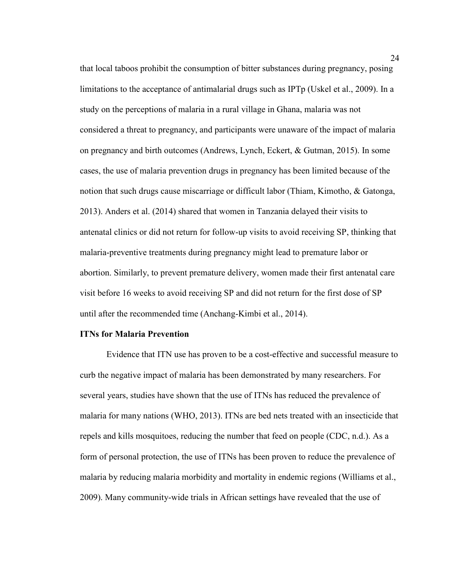that local taboos prohibit the consumption of bitter substances during pregnancy, posing limitations to the acceptance of antimalarial drugs such as IPTp (Uskel et al., 2009). In a study on the perceptions of malaria in a rural village in Ghana, malaria was not considered a threat to pregnancy, and participants were unaware of the impact of malaria on pregnancy and birth outcomes (Andrews, Lynch, Eckert, & Gutman, 2015). In some cases, the use of malaria prevention drugs in pregnancy has been limited because of the notion that such drugs cause miscarriage or difficult labor (Thiam, Kimotho, & Gatonga, 2013). Anders et al. (2014) shared that women in Tanzania delayed their visits to antenatal clinics or did not return for follow-up visits to avoid receiving SP, thinking that malaria-preventive treatments during pregnancy might lead to premature labor or abortion. Similarly, to prevent premature delivery, women made their first antenatal care visit before 16 weeks to avoid receiving SP and did not return for the first dose of SP until after the recommended time (Anchang-Kimbi et al., 2014).

# **ITNs for Malaria Prevention**

Evidence that ITN use has proven to be a cost-effective and successful measure to curb the negative impact of malaria has been demonstrated by many researchers. For several years, studies have shown that the use of ITNs has reduced the prevalence of malaria for many nations (WHO, 2013). ITNs are bed nets treated with an insecticide that repels and kills mosquitoes, reducing the number that feed on people (CDC, n.d.). As a form of personal protection, the use of ITNs has been proven to reduce the prevalence of malaria by reducing malaria morbidity and mortality in endemic regions (Williams et al., 2009). Many community-wide trials in African settings have revealed that the use of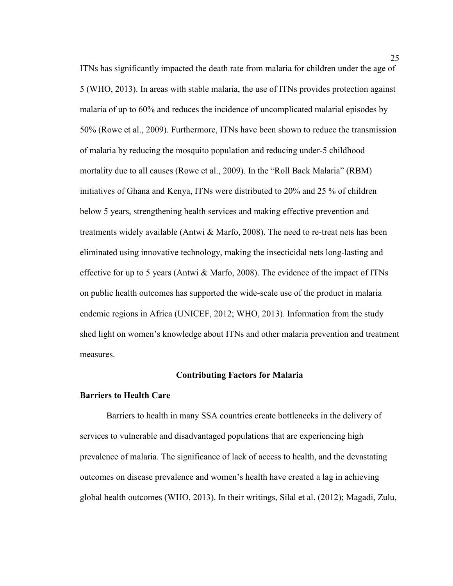ITNs has significantly impacted the death rate from malaria for children under the age of 5 (WHO, 2013). In areas with stable malaria, the use of ITNs provides protection against malaria of up to 60% and reduces the incidence of uncomplicated malarial episodes by 50% (Rowe et al., 2009). Furthermore, ITNs have been shown to reduce the transmission of malaria by reducing the mosquito population and reducing under-5 childhood mortality due to all causes (Rowe et al., 2009). In the "Roll Back Malaria" (RBM) initiatives of Ghana and Kenya, ITNs were distributed to 20% and 25 % of children below 5 years, strengthening health services and making effective prevention and treatments widely available (Antwi & Marfo, 2008). The need to re-treat nets has been eliminated using innovative technology, making the insecticidal nets long-lasting and effective for up to 5 years (Antwi & Marfo, 2008). The evidence of the impact of ITNs on public health outcomes has supported the wide-scale use of the product in malaria endemic regions in Africa (UNICEF, 2012; WHO, 2013). Information from the study shed light on women's knowledge about ITNs and other malaria prevention and treatment measures.

### **Contributing Factors for Malaria**

### **Barriers to Health Care**

Barriers to health in many SSA countries create bottlenecks in the delivery of services to vulnerable and disadvantaged populations that are experiencing high prevalence of malaria. The significance of lack of access to health, and the devastating outcomes on disease prevalence and women's health have created a lag in achieving global health outcomes (WHO, 2013). In their writings, Silal et al. (2012); Magadi, Zulu,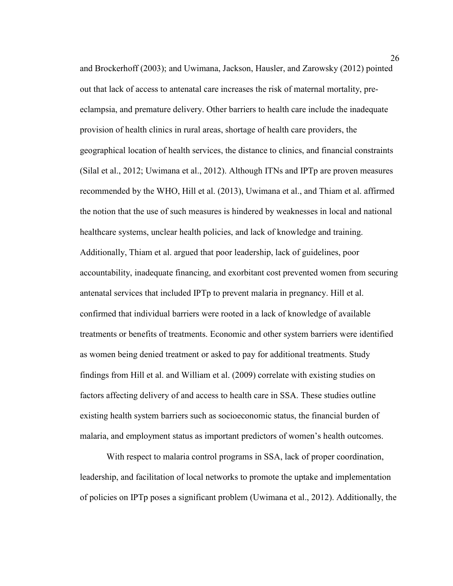and Brockerhoff (2003); and Uwimana, Jackson, Hausler, and Zarowsky (2012) pointed out that lack of access to antenatal care increases the risk of maternal mortality, preeclampsia, and premature delivery. Other barriers to health care include the inadequate provision of health clinics in rural areas, shortage of health care providers, the geographical location of health services, the distance to clinics, and financial constraints (Silal et al., 2012; Uwimana et al., 2012). Although ITNs and IPTp are proven measures recommended by the WHO, Hill et al. (2013), Uwimana et al., and Thiam et al. affirmed the notion that the use of such measures is hindered by weaknesses in local and national healthcare systems, unclear health policies, and lack of knowledge and training. Additionally, Thiam et al. argued that poor leadership, lack of guidelines, poor accountability, inadequate financing, and exorbitant cost prevented women from securing antenatal services that included IPTp to prevent malaria in pregnancy. Hill et al. confirmed that individual barriers were rooted in a lack of knowledge of available treatments or benefits of treatments. Economic and other system barriers were identified as women being denied treatment or asked to pay for additional treatments. Study findings from Hill et al. and William et al. (2009) correlate with existing studies on factors affecting delivery of and access to health care in SSA. These studies outline existing health system barriers such as socioeconomic status, the financial burden of malaria, and employment status as important predictors of women's health outcomes.

With respect to malaria control programs in SSA, lack of proper coordination, leadership, and facilitation of local networks to promote the uptake and implementation of policies on IPTp poses a significant problem (Uwimana et al., 2012). Additionally, the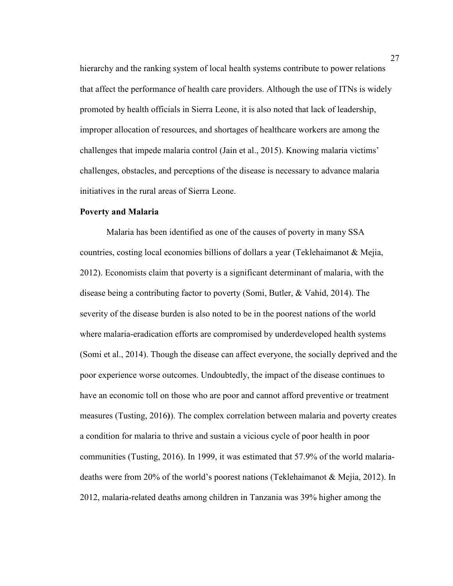hierarchy and the ranking system of local health systems contribute to power relations that affect the performance of health care providers. Although the use of ITNs is widely promoted by health officials in Sierra Leone, it is also noted that lack of leadership, improper allocation of resources, and shortages of healthcare workers are among the challenges that impede malaria control (Jain et al., 2015). Knowing malaria victims' challenges, obstacles, and perceptions of the disease is necessary to advance malaria initiatives in the rural areas of Sierra Leone.

### **Poverty and Malaria**

Malaria has been identified as one of the causes of poverty in many SSA countries, costing local economies billions of dollars a year (Teklehaimanot & Mejia, 2012). Economists claim that poverty is a significant determinant of malaria, with the disease being a contributing factor to poverty (Somi, Butler, & Vahid, 2014). The severity of the disease burden is also noted to be in the poorest nations of the world where malaria-eradication efforts are compromised by underdeveloped health systems (Somi et al., 2014). Though the disease can affect everyone, the socially deprived and the poor experience worse outcomes. Undoubtedly, the impact of the disease continues to have an economic toll on those who are poor and cannot afford preventive or treatment measures (Tusting, 2016**)**). The complex correlation between malaria and poverty creates a condition for malaria to thrive and sustain a vicious cycle of poor health in poor communities (Tusting, 2016). In 1999, it was estimated that 57.9% of the world malariadeaths were from 20% of the world's poorest nations (Teklehaimanot & Mejia, 2012). In 2012, malaria-related deaths among children in Tanzania was 39% higher among the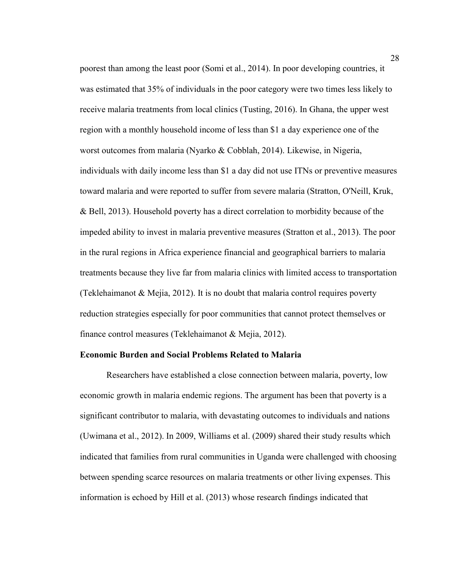poorest than among the least poor (Somi et al., 2014). In poor developing countries, it was estimated that 35% of individuals in the poor category were two times less likely to receive malaria treatments from local clinics (Tusting, 2016). In Ghana, the upper west region with a monthly household income of less than \$1 a day experience one of the worst outcomes from malaria (Nyarko & Cobblah, 2014). Likewise, in Nigeria, individuals with daily income less than \$1 a day did not use ITNs or preventive measures toward malaria and were reported to suffer from severe malaria (Stratton, O'Neill, Kruk, & Bell, 2013). Household poverty has a direct correlation to morbidity because of the impeded ability to invest in malaria preventive measures (Stratton et al., 2013). The poor in the rural regions in Africa experience financial and geographical barriers to malaria treatments because they live far from malaria clinics with limited access to transportation (Teklehaimanot & Mejia, 2012). It is no doubt that malaria control requires poverty reduction strategies especially for poor communities that cannot protect themselves or finance control measures (Teklehaimanot & Mejia, 2012).

#### **Economic Burden and Social Problems Related to Malaria**

Researchers have established a close connection between malaria, poverty, low economic growth in malaria endemic regions. The argument has been that poverty is a significant contributor to malaria, with devastating outcomes to individuals and nations (Uwimana et al., 2012). In 2009, Williams et al. (2009) shared their study results which indicated that families from rural communities in Uganda were challenged with choosing between spending scarce resources on malaria treatments or other living expenses. This information is echoed by Hill et al. (2013) whose research findings indicated that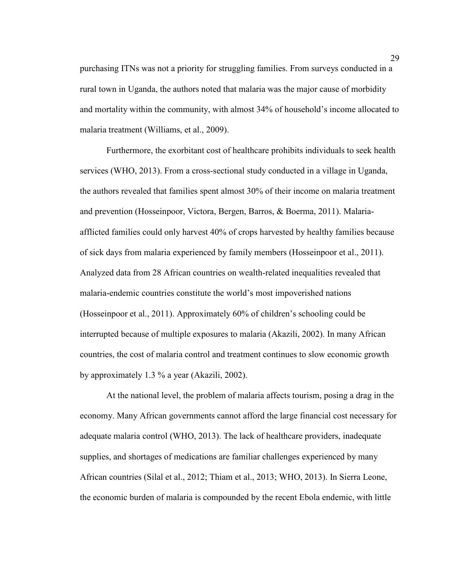purchasing ITNs was not a priority for struggling families. From surveys conducted in a rural town in Uganda, the authors noted that malaria was the major cause of morbidity and mortality within the community, with almost 34% of household's income allocated to malaria treatment (Williams, et al., 2009).

Furthermore, the exorbitant cost of healthcare prohibits individuals to seek health services (WHO, 2013). From a cross-sectional study conducted in a village in Uganda, the authors revealed that families spent almost 30% of their income on malaria treatment and prevention (Hosseinpoor, Victora, Bergen, Barros, & Boerma, 2011). Malariaafflicted families could only harvest 40% of crops harvested by healthy families because of sick days from malaria experienced by family members (Hosseinpoor et al., 2011). Analyzed data from 28 African countries on wealth-related inequalities revealed that malaria-endemic countries constitute the world's most impoverished nations (Hosseinpoor et al., 2011). Approximately 60% of children's schooling could be interrupted because of multiple exposures to malaria (Akazili, 2002). In many African countries, the cost of malaria control and treatment continues to slow economic growth by approximately 1.3 % a year (Akazili, 2002).

At the national level, the problem of malaria affects tourism, posing a drag in the economy. Many African governments cannot afford the large financial cost necessary for adequate malaria control (WHO, 2013). The lack of healthcare providers, inadequate supplies, and shortages of medications are familiar challenges experienced by many African countries (Silal et al., 2012; Thiam et al., 2013; WHO, 2013). In Sierra Leone, the economic burden of malaria is compounded by the recent Ebola endemic, with little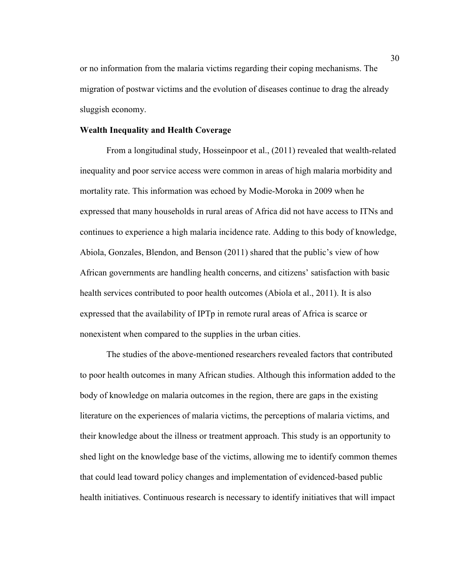or no information from the malaria victims regarding their coping mechanisms. The migration of postwar victims and the evolution of diseases continue to drag the already sluggish economy.

# **Wealth Inequality and Health Coverage**

From a longitudinal study, Hosseinpoor et al., (2011) revealed that wealth-related inequality and poor service access were common in areas of high malaria morbidity and mortality rate. This information was echoed by Modie-Moroka in 2009 when he expressed that many households in rural areas of Africa did not have access to ITNs and continues to experience a high malaria incidence rate. Adding to this body of knowledge, Abiola, Gonzales, Blendon, and Benson (2011) shared that the public's view of how African governments are handling health concerns, and citizens' satisfaction with basic health services contributed to poor health outcomes (Abiola et al., 2011). It is also expressed that the availability of IPTp in remote rural areas of Africa is scarce or nonexistent when compared to the supplies in the urban cities.

The studies of the above-mentioned researchers revealed factors that contributed to poor health outcomes in many African studies. Although this information added to the body of knowledge on malaria outcomes in the region, there are gaps in the existing literature on the experiences of malaria victims, the perceptions of malaria victims, and their knowledge about the illness or treatment approach. This study is an opportunity to shed light on the knowledge base of the victims, allowing me to identify common themes that could lead toward policy changes and implementation of evidenced-based public health initiatives. Continuous research is necessary to identify initiatives that will impact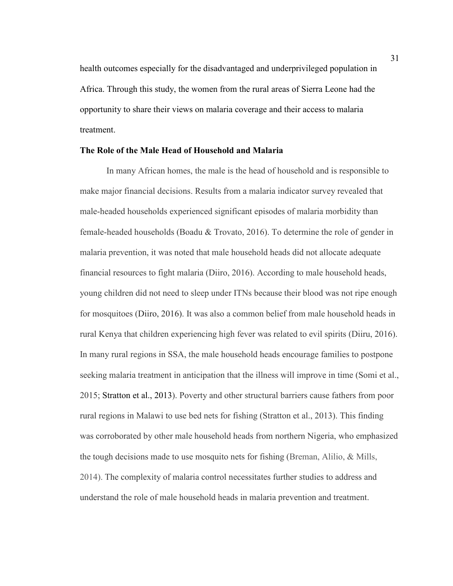health outcomes especially for the disadvantaged and underprivileged population in Africa. Through this study, the women from the rural areas of Sierra Leone had the opportunity to share their views on malaria coverage and their access to malaria treatment.

### **The Role of the Male Head of Household and Malaria**

In many African homes, the male is the head of household and is responsible to make major financial decisions. Results from a malaria indicator survey revealed that male-headed households experienced significant episodes of malaria morbidity than female-headed households (Boadu & Trovato, 2016). To determine the role of gender in malaria prevention, it was noted that male household heads did not allocate adequate financial resources to fight malaria (Diiro, 2016). According to male household heads, young children did not need to sleep under ITNs because their blood was not ripe enough for mosquitoes (Diiro, 2016). It was also a common belief from male household heads in rural Kenya that children experiencing high fever was related to evil spirits (Diiru, 2016). In many rural regions in SSA, the male household heads encourage families to postpone seeking malaria treatment in anticipation that the illness will improve in time (Somi et al., 2015; Stratton et al., 2013). Poverty and other structural barriers cause fathers from poor rural regions in Malawi to use bed nets for fishing (Stratton et al., 2013). This finding was corroborated by other male household heads from northern Nigeria, who emphasized the tough decisions made to use mosquito nets for fishing (Breman, Alilio, & Mills, 2014). The complexity of malaria control necessitates further studies to address and understand the role of male household heads in malaria prevention and treatment.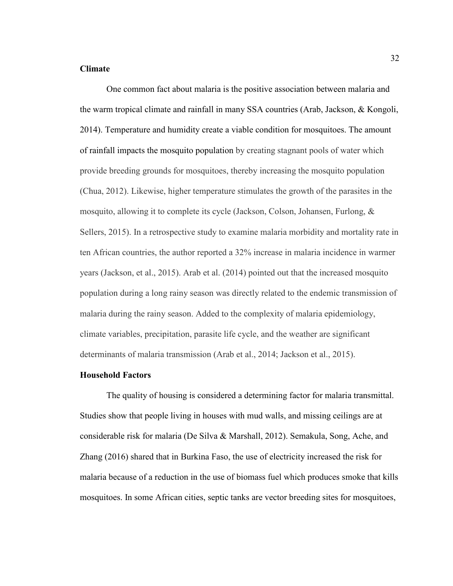### **Climate**

One common fact about malaria is the positive association between malaria and the warm tropical climate and rainfall in many SSA countries (Arab, Jackson, & Kongoli, 2014). Temperature and humidity create a viable condition for mosquitoes. The amount of rainfall impacts the mosquito population by creating stagnant pools of water which provide breeding grounds for mosquitoes, thereby increasing the mosquito population (Chua, 2012). Likewise, higher temperature stimulates the growth of the parasites in the mosquito, allowing it to complete its cycle (Jackson, Colson, Johansen, Furlong, & Sellers, 2015). In a retrospective study to examine malaria morbidity and mortality rate in ten African countries, the author reported a 32% increase in malaria incidence in warmer years (Jackson, et al., 2015). Arab et al. (2014) pointed out that the increased mosquito population during a long rainy season was directly related to the endemic transmission of malaria during the rainy season. Added to the complexity of malaria epidemiology, climate variables, precipitation, parasite life cycle, and the weather are significant determinants of malaria transmission (Arab et al., 2014; Jackson et al., 2015).

### **Household Factors**

The quality of housing is considered a determining factor for malaria transmittal. Studies show that people living in houses with mud walls, and missing ceilings are at considerable risk for malaria (De Silva & Marshall, 2012). Semakula, Song, Ache, and Zhang (2016) shared that in Burkina Faso, the use of electricity increased the risk for malaria because of a reduction in the use of biomass fuel which produces smoke that kills mosquitoes. In some African cities, septic tanks are vector breeding sites for mosquitoes,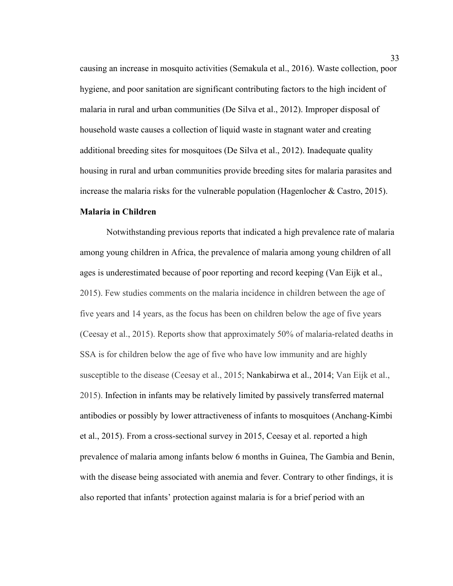causing an increase in mosquito activities (Semakula et al., 2016). Waste collection, poor hygiene, and poor sanitation are significant contributing factors to the high incident of malaria in rural and urban communities (De Silva et al., 2012). Improper disposal of household waste causes a collection of liquid waste in stagnant water and creating additional breeding sites for mosquitoes (De Silva et al., 2012). Inadequate quality housing in rural and urban communities provide breeding sites for malaria parasites and increase the malaria risks for the vulnerable population (Hagenlocher & Castro, 2015).

# **Malaria in Children**

Notwithstanding previous reports that indicated a high prevalence rate of malaria among young children in Africa, the prevalence of malaria among young children of all ages is underestimated because of poor reporting and record keeping (Van Eijk et al., 2015). Few studies comments on the malaria incidence in children between the age of five years and 14 years, as the focus has been on children below the age of five years (Ceesay et al., 2015). Reports show that approximately 50% of malaria-related deaths in SSA is for children below the age of five who have low immunity and are highly susceptible to the disease (Ceesay et al., 2015; Nankabirwa et al., 2014; Van Eijk et al., 2015). Infection in infants may be relatively limited by passively transferred maternal antibodies or possibly by lower attractiveness of infants to mosquitoes (Anchang-Kimbi et al., 2015). From a cross-sectional survey in 2015, Ceesay et al. reported a high prevalence of malaria among infants below 6 months in Guinea, The Gambia and Benin, with the disease being associated with anemia and fever. Contrary to other findings, it is also reported that infants' protection against malaria is for a brief period with an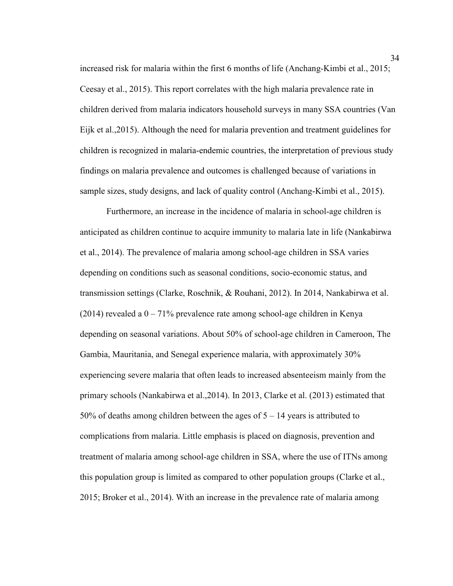increased risk for malaria within the first 6 months of life (Anchang-Kimbi et al., 2015; Ceesay et al., 2015). This report correlates with the high malaria prevalence rate in children derived from malaria indicators household surveys in many SSA countries (Van Eijk et al.,2015). Although the need for malaria prevention and treatment guidelines for children is recognized in malaria-endemic countries, the interpretation of previous study findings on malaria prevalence and outcomes is challenged because of variations in sample sizes, study designs, and lack of quality control (Anchang-Kimbi et al., 2015).

Furthermore, an increase in the incidence of malaria in school-age children is anticipated as children continue to acquire immunity to malaria late in life (Nankabirwa et al., 2014). The prevalence of malaria among school-age children in SSA varies depending on conditions such as seasonal conditions, socio-economic status, and transmission settings (Clarke, Roschnik, & Rouhani, 2012). In 2014, Nankabirwa et al. (2014) revealed a  $0 - 71\%$  prevalence rate among school-age children in Kenya depending on seasonal variations. About 50% of school-age children in Cameroon, The Gambia, Mauritania, and Senegal experience malaria, with approximately 30% experiencing severe malaria that often leads to increased absenteeism mainly from the primary schools (Nankabirwa et al.,2014). In 2013, Clarke et al. (2013) estimated that 50% of deaths among children between the ages of 5 – 14 years is attributed to complications from malaria. Little emphasis is placed on diagnosis, prevention and treatment of malaria among school-age children in SSA, where the use of ITNs among this population group is limited as compared to other population groups (Clarke et al., 2015; Broker et al., 2014). With an increase in the prevalence rate of malaria among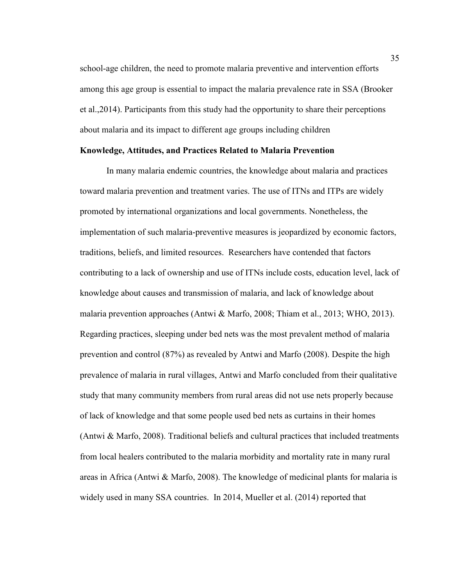school-age children, the need to promote malaria preventive and intervention efforts among this age group is essential to impact the malaria prevalence rate in SSA (Brooker et al.,2014). Participants from this study had the opportunity to share their perceptions about malaria and its impact to different age groups including children

### **Knowledge, Attitudes, and Practices Related to Malaria Prevention**

In many malaria endemic countries, the knowledge about malaria and practices toward malaria prevention and treatment varies. The use of ITNs and ITPs are widely promoted by international organizations and local governments. Nonetheless, the implementation of such malaria-preventive measures is jeopardized by economic factors, traditions, beliefs, and limited resources. Researchers have contended that factors contributing to a lack of ownership and use of ITNs include costs, education level, lack of knowledge about causes and transmission of malaria, and lack of knowledge about malaria prevention approaches (Antwi & Marfo, 2008; Thiam et al., 2013; WHO, 2013). Regarding practices, sleeping under bed nets was the most prevalent method of malaria prevention and control (87%) as revealed by Antwi and Marfo (2008). Despite the high prevalence of malaria in rural villages, Antwi and Marfo concluded from their qualitative study that many community members from rural areas did not use nets properly because of lack of knowledge and that some people used bed nets as curtains in their homes (Antwi & Marfo, 2008). Traditional beliefs and cultural practices that included treatments from local healers contributed to the malaria morbidity and mortality rate in many rural areas in Africa (Antwi & Marfo, 2008). The knowledge of medicinal plants for malaria is widely used in many SSA countries. In 2014, Mueller et al. (2014) reported that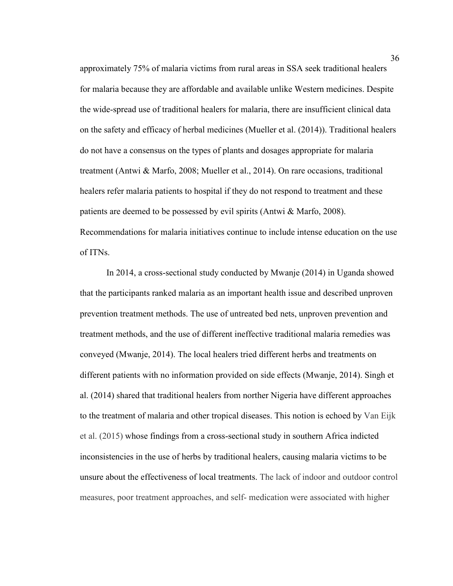approximately 75% of malaria victims from rural areas in SSA seek traditional healers for malaria because they are affordable and available unlike Western medicines. Despite the wide-spread use of traditional healers for malaria, there are insufficient clinical data on the safety and efficacy of herbal medicines (Mueller et al. (2014)). Traditional healers do not have a consensus on the types of plants and dosages appropriate for malaria treatment (Antwi & Marfo, 2008; Mueller et al., 2014). On rare occasions, traditional healers refer malaria patients to hospital if they do not respond to treatment and these patients are deemed to be possessed by evil spirits (Antwi & Marfo, 2008). Recommendations for malaria initiatives continue to include intense education on the use of ITNs.

In 2014, a cross-sectional study conducted by Mwanje (2014) in Uganda showed that the participants ranked malaria as an important health issue and described unproven prevention treatment methods. The use of untreated bed nets, unproven prevention and treatment methods, and the use of different ineffective traditional malaria remedies was conveyed (Mwanje, 2014). The local healers tried different herbs and treatments on different patients with no information provided on side effects (Mwanje, 2014). Singh et al. (2014) shared that traditional healers from norther Nigeria have different approaches to the treatment of malaria and other tropical diseases. This notion is echoed by Van Eijk et al. (2015) whose findings from a cross-sectional study in southern Africa indicted inconsistencies in the use of herbs by traditional healers, causing malaria victims to be unsure about the effectiveness of local treatments. The lack of indoor and outdoor control measures, poor treatment approaches, and self- medication were associated with higher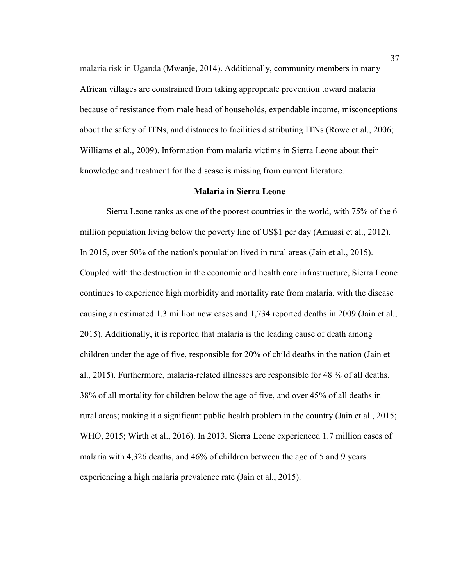malaria risk in Uganda (Mwanje, 2014). Additionally, community members in many African villages are constrained from taking appropriate prevention toward malaria because of resistance from male head of households, expendable income, misconceptions about the safety of ITNs, and distances to facilities distributing ITNs (Rowe et al., 2006; Williams et al., 2009). Information from malaria victims in Sierra Leone about their knowledge and treatment for the disease is missing from current literature.

### **Malaria in Sierra Leone**

Sierra Leone ranks as one of the poorest countries in the world, with 75% of the 6 million population living below the poverty line of US\$1 per day (Amuasi et al., 2012). In 2015, over 50% of the nation's population lived in rural areas (Jain et al., 2015). Coupled with the destruction in the economic and health care infrastructure, Sierra Leone continues to experience high morbidity and mortality rate from malaria, with the disease causing an estimated 1.3 million new cases and 1,734 reported deaths in 2009 (Jain et al., 2015). Additionally, it is reported that malaria is the leading cause of death among children under the age of five, responsible for 20% of child deaths in the nation (Jain et al., 2015). Furthermore, malaria-related illnesses are responsible for 48 % of all deaths, 38% of all mortality for children below the age of five, and over 45% of all deaths in rural areas; making it a significant public health problem in the country (Jain et al., 2015; WHO, 2015; Wirth et al., 2016). In 2013, Sierra Leone experienced 1.7 million cases of malaria with 4,326 deaths, and 46% of children between the age of 5 and 9 years experiencing a high malaria prevalence rate (Jain et al., 2015).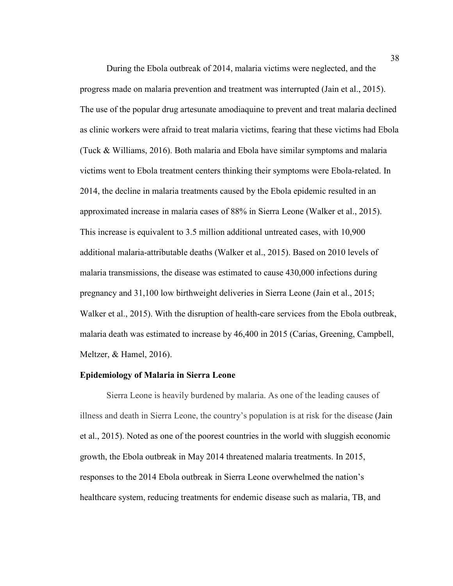During the Ebola outbreak of 2014, malaria victims were neglected, and the progress made on malaria prevention and treatment was interrupted (Jain et al., 2015). The use of the popular drug artesunate amodiaquine to prevent and treat malaria declined as clinic workers were afraid to treat malaria victims, fearing that these victims had Ebola (Tuck & Williams, 2016). Both malaria and Ebola have similar symptoms and malaria victims went to Ebola treatment centers thinking their symptoms were Ebola-related. In 2014, the decline in malaria treatments caused by the Ebola epidemic resulted in an approximated increase in malaria cases of 88% in Sierra Leone (Walker et al., 2015). This increase is equivalent to 3.5 million additional untreated cases, with 10,900 additional malaria-attributable deaths (Walker et al., 2015). Based on 2010 levels of malaria transmissions, the disease was estimated to cause 430,000 infections during pregnancy and 31,100 low birthweight deliveries in Sierra Leone (Jain et al., 2015; Walker et al., 2015). With the disruption of health-care services from the Ebola outbreak, malaria death was estimated to increase by 46,400 in 2015 (Carias, Greening, Campbell, Meltzer, & Hamel, 2016).

#### **Epidemiology of Malaria in Sierra Leone**

Sierra Leone is heavily burdened by malaria. As one of the leading causes of illness and death in Sierra Leone, the country's population is at risk for the disease (Jain et al., 2015). Noted as one of the poorest countries in the world with sluggish economic growth, the Ebola outbreak in May 2014 threatened malaria treatments. In 2015, responses to the 2014 Ebola outbreak in Sierra Leone overwhelmed the nation's healthcare system, reducing treatments for endemic disease such as malaria, TB, and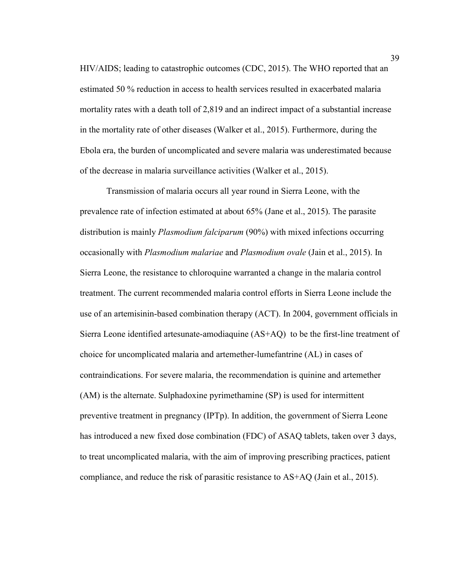HIV/AIDS; leading to catastrophic outcomes (CDC, 2015). The WHO reported that an estimated 50 % reduction in access to health services resulted in exacerbated malaria mortality rates with a death toll of 2,819 and an indirect impact of a substantial increase in the mortality rate of other diseases (Walker et al., 2015). Furthermore, during the Ebola era, the burden of uncomplicated and severe malaria was underestimated because of the decrease in malaria surveillance activities (Walker et al., 2015).

Transmission of malaria occurs all year round in Sierra Leone, with the prevalence rate of infection estimated at about 65% (Jane et al., 2015). The parasite distribution is mainly *Plasmodium falciparum* (90%) with mixed infections occurring occasionally with *Plasmodium malariae* and *Plasmodium ovale* (Jain et al., 2015). In Sierra Leone, the resistance to chloroquine warranted a change in the malaria control treatment. The current recommended malaria control efforts in Sierra Leone include the use of an artemisinin-based combination therapy (ACT). In 2004, government officials in Sierra Leone identified artesunate-amodiaquine (AS+AQ) to be the first-line treatment of choice for uncomplicated malaria and artemether-lumefantrine (AL) in cases of contraindications. For severe malaria, the recommendation is quinine and artemether (AM) is the alternate. Sulphadoxine pyrimethamine (SP) is used for intermittent preventive treatment in pregnancy (IPTp). In addition, the government of Sierra Leone has introduced a new fixed dose combination (FDC) of ASAQ tablets, taken over 3 days, to treat uncomplicated malaria, with the aim of improving prescribing practices, patient compliance, and reduce the risk of parasitic resistance to AS+AQ (Jain et al., 2015).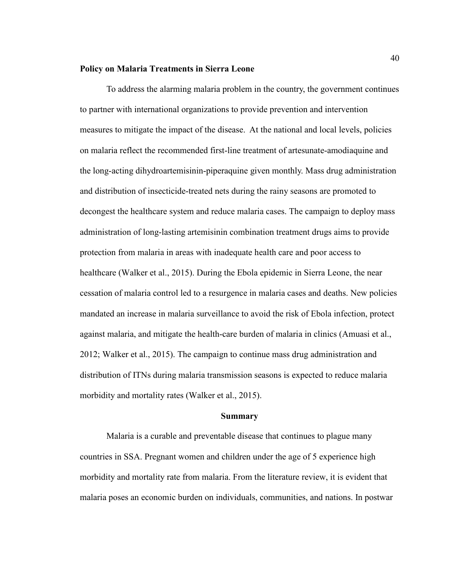#### **Policy on Malaria Treatments in Sierra Leone**

To address the alarming malaria problem in the country, the government continues to partner with international organizations to provide prevention and intervention measures to mitigate the impact of the disease. At the national and local levels, policies on malaria reflect the recommended first-line treatment of artesunate-amodiaquine and the long-acting dihydroartemisinin-piperaquine given monthly. Mass drug administration and distribution of insecticide-treated nets during the rainy seasons are promoted to decongest the healthcare system and reduce malaria cases. The campaign to deploy mass administration of long-lasting artemisinin combination treatment drugs aims to provide protection from malaria in areas with inadequate health care and poor access to healthcare (Walker et al., 2015). During the Ebola epidemic in Sierra Leone, the near cessation of malaria control led to a resurgence in malaria cases and deaths. New policies mandated an increase in malaria surveillance to avoid the risk of Ebola infection, protect against malaria, and mitigate the health-care burden of malaria in clinics (Amuasi et al., 2012; Walker et al., 2015). The campaign to continue mass drug administration and distribution of ITNs during malaria transmission seasons is expected to reduce malaria morbidity and mortality rates (Walker et al., 2015).

### **Summary**

Malaria is a curable and preventable disease that continues to plague many countries in SSA. Pregnant women and children under the age of 5 experience high morbidity and mortality rate from malaria. From the literature review, it is evident that malaria poses an economic burden on individuals, communities, and nations. In postwar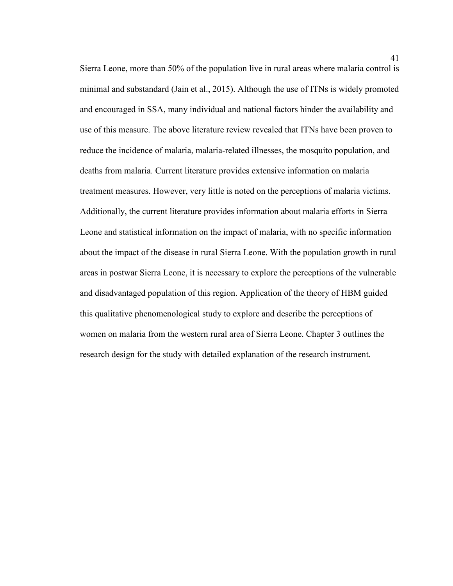Sierra Leone, more than 50% of the population live in rural areas where malaria control is minimal and substandard (Jain et al., 2015). Although the use of ITNs is widely promoted and encouraged in SSA, many individual and national factors hinder the availability and use of this measure. The above literature review revealed that ITNs have been proven to reduce the incidence of malaria, malaria-related illnesses, the mosquito population, and deaths from malaria. Current literature provides extensive information on malaria treatment measures. However, very little is noted on the perceptions of malaria victims. Additionally, the current literature provides information about malaria efforts in Sierra Leone and statistical information on the impact of malaria, with no specific information about the impact of the disease in rural Sierra Leone. With the population growth in rural areas in postwar Sierra Leone, it is necessary to explore the perceptions of the vulnerable and disadvantaged population of this region. Application of the theory of HBM guided this qualitative phenomenological study to explore and describe the perceptions of women on malaria from the western rural area of Sierra Leone. Chapter 3 outlines the research design for the study with detailed explanation of the research instrument.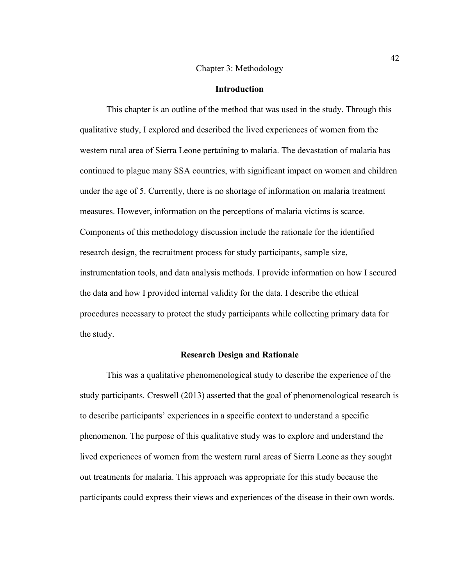#### Chapter 3: Methodology

#### **Introduction**

This chapter is an outline of the method that was used in the study. Through this qualitative study, I explored and described the lived experiences of women from the western rural area of Sierra Leone pertaining to malaria. The devastation of malaria has continued to plague many SSA countries, with significant impact on women and children under the age of 5. Currently, there is no shortage of information on malaria treatment measures. However, information on the perceptions of malaria victims is scarce. Components of this methodology discussion include the rationale for the identified research design, the recruitment process for study participants, sample size, instrumentation tools, and data analysis methods. I provide information on how I secured the data and how I provided internal validity for the data. I describe the ethical procedures necessary to protect the study participants while collecting primary data for the study.

### **Research Design and Rationale**

This was a qualitative phenomenological study to describe the experience of the study participants. Creswell (2013) asserted that the goal of phenomenological research is to describe participants' experiences in a specific context to understand a specific phenomenon. The purpose of this qualitative study was to explore and understand the lived experiences of women from the western rural areas of Sierra Leone as they sought out treatments for malaria. This approach was appropriate for this study because the participants could express their views and experiences of the disease in their own words.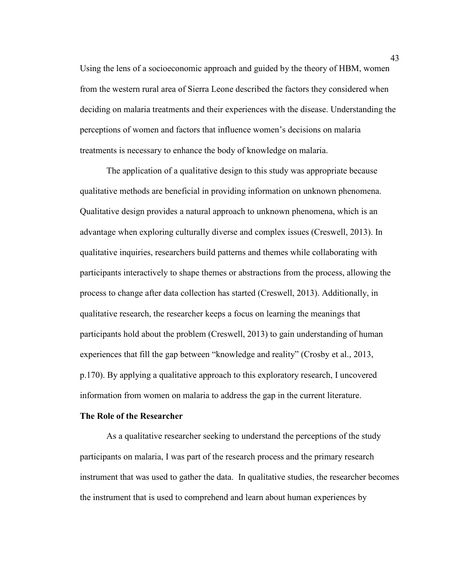Using the lens of a socioeconomic approach and guided by the theory of HBM, women from the western rural area of Sierra Leone described the factors they considered when deciding on malaria treatments and their experiences with the disease. Understanding the perceptions of women and factors that influence women's decisions on malaria treatments is necessary to enhance the body of knowledge on malaria.

The application of a qualitative design to this study was appropriate because qualitative methods are beneficial in providing information on unknown phenomena. Qualitative design provides a natural approach to unknown phenomena, which is an advantage when exploring culturally diverse and complex issues (Creswell, 2013). In qualitative inquiries, researchers build patterns and themes while collaborating with participants interactively to shape themes or abstractions from the process, allowing the process to change after data collection has started (Creswell, 2013). Additionally, in qualitative research, the researcher keeps a focus on learning the meanings that participants hold about the problem (Creswell, 2013) to gain understanding of human experiences that fill the gap between "knowledge and reality" (Crosby et al., 2013, p.170). By applying a qualitative approach to this exploratory research, I uncovered information from women on malaria to address the gap in the current literature.

#### **The Role of the Researcher**

As a qualitative researcher seeking to understand the perceptions of the study participants on malaria, I was part of the research process and the primary research instrument that was used to gather the data. In qualitative studies, the researcher becomes the instrument that is used to comprehend and learn about human experiences by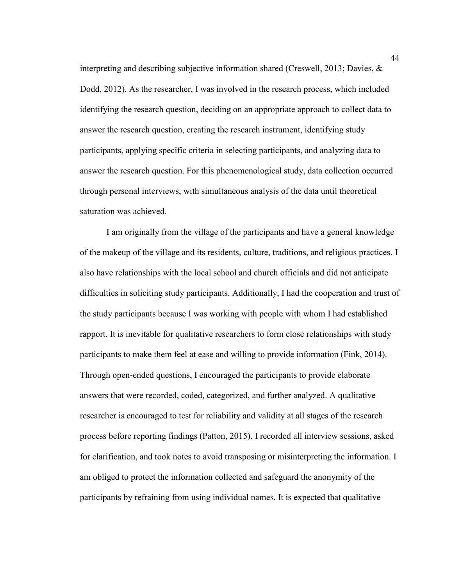interpreting and describing subjective information shared (Creswell, 2013; Davies, & Dodd, 2012). As the researcher, I was involved in the research process, which included identifying the research question, deciding on an appropriate approach to collect data to answer the research question, creating the research instrument, identifying study participants, applying specific criteria in selecting participants, and analyzing data to answer the research question. For this phenomenological study, data collection occurred through personal interviews, with simultaneous analysis of the data until theoretical saturation was achieved.

I am originally from the village of the participants and have a general knowledge of the makeup of the village and its residents, culture, traditions, and religious practices. I also have relationships with the local school and church officials and did not anticipate difficulties in soliciting study participants. Additionally, I had the cooperation and trust of the study participants because I was working with people with whom I had established rapport. It is inevitable for qualitative researchers to form close relationships with study participants to make them feel at ease and willing to provide information (Fink, 2014). Through open-ended questions, I encouraged the participants to provide elaborate answers that were recorded, coded, categorized, and further analyzed. A qualitative researcher is encouraged to test for reliability and validity at all stages of the research process before reporting findings (Patton, 2015). I recorded all interview sessions, asked for clarification, and took notes to avoid transposing or misinterpreting the information. I am obliged to protect the information collected and safeguard the anonymity of the participants by refraining from using individual names. It is expected that qualitative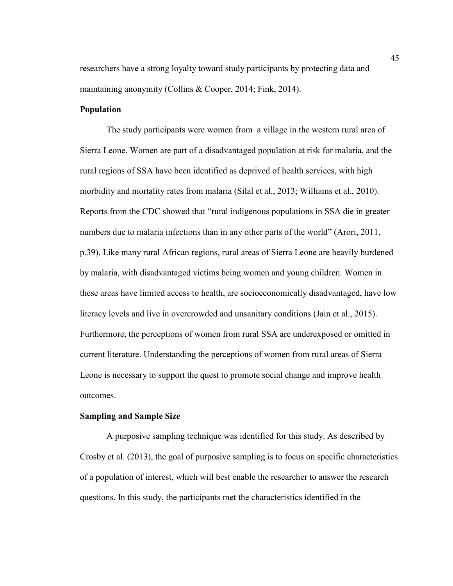researchers have a strong loyalty toward study participants by protecting data and maintaining anonymity (Collins & Cooper, 2014; Fink, 2014).

# **Population**

The study participants were women from a village in the western rural area of Sierra Leone. Women are part of a disadvantaged population at risk for malaria, and the rural regions of SSA have been identified as deprived of health services, with high morbidity and mortality rates from malaria (Silal et al., 2013; Williams et al., 2010). Reports from the CDC showed that "rural indigenous populations in SSA die in greater numbers due to malaria infections than in any other parts of the world" (Arori, 2011, p.39). Like many rural African regions, rural areas of Sierra Leone are heavily burdened by malaria, with disadvantaged victims being women and young children. Women in these areas have limited access to health, are socioeconomically disadvantaged, have low literacy levels and live in overcrowded and unsanitary conditions (Jain et al., 2015). Furthermore, the perceptions of women from rural SSA are underexposed or omitted in current literature. Understanding the perceptions of women from rural areas of Sierra Leone is necessary to support the quest to promote social change and improve health outcomes.

### **Sampling and Sample Size**

A purposive sampling technique was identified for this study. As described by Crosby et al. (2013), the goal of purposive sampling is to focus on specific characteristics of a population of interest, which will best enable the researcher to answer the research questions. In this study, the participants met the characteristics identified in the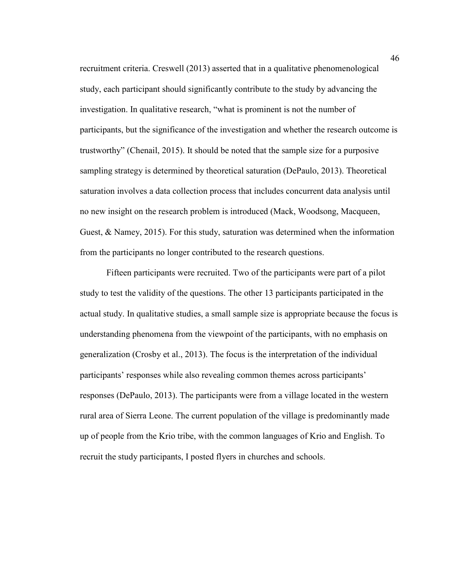recruitment criteria. Creswell (2013) asserted that in a qualitative phenomenological study, each participant should significantly contribute to the study by advancing the investigation. In qualitative research, "what is prominent is not the number of participants, but the significance of the investigation and whether the research outcome is trustworthy" (Chenail, 2015). It should be noted that the sample size for a purposive sampling strategy is determined by theoretical saturation (DePaulo, 2013). Theoretical saturation involves a data collection process that includes concurrent data analysis until no new insight on the research problem is introduced (Mack, Woodsong, Macqueen, Guest, & Namey, 2015). For this study, saturation was determined when the information from the participants no longer contributed to the research questions.

Fifteen participants were recruited. Two of the participants were part of a pilot study to test the validity of the questions. The other 13 participants participated in the actual study. In qualitative studies, a small sample size is appropriate because the focus is understanding phenomena from the viewpoint of the participants, with no emphasis on generalization (Crosby et al., 2013). The focus is the interpretation of the individual participants' responses while also revealing common themes across participants' responses (DePaulo, 2013). The participants were from a village located in the western rural area of Sierra Leone. The current population of the village is predominantly made up of people from the Krio tribe, with the common languages of Krio and English. To recruit the study participants, I posted flyers in churches and schools.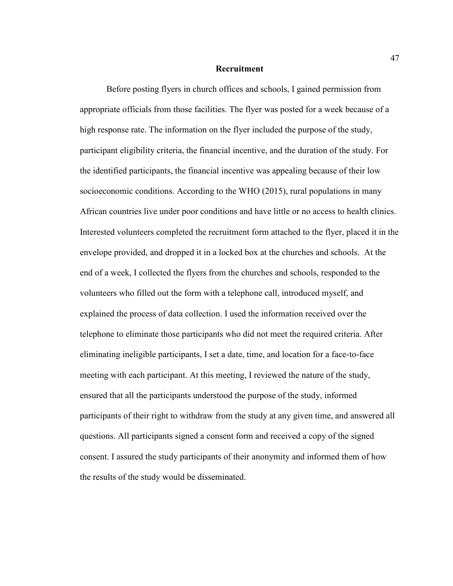#### **Recruitment**

Before posting flyers in church offices and schools, I gained permission from appropriate officials from those facilities. The flyer was posted for a week because of a high response rate. The information on the flyer included the purpose of the study, participant eligibility criteria, the financial incentive, and the duration of the study. For the identified participants, the financial incentive was appealing because of their low socioeconomic conditions. According to the WHO (2015), rural populations in many African countries live under poor conditions and have little or no access to health clinics. Interested volunteers completed the recruitment form attached to the flyer, placed it in the envelope provided, and dropped it in a locked box at the churches and schools. At the end of a week, I collected the flyers from the churches and schools, responded to the volunteers who filled out the form with a telephone call, introduced myself, and explained the process of data collection. I used the information received over the telephone to eliminate those participants who did not meet the required criteria. After eliminating ineligible participants, I set a date, time, and location for a face-to-face meeting with each participant. At this meeting, I reviewed the nature of the study, ensured that all the participants understood the purpose of the study, informed participants of their right to withdraw from the study at any given time, and answered all questions. All participants signed a consent form and received a copy of the signed consent. I assured the study participants of their anonymity and informed them of how the results of the study would be disseminated.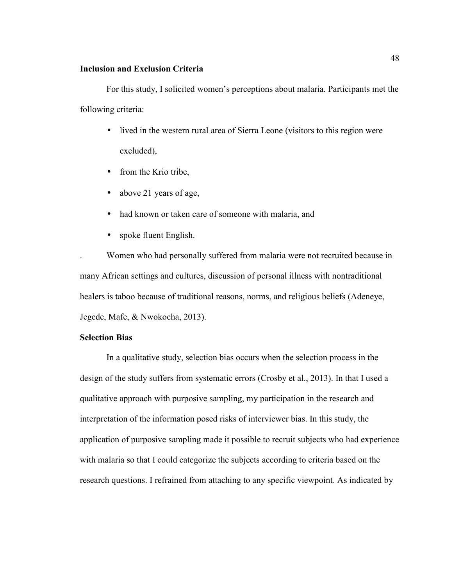### **Inclusion and Exclusion Criteria**

For this study, I solicited women's perceptions about malaria. Participants met the following criteria:

- lived in the western rural area of Sierra Leone (visitors to this region were excluded),
- from the Krio tribe,
- above 21 years of age,
- had known or taken care of someone with malaria, and
- spoke fluent English.

. Women who had personally suffered from malaria were not recruited because in many African settings and cultures, discussion of personal illness with nontraditional healers is taboo because of traditional reasons, norms, and religious beliefs (Adeneye, Jegede, Mafe, & Nwokocha, 2013).

### **Selection Bias**

In a qualitative study, selection bias occurs when the selection process in the design of the study suffers from systematic errors (Crosby et al., 2013). In that I used a qualitative approach with purposive sampling, my participation in the research and interpretation of the information posed risks of interviewer bias. In this study, the application of purposive sampling made it possible to recruit subjects who had experience with malaria so that I could categorize the subjects according to criteria based on the research questions. I refrained from attaching to any specific viewpoint. As indicated by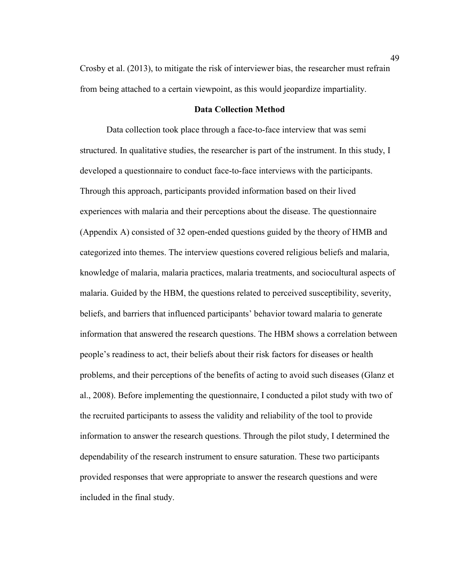Crosby et al. (2013), to mitigate the risk of interviewer bias, the researcher must refrain from being attached to a certain viewpoint, as this would jeopardize impartiality.

# **Data Collection Method**

Data collection took place through a face-to-face interview that was semi structured. In qualitative studies, the researcher is part of the instrument. In this study, I developed a questionnaire to conduct face-to-face interviews with the participants. Through this approach, participants provided information based on their lived experiences with malaria and their perceptions about the disease. The questionnaire (Appendix A) consisted of 32 open-ended questions guided by the theory of HMB and categorized into themes. The interview questions covered religious beliefs and malaria, knowledge of malaria, malaria practices, malaria treatments, and sociocultural aspects of malaria. Guided by the HBM, the questions related to perceived susceptibility, severity, beliefs, and barriers that influenced participants' behavior toward malaria to generate information that answered the research questions. The HBM shows a correlation between people's readiness to act, their beliefs about their risk factors for diseases or health problems, and their perceptions of the benefits of acting to avoid such diseases (Glanz et al., 2008). Before implementing the questionnaire, I conducted a pilot study with two of the recruited participants to assess the validity and reliability of the tool to provide information to answer the research questions. Through the pilot study, I determined the dependability of the research instrument to ensure saturation. These two participants provided responses that were appropriate to answer the research questions and were included in the final study.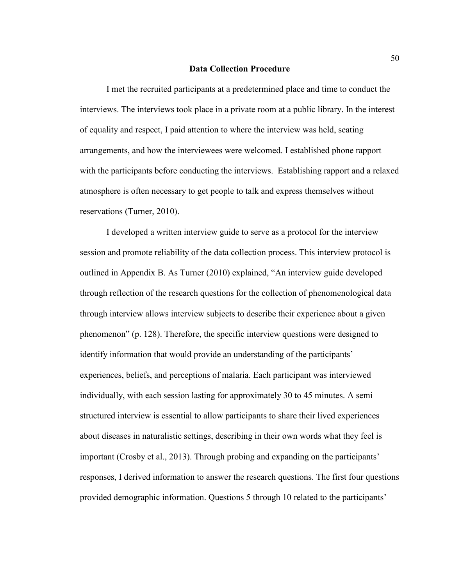#### **Data Collection Procedure**

I met the recruited participants at a predetermined place and time to conduct the interviews. The interviews took place in a private room at a public library. In the interest of equality and respect, I paid attention to where the interview was held, seating arrangements, and how the interviewees were welcomed. I established phone rapport with the participants before conducting the interviews. Establishing rapport and a relaxed atmosphere is often necessary to get people to talk and express themselves without reservations (Turner, 2010).

I developed a written interview guide to serve as a protocol for the interview session and promote reliability of the data collection process. This interview protocol is outlined in Appendix B. As Turner (2010) explained, "An interview guide developed through reflection of the research questions for the collection of phenomenological data through interview allows interview subjects to describe their experience about a given phenomenon" (p. 128). Therefore, the specific interview questions were designed to identify information that would provide an understanding of the participants' experiences, beliefs, and perceptions of malaria. Each participant was interviewed individually, with each session lasting for approximately 30 to 45 minutes. A semi structured interview is essential to allow participants to share their lived experiences about diseases in naturalistic settings, describing in their own words what they feel is important (Crosby et al., 2013). Through probing and expanding on the participants' responses, I derived information to answer the research questions. The first four questions provided demographic information. Questions 5 through 10 related to the participants'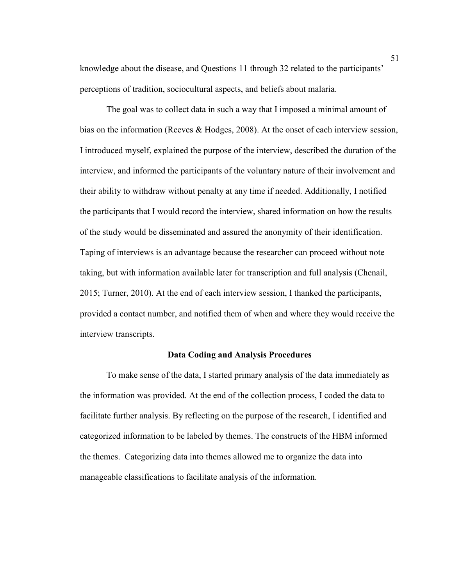knowledge about the disease, and Questions 11 through 32 related to the participants' perceptions of tradition, sociocultural aspects, and beliefs about malaria.

The goal was to collect data in such a way that I imposed a minimal amount of bias on the information (Reeves & Hodges, 2008). At the onset of each interview session, I introduced myself, explained the purpose of the interview, described the duration of the interview, and informed the participants of the voluntary nature of their involvement and their ability to withdraw without penalty at any time if needed. Additionally, I notified the participants that I would record the interview, shared information on how the results of the study would be disseminated and assured the anonymity of their identification. Taping of interviews is an advantage because the researcher can proceed without note taking, but with information available later for transcription and full analysis (Chenail, 2015; Turner, 2010). At the end of each interview session, I thanked the participants, provided a contact number, and notified them of when and where they would receive the interview transcripts.

### **Data Coding and Analysis Procedures**

To make sense of the data, I started primary analysis of the data immediately as the information was provided. At the end of the collection process, I coded the data to facilitate further analysis. By reflecting on the purpose of the research, I identified and categorized information to be labeled by themes. The constructs of the HBM informed the themes. Categorizing data into themes allowed me to organize the data into manageable classifications to facilitate analysis of the information.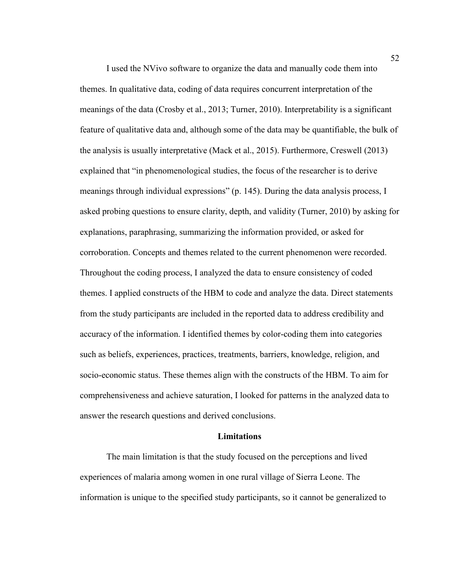I used the NVivo software to organize the data and manually code them into themes. In qualitative data, coding of data requires concurrent interpretation of the meanings of the data (Crosby et al., 2013; Turner, 2010). Interpretability is a significant feature of qualitative data and, although some of the data may be quantifiable, the bulk of the analysis is usually interpretative (Mack et al., 2015). Furthermore, Creswell (2013) explained that "in phenomenological studies, the focus of the researcher is to derive meanings through individual expressions" (p. 145). During the data analysis process, I asked probing questions to ensure clarity, depth, and validity (Turner, 2010) by asking for explanations, paraphrasing, summarizing the information provided, or asked for corroboration. Concepts and themes related to the current phenomenon were recorded. Throughout the coding process, I analyzed the data to ensure consistency of coded themes. I applied constructs of the HBM to code and analyze the data. Direct statements from the study participants are included in the reported data to address credibility and accuracy of the information. I identified themes by color-coding them into categories such as beliefs, experiences, practices, treatments, barriers, knowledge, religion, and socio-economic status. These themes align with the constructs of the HBM. To aim for comprehensiveness and achieve saturation, I looked for patterns in the analyzed data to answer the research questions and derived conclusions.

#### **Limitations**

The main limitation is that the study focused on the perceptions and lived experiences of malaria among women in one rural village of Sierra Leone. The information is unique to the specified study participants, so it cannot be generalized to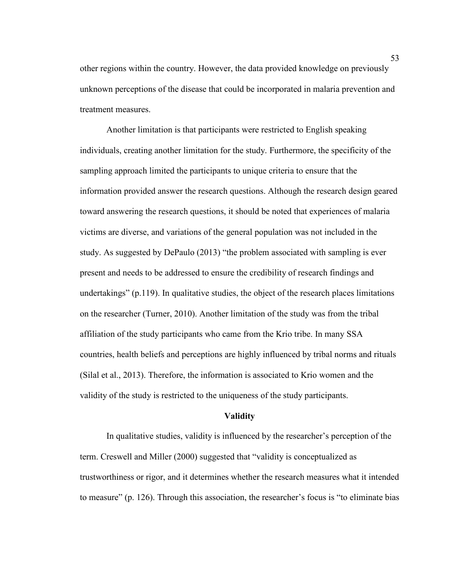other regions within the country. However, the data provided knowledge on previously unknown perceptions of the disease that could be incorporated in malaria prevention and treatment measures.

Another limitation is that participants were restricted to English speaking individuals, creating another limitation for the study. Furthermore, the specificity of the sampling approach limited the participants to unique criteria to ensure that the information provided answer the research questions. Although the research design geared toward answering the research questions, it should be noted that experiences of malaria victims are diverse, and variations of the general population was not included in the study. As suggested by DePaulo (2013) "the problem associated with sampling is ever present and needs to be addressed to ensure the credibility of research findings and undertakings"  $(p.119)$ . In qualitative studies, the object of the research places limitations on the researcher (Turner, 2010). Another limitation of the study was from the tribal affiliation of the study participants who came from the Krio tribe. In many SSA countries, health beliefs and perceptions are highly influenced by tribal norms and rituals (Silal et al., 2013). Therefore, the information is associated to Krio women and the validity of the study is restricted to the uniqueness of the study participants.

#### **Validity**

In qualitative studies, validity is influenced by the researcher's perception of the term. Creswell and Miller (2000) suggested that "validity is conceptualized as trustworthiness or rigor, and it determines whether the research measures what it intended to measure" (p. 126). Through this association, the researcher's focus is "to eliminate bias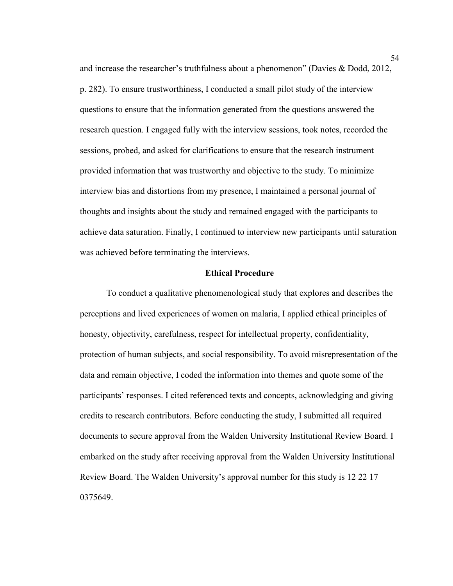and increase the researcher's truthfulness about a phenomenon" (Davies & Dodd, 2012, p. 282). To ensure trustworthiness, I conducted a small pilot study of the interview questions to ensure that the information generated from the questions answered the research question. I engaged fully with the interview sessions, took notes, recorded the sessions, probed, and asked for clarifications to ensure that the research instrument provided information that was trustworthy and objective to the study. To minimize interview bias and distortions from my presence, I maintained a personal journal of thoughts and insights about the study and remained engaged with the participants to achieve data saturation. Finally, I continued to interview new participants until saturation was achieved before terminating the interviews.

### **Ethical Procedure**

To conduct a qualitative phenomenological study that explores and describes the perceptions and lived experiences of women on malaria, I applied ethical principles of honesty, objectivity, carefulness, respect for intellectual property, confidentiality, protection of human subjects, and social responsibility. To avoid misrepresentation of the data and remain objective, I coded the information into themes and quote some of the participants' responses. I cited referenced texts and concepts, acknowledging and giving credits to research contributors. Before conducting the study, I submitted all required documents to secure approval from the Walden University Institutional Review Board. I embarked on the study after receiving approval from the Walden University Institutional Review Board. The Walden University's approval number for this study is 12 22 17 0375649.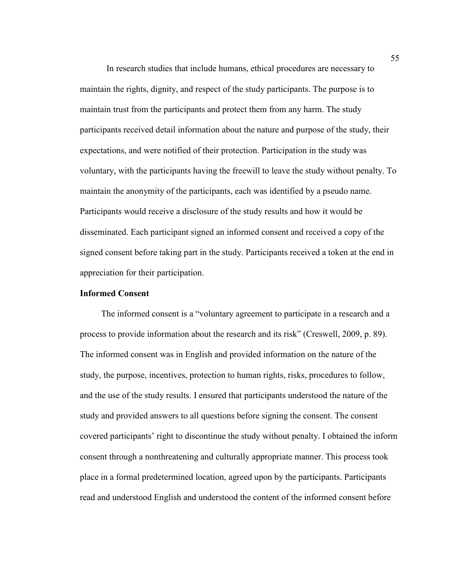In research studies that include humans, ethical procedures are necessary to maintain the rights, dignity, and respect of the study participants. The purpose is to maintain trust from the participants and protect them from any harm. The study participants received detail information about the nature and purpose of the study, their expectations, and were notified of their protection. Participation in the study was voluntary, with the participants having the freewill to leave the study without penalty. To maintain the anonymity of the participants, each was identified by a pseudo name. Participants would receive a disclosure of the study results and how it would be disseminated. Each participant signed an informed consent and received a copy of the signed consent before taking part in the study. Participants received a token at the end in appreciation for their participation.

### **Informed Consent**

The informed consent is a "voluntary agreement to participate in a research and a process to provide information about the research and its risk" (Creswell, 2009, p. 89). The informed consent was in English and provided information on the nature of the study, the purpose, incentives, protection to human rights, risks, procedures to follow, and the use of the study results. I ensured that participants understood the nature of the study and provided answers to all questions before signing the consent. The consent covered participants' right to discontinue the study without penalty. I obtained the inform consent through a nonthreatening and culturally appropriate manner. This process took place in a formal predetermined location, agreed upon by the participants. Participants read and understood English and understood the content of the informed consent before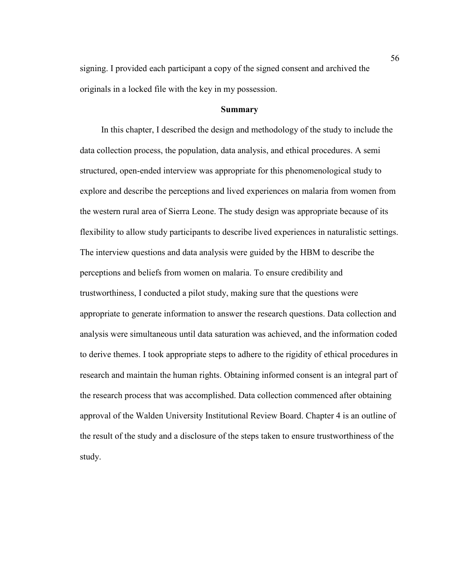signing. I provided each participant a copy of the signed consent and archived the originals in a locked file with the key in my possession.

# **Summary**

In this chapter, I described the design and methodology of the study to include the data collection process, the population, data analysis, and ethical procedures. A semi structured, open-ended interview was appropriate for this phenomenological study to explore and describe the perceptions and lived experiences on malaria from women from the western rural area of Sierra Leone. The study design was appropriate because of its flexibility to allow study participants to describe lived experiences in naturalistic settings. The interview questions and data analysis were guided by the HBM to describe the perceptions and beliefs from women on malaria. To ensure credibility and trustworthiness, I conducted a pilot study, making sure that the questions were appropriate to generate information to answer the research questions. Data collection and analysis were simultaneous until data saturation was achieved, and the information coded to derive themes. I took appropriate steps to adhere to the rigidity of ethical procedures in research and maintain the human rights. Obtaining informed consent is an integral part of the research process that was accomplished. Data collection commenced after obtaining approval of the Walden University Institutional Review Board. Chapter 4 is an outline of the result of the study and a disclosure of the steps taken to ensure trustworthiness of the study.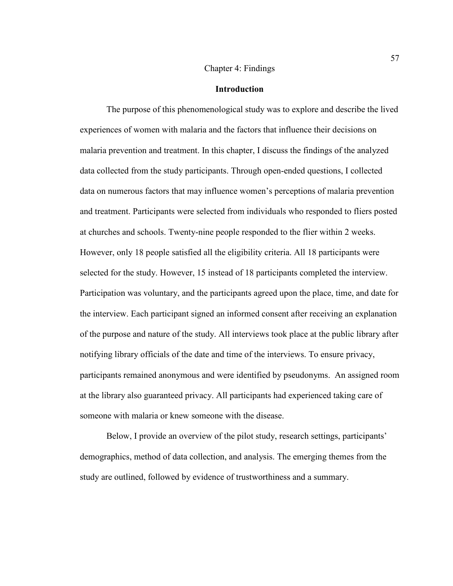#### Chapter 4: Findings

#### **Introduction**

The purpose of this phenomenological study was to explore and describe the lived experiences of women with malaria and the factors that influence their decisions on malaria prevention and treatment. In this chapter, I discuss the findings of the analyzed data collected from the study participants. Through open-ended questions, I collected data on numerous factors that may influence women's perceptions of malaria prevention and treatment. Participants were selected from individuals who responded to fliers posted at churches and schools. Twenty-nine people responded to the flier within 2 weeks. However, only 18 people satisfied all the eligibility criteria. All 18 participants were selected for the study. However, 15 instead of 18 participants completed the interview. Participation was voluntary, and the participants agreed upon the place, time, and date for the interview. Each participant signed an informed consent after receiving an explanation of the purpose and nature of the study. All interviews took place at the public library after notifying library officials of the date and time of the interviews. To ensure privacy, participants remained anonymous and were identified by pseudonyms. An assigned room at the library also guaranteed privacy. All participants had experienced taking care of someone with malaria or knew someone with the disease.

Below, I provide an overview of the pilot study, research settings, participants' demographics, method of data collection, and analysis. The emerging themes from the study are outlined, followed by evidence of trustworthiness and a summary.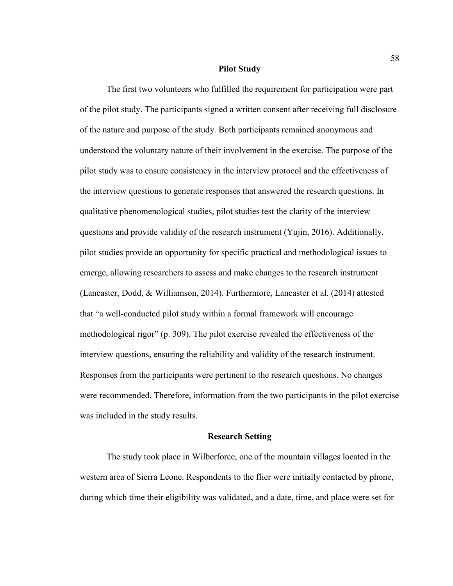#### **Pilot Study**

The first two volunteers who fulfilled the requirement for participation were part of the pilot study. The participants signed a written consent after receiving full disclosure of the nature and purpose of the study. Both participants remained anonymous and understood the voluntary nature of their involvement in the exercise. The purpose of the pilot study was to ensure consistency in the interview protocol and the effectiveness of the interview questions to generate responses that answered the research questions. In qualitative phenomenological studies, pilot studies test the clarity of the interview questions and provide validity of the research instrument (Yujin, 2016). Additionally, pilot studies provide an opportunity for specific practical and methodological issues to emerge, allowing researchers to assess and make changes to the research instrument (Lancaster, Dodd, & Williamson, 2014). Furthermore, Lancaster et al. (2014) attested that "a well-conducted pilot study within a formal framework will encourage methodological rigor" (p. 309). The pilot exercise revealed the effectiveness of the interview questions, ensuring the reliability and validity of the research instrument. Responses from the participants were pertinent to the research questions. No changes were recommended. Therefore, information from the two participants in the pilot exercise was included in the study results.

#### **Research Setting**

The study took place in Wilberforce, one of the mountain villages located in the western area of Sierra Leone. Respondents to the flier were initially contacted by phone, during which time their eligibility was validated, and a date, time, and place were set for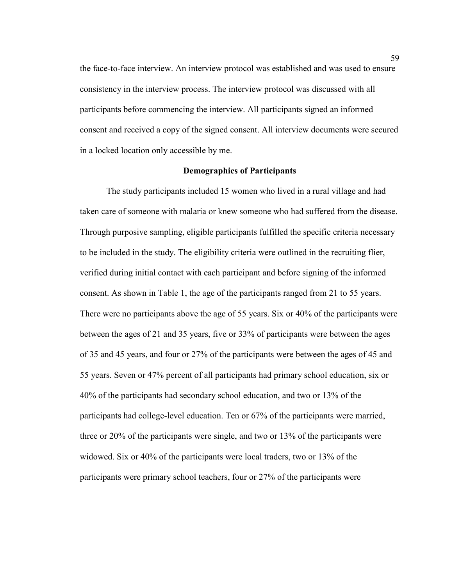the face-to-face interview. An interview protocol was established and was used to ensure consistency in the interview process. The interview protocol was discussed with all participants before commencing the interview. All participants signed an informed consent and received a copy of the signed consent. All interview documents were secured in a locked location only accessible by me.

### **Demographics of Participants**

The study participants included 15 women who lived in a rural village and had taken care of someone with malaria or knew someone who had suffered from the disease. Through purposive sampling, eligible participants fulfilled the specific criteria necessary to be included in the study. The eligibility criteria were outlined in the recruiting flier, verified during initial contact with each participant and before signing of the informed consent. As shown in Table 1, the age of the participants ranged from 21 to 55 years. There were no participants above the age of 55 years. Six or 40% of the participants were between the ages of 21 and 35 years, five or 33% of participants were between the ages of 35 and 45 years, and four or 27% of the participants were between the ages of 45 and 55 years. Seven or 47% percent of all participants had primary school education, six or 40% of the participants had secondary school education, and two or 13% of the participants had college-level education. Ten or 67% of the participants were married, three or 20% of the participants were single, and two or 13% of the participants were widowed. Six or 40% of the participants were local traders, two or 13% of the participants were primary school teachers, four or 27% of the participants were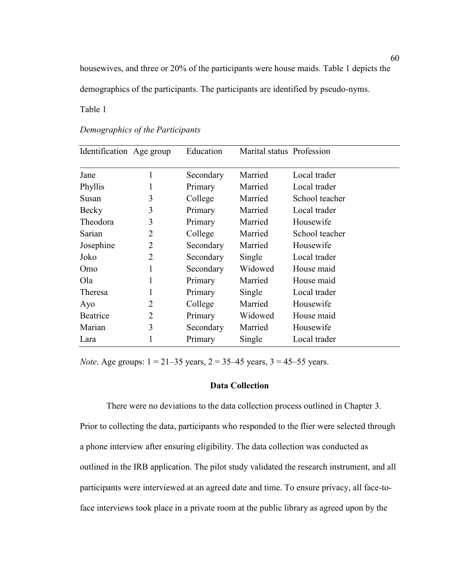housewives, and three or 20% of the participants were house maids. Table 1 depicts the demographics of the participants. The participants are identified by pseudo-nyms.

Table 1

| Identification Age group |                | Education | Marital status Profession |                |
|--------------------------|----------------|-----------|---------------------------|----------------|
| Jane                     | 1              | Secondary | Married                   | Local trader   |
| Phyllis                  | 1              | Primary   | Married                   | Local trader   |
| Susan                    | 3              | College   | Married                   | School teacher |
| Becky                    | 3              | Primary   | Married                   | Local trader   |
| Theodora                 | 3              | Primary   | Married                   | Housewife      |
| Sarian                   | 2              | College   | Married                   | School teacher |
| Josephine                | 2              | Secondary | Married                   | Housewife      |
| Joko                     | $\overline{2}$ | Secondary | Single                    | Local trader   |
| Omo                      | 1              | Secondary | Widowed                   | House maid     |
| Ola                      | 1              | Primary   | Married                   | House maid     |
| Theresa                  |                | Primary   | Single                    | Local trader   |
| Ayo                      | 2              | College   | Married                   | Housewife      |
| Beatrice                 | 2              | Primary   | Widowed                   | House maid     |
| Marian                   | 3              | Secondary | Married                   | Housewife      |
| Lara                     |                | Primary   | Single                    | Local trader   |

*Demographics of the Participants*

*Note*. Age groups: 1 = 21–35 years, 2 = 35–45 years, 3 = 45–55 years.

#### **Data Collection**

There were no deviations to the data collection process outlined in Chapter 3. Prior to collecting the data, participants who responded to the flier were selected through a phone interview after ensuring eligibility. The data collection was conducted as outlined in the IRB application. The pilot study validated the research instrument, and all participants were interviewed at an agreed date and time. To ensure privacy, all face-toface interviews took place in a private room at the public library as agreed upon by the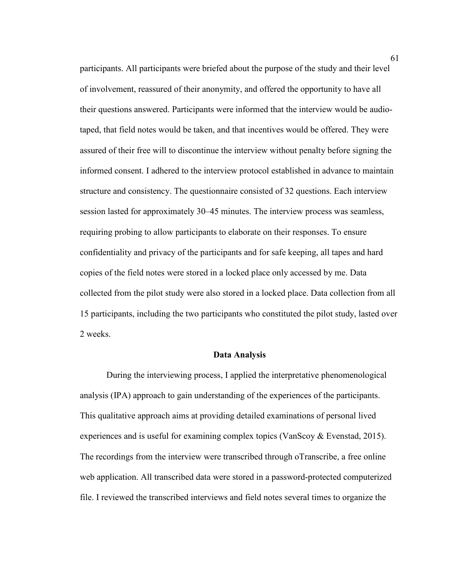participants. All participants were briefed about the purpose of the study and their level of involvement, reassured of their anonymity, and offered the opportunity to have all their questions answered. Participants were informed that the interview would be audiotaped, that field notes would be taken, and that incentives would be offered. They were assured of their free will to discontinue the interview without penalty before signing the informed consent. I adhered to the interview protocol established in advance to maintain structure and consistency. The questionnaire consisted of 32 questions. Each interview session lasted for approximately 30–45 minutes. The interview process was seamless, requiring probing to allow participants to elaborate on their responses. To ensure confidentiality and privacy of the participants and for safe keeping, all tapes and hard copies of the field notes were stored in a locked place only accessed by me. Data collected from the pilot study were also stored in a locked place. Data collection from all 15 participants, including the two participants who constituted the pilot study, lasted over 2 weeks.

#### **Data Analysis**

During the interviewing process, I applied the interpretative phenomenological analysis (IPA) approach to gain understanding of the experiences of the participants. This qualitative approach aims at providing detailed examinations of personal lived experiences and is useful for examining complex topics (VanScoy & Evenstad, 2015). The recordings from the interview were transcribed through oTranscribe, a free online web application. All transcribed data were stored in a password-protected computerized file. I reviewed the transcribed interviews and field notes several times to organize the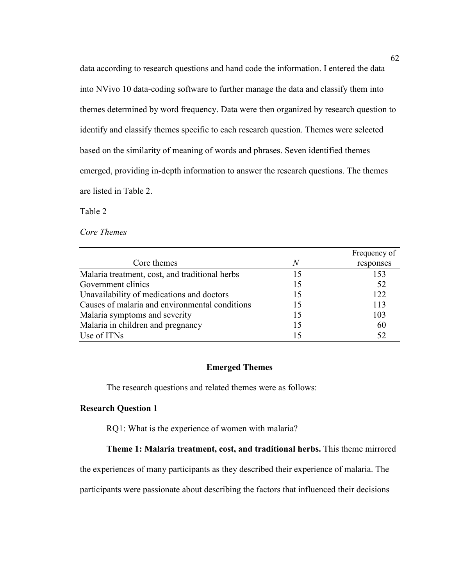data according to research questions and hand code the information. I entered the data into NVivo 10 data-coding software to further manage the data and classify them into themes determined by word frequency. Data were then organized by research question to identify and classify themes specific to each research question. Themes were selected based on the similarity of meaning of words and phrases. Seven identified themes emerged, providing in-depth information to answer the research questions. The themes are listed in Table 2.

Table 2

*Core Themes*

|                                                |                | Frequency of |
|------------------------------------------------|----------------|--------------|
| Core themes                                    | $\overline{N}$ | responses    |
| Malaria treatment, cost, and traditional herbs | 15             | 153          |
| Government clinics                             | 15             | 52           |
| Unavailability of medications and doctors      | 15             | 122.         |
| Causes of malaria and environmental conditions | 15             | 113          |
| Malaria symptoms and severity                  | 15             | 103          |
| Malaria in children and pregnancy              | 15             | 60           |
| Use of ITNs                                    | 15             | 52           |

#### **Emerged Themes**

The research questions and related themes were as follows:

## **Research Question 1**

RQ1: What is the experience of women with malaria?

## **Theme 1: Malaria treatment, cost, and traditional herbs.** This theme mirrored

the experiences of many participants as they described their experience of malaria. The

participants were passionate about describing the factors that influenced their decisions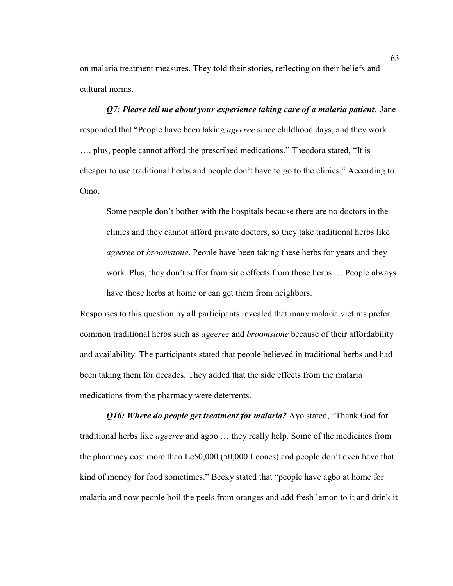on malaria treatment measures. They told their stories, reflecting on their beliefs and cultural norms.

*Q7: Please tell me about your experience taking care of a malaria patient*. Jane responded that "People have been taking *ageeree* since childhood days, and they work …. plus, people cannot afford the prescribed medications." Theodora stated, "It is cheaper to use traditional herbs and people don't have to go to the clinics." According to Omo,

Some people don't bother with the hospitals because there are no doctors in the clinics and they cannot afford private doctors, so they take traditional herbs like *ageeree* or *broomstone*. People have been taking these herbs for years and they work. Plus, they don't suffer from side effects from those herbs … People always have those herbs at home or can get them from neighbors.

Responses to this question by all participants revealed that many malaria victims prefer common traditional herbs such as *ageeree* and *broomstone* because of their affordability and availability. The participants stated that people believed in traditional herbs and had been taking them for decades. They added that the side effects from the malaria medications from the pharmacy were deterrents.

*Q16: Where do people get treatment for malaria?* Ayo stated, "Thank God for traditional herbs like *ageeree* and agbo … they really help. Some of the medicines from the pharmacy cost more than Le50,000 (50,000 Leones) and people don't even have that kind of money for food sometimes." Becky stated that "people have agbo at home for malaria and now people boil the peels from oranges and add fresh lemon to it and drink it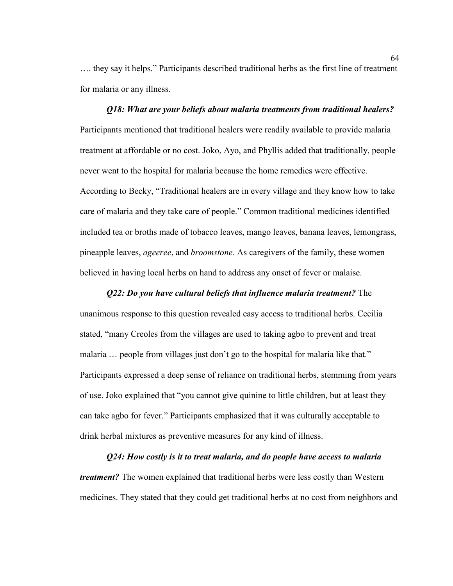…. they say it helps." Participants described traditional herbs as the first line of treatment for malaria or any illness.

# *Q18: What are your beliefs about malaria treatments from traditional healers?*  Participants mentioned that traditional healers were readily available to provide malaria treatment at affordable or no cost. Joko, Ayo, and Phyllis added that traditionally, people never went to the hospital for malaria because the home remedies were effective. According to Becky, "Traditional healers are in every village and they know how to take care of malaria and they take care of people." Common traditional medicines identified included tea or broths made of tobacco leaves, mango leaves, banana leaves, lemongrass, pineapple leaves, *ageeree*, and *broomstone.* As caregivers of the family, these women believed in having local herbs on hand to address any onset of fever or malaise.

*Q22: Do you have cultural beliefs that influence malaria treatment?* The unanimous response to this question revealed easy access to traditional herbs. Cecilia stated, "many Creoles from the villages are used to taking agbo to prevent and treat malaria … people from villages just don't go to the hospital for malaria like that." Participants expressed a deep sense of reliance on traditional herbs, stemming from years of use. Joko explained that "you cannot give quinine to little children, but at least they can take agbo for fever." Participants emphasized that it was culturally acceptable to drink herbal mixtures as preventive measures for any kind of illness.

*Q24: How costly is it to treat malaria, and do people have access to malaria treatment?* The women explained that traditional herbs were less costly than Western medicines. They stated that they could get traditional herbs at no cost from neighbors and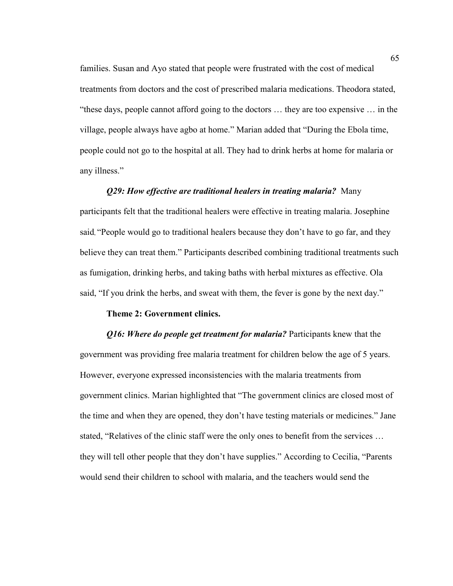families. Susan and Ayo stated that people were frustrated with the cost of medical treatments from doctors and the cost of prescribed malaria medications. Theodora stated, "these days, people cannot afford going to the doctors … they are too expensive … in the village, people always have agbo at home." Marian added that "During the Ebola time, people could not go to the hospital at all. They had to drink herbs at home for malaria or any illness."

## *Q29: How effective are traditional healers in treating malaria?* Many participants felt that the traditional healers were effective in treating malaria. Josephine said, "People would go to traditional healers because they don't have to go far, and they

believe they can treat them." Participants described combining traditional treatments such as fumigation, drinking herbs, and taking baths with herbal mixtures as effective. Ola said, "If you drink the herbs, and sweat with them, the fever is gone by the next day."

#### **Theme 2: Government clinics.**

*Q16: Where do people get treatment for malaria?* Participants knew that the government was providing free malaria treatment for children below the age of 5 years. However, everyone expressed inconsistencies with the malaria treatments from government clinics. Marian highlighted that "The government clinics are closed most of the time and when they are opened, they don't have testing materials or medicines." Jane stated, "Relatives of the clinic staff were the only ones to benefit from the services … they will tell other people that they don't have supplies." According to Cecilia, "Parents would send their children to school with malaria, and the teachers would send the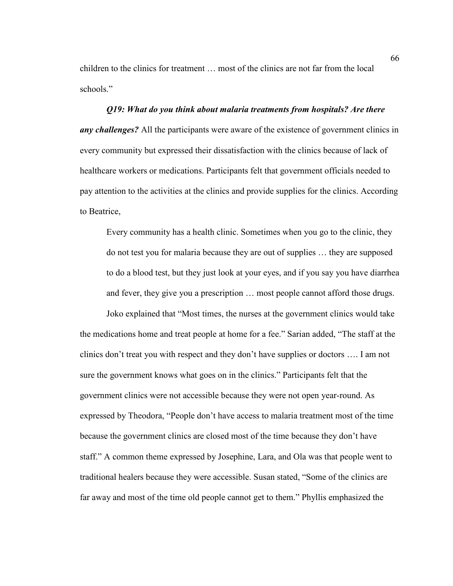children to the clinics for treatment … most of the clinics are not far from the local schools."

## *Q19: What do you think about malaria treatments from hospitals? Are there any challenges?* All the participants were aware of the existence of government clinics in every community but expressed their dissatisfaction with the clinics because of lack of healthcare workers or medications. Participants felt that government officials needed to pay attention to the activities at the clinics and provide supplies for the clinics. According to Beatrice,

Every community has a health clinic. Sometimes when you go to the clinic, they do not test you for malaria because they are out of supplies … they are supposed to do a blood test, but they just look at your eyes, and if you say you have diarrhea and fever, they give you a prescription … most people cannot afford those drugs.

Joko explained that "Most times, the nurses at the government clinics would take the medications home and treat people at home for a fee." Sarian added, "The staff at the clinics don't treat you with respect and they don't have supplies or doctors …. I am not sure the government knows what goes on in the clinics." Participants felt that the government clinics were not accessible because they were not open year-round. As expressed by Theodora, "People don't have access to malaria treatment most of the time because the government clinics are closed most of the time because they don't have staff." A common theme expressed by Josephine, Lara, and Ola was that people went to traditional healers because they were accessible. Susan stated, "Some of the clinics are far away and most of the time old people cannot get to them." Phyllis emphasized the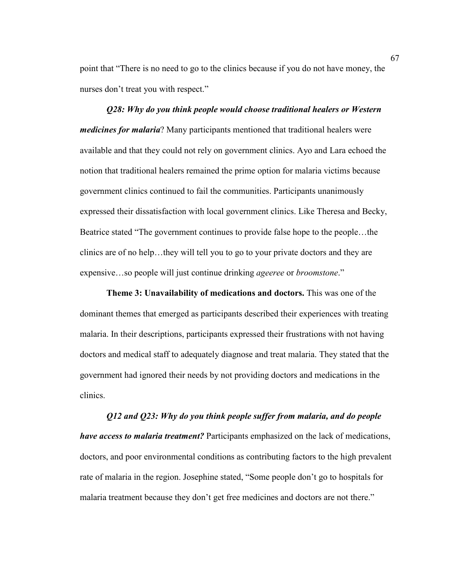point that "There is no need to go to the clinics because if you do not have money, the nurses don't treat you with respect."

*Q28: Why do you think people would choose traditional healers or Western medicines for malaria*? Many participants mentioned that traditional healers were available and that they could not rely on government clinics. Ayo and Lara echoed the notion that traditional healers remained the prime option for malaria victims because government clinics continued to fail the communities. Participants unanimously expressed their dissatisfaction with local government clinics. Like Theresa and Becky, Beatrice stated "The government continues to provide false hope to the people…the clinics are of no help…they will tell you to go to your private doctors and they are expensive…so people will just continue drinking *ageeree* or *broomstone*."

**Theme 3: Unavailability of medications and doctors.** This was one of the dominant themes that emerged as participants described their experiences with treating malaria. In their descriptions, participants expressed their frustrations with not having doctors and medical staff to adequately diagnose and treat malaria. They stated that the government had ignored their needs by not providing doctors and medications in the clinics.

*Q12 and Q23: Why do you think people suffer from malaria, and do people have access to malaria treatment?* Participants emphasized on the lack of medications, doctors, and poor environmental conditions as contributing factors to the high prevalent rate of malaria in the region. Josephine stated, "Some people don't go to hospitals for malaria treatment because they don't get free medicines and doctors are not there."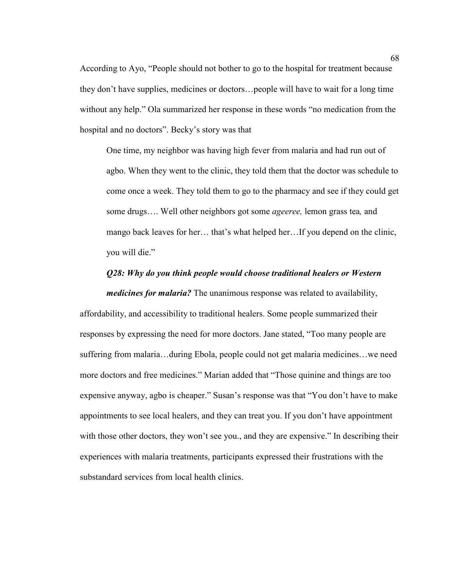According to Ayo, "People should not bother to go to the hospital for treatment because they don't have supplies, medicines or doctors…people will have to wait for a long time without any help." Ola summarized her response in these words "no medication from the hospital and no doctors". Becky's story was that

One time, my neighbor was having high fever from malaria and had run out of agbo. When they went to the clinic, they told them that the doctor was schedule to come once a week. They told them to go to the pharmacy and see if they could get some drugs…. Well other neighbors got some *ageeree,* lemon grass tea*,* and mango back leaves for her… that's what helped her…If you depend on the clinic, you will die."

#### *Q28: Why do you think people would choose traditional healers or Western*

*medicines for malaria?* The unanimous response was related to availability, affordability, and accessibility to traditional healers. Some people summarized their responses by expressing the need for more doctors. Jane stated, "Too many people are suffering from malaria…during Ebola, people could not get malaria medicines…we need more doctors and free medicines." Marian added that "Those quinine and things are too expensive anyway, agbo is cheaper." Susan's response was that "You don't have to make appointments to see local healers, and they can treat you. If you don't have appointment with those other doctors, they won't see you., and they are expensive." In describing their experiences with malaria treatments, participants expressed their frustrations with the substandard services from local health clinics.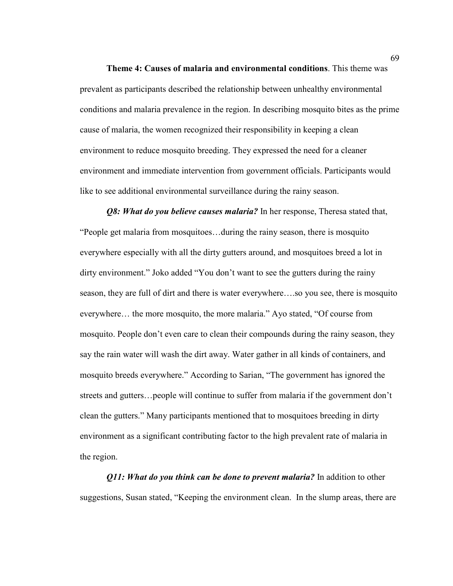**Theme 4: Causes of malaria and environmental conditions**. This theme was prevalent as participants described the relationship between unhealthy environmental conditions and malaria prevalence in the region. In describing mosquito bites as the prime cause of malaria, the women recognized their responsibility in keeping a clean environment to reduce mosquito breeding. They expressed the need for a cleaner environment and immediate intervention from government officials. Participants would like to see additional environmental surveillance during the rainy season.

*Q8: What do you believe causes malaria?* In her response, Theresa stated that, "People get malaria from mosquitoes…during the rainy season, there is mosquito everywhere especially with all the dirty gutters around, and mosquitoes breed a lot in dirty environment." Joko added "You don't want to see the gutters during the rainy season, they are full of dirt and there is water everywhere….so you see, there is mosquito everywhere… the more mosquito, the more malaria." Ayo stated, "Of course from mosquito. People don't even care to clean their compounds during the rainy season, they say the rain water will wash the dirt away. Water gather in all kinds of containers, and mosquito breeds everywhere." According to Sarian, "The government has ignored the streets and gutters…people will continue to suffer from malaria if the government don't clean the gutters." Many participants mentioned that to mosquitoes breeding in dirty environment as a significant contributing factor to the high prevalent rate of malaria in the region.

*Q11: What do you think can be done to prevent malaria?* In addition to other suggestions, Susan stated, "Keeping the environment clean. In the slump areas, there are

69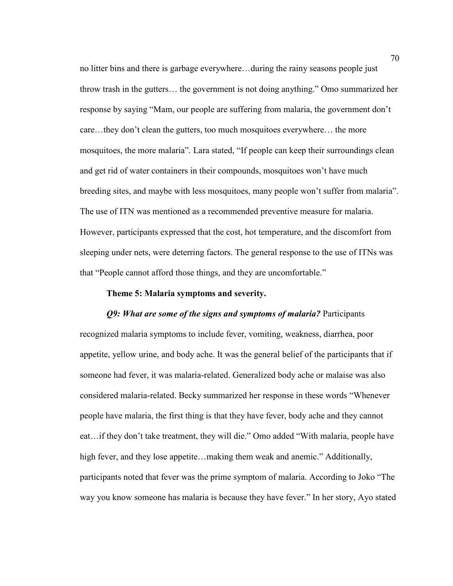no litter bins and there is garbage everywhere…during the rainy seasons people just throw trash in the gutters… the government is not doing anything." Omo summarized her response by saying "Mam, our people are suffering from malaria, the government don't care…they don't clean the gutters, too much mosquitoes everywhere… the more mosquitoes, the more malaria". Lara stated, "If people can keep their surroundings clean and get rid of water containers in their compounds, mosquitoes won't have much breeding sites, and maybe with less mosquitoes, many people won't suffer from malaria". The use of ITN was mentioned as a recommended preventive measure for malaria. However, participants expressed that the cost, hot temperature, and the discomfort from sleeping under nets, were deterring factors. The general response to the use of ITNs was that "People cannot afford those things, and they are uncomfortable."

#### **Theme 5: Malaria symptoms and severity.**

## *Q9: What are some of the signs and symptoms of malaria?* Participants

recognized malaria symptoms to include fever, vomiting, weakness, diarrhea, poor appetite, yellow urine, and body ache. It was the general belief of the participants that if someone had fever, it was malaria-related. Generalized body ache or malaise was also considered malaria-related. Becky summarized her response in these words "Whenever people have malaria, the first thing is that they have fever, body ache and they cannot eat…if they don't take treatment, they will die." Omo added "With malaria, people have high fever, and they lose appetite…making them weak and anemic." Additionally, participants noted that fever was the prime symptom of malaria. According to Joko "The way you know someone has malaria is because they have fever." In her story, Ayo stated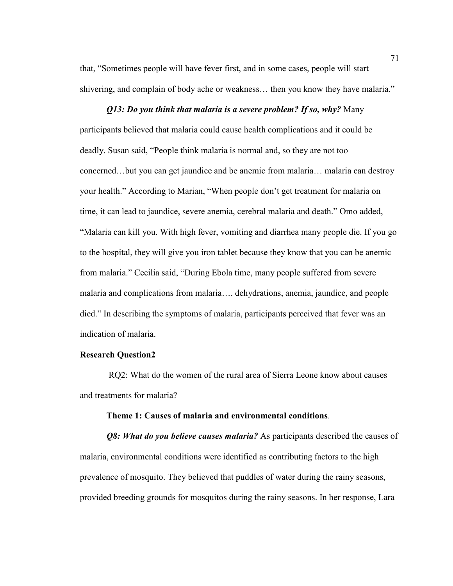that, "Sometimes people will have fever first, and in some cases, people will start shivering, and complain of body ache or weakness… then you know they have malaria."

#### *Q13: Do you think that malaria is a severe problem? If so, why?* Many

participants believed that malaria could cause health complications and it could be deadly. Susan said, "People think malaria is normal and, so they are not too concerned…but you can get jaundice and be anemic from malaria… malaria can destroy your health." According to Marian, "When people don't get treatment for malaria on time, it can lead to jaundice, severe anemia, cerebral malaria and death." Omo added, "Malaria can kill you. With high fever, vomiting and diarrhea many people die. If you go to the hospital, they will give you iron tablet because they know that you can be anemic from malaria." Cecilia said, "During Ebola time, many people suffered from severe malaria and complications from malaria…. dehydrations, anemia, jaundice, and people died." In describing the symptoms of malaria, participants perceived that fever was an indication of malaria.

#### **Research Question2**

 RQ2: What do the women of the rural area of Sierra Leone know about causes and treatments for malaria?

#### **Theme 1: Causes of malaria and environmental conditions**.

*Q8: What do you believe causes malaria?* As participants described the causes of malaria, environmental conditions were identified as contributing factors to the high prevalence of mosquito. They believed that puddles of water during the rainy seasons, provided breeding grounds for mosquitos during the rainy seasons. In her response, Lara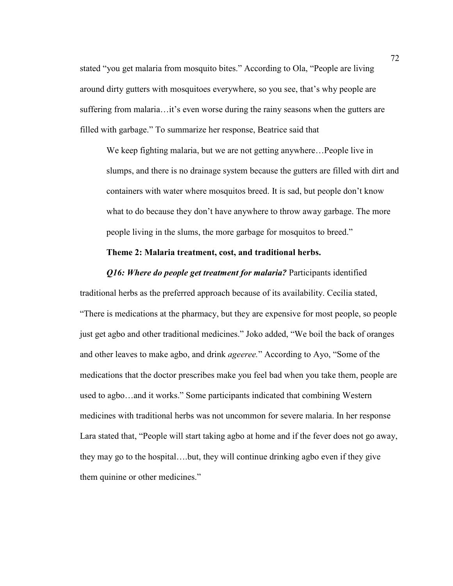stated "you get malaria from mosquito bites." According to Ola, "People are living around dirty gutters with mosquitoes everywhere, so you see, that's why people are suffering from malaria…it's even worse during the rainy seasons when the gutters are filled with garbage." To summarize her response, Beatrice said that

We keep fighting malaria, but we are not getting anywhere…People live in slumps, and there is no drainage system because the gutters are filled with dirt and containers with water where mosquitos breed. It is sad, but people don't know what to do because they don't have anywhere to throw away garbage. The more people living in the slums, the more garbage for mosquitos to breed."

#### **Theme 2: Malaria treatment, cost, and traditional herbs.**

*Q16: Where do people get treatment for malaria? Participants identified* traditional herbs as the preferred approach because of its availability. Cecilia stated, "There is medications at the pharmacy, but they are expensive for most people, so people just get agbo and other traditional medicines." Joko added, "We boil the back of oranges and other leaves to make agbo, and drink *ageeree.*" According to Ayo, "Some of the medications that the doctor prescribes make you feel bad when you take them, people are used to agbo…and it works." Some participants indicated that combining Western medicines with traditional herbs was not uncommon for severe malaria. In her response Lara stated that, "People will start taking agbo at home and if the fever does not go away, they may go to the hospital….but, they will continue drinking agbo even if they give them quinine or other medicines."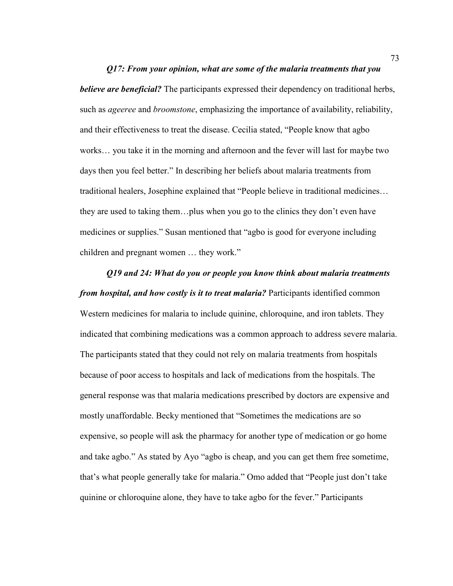*Q17: From your opinion, what are some of the malaria treatments that you believe are beneficial?* The participants expressed their dependency on traditional herbs, such as *ageeree* and *broomstone*, emphasizing the importance of availability, reliability, and their effectiveness to treat the disease. Cecilia stated, "People know that agbo works… you take it in the morning and afternoon and the fever will last for maybe two days then you feel better." In describing her beliefs about malaria treatments from traditional healers, Josephine explained that "People believe in traditional medicines… they are used to taking them…plus when you go to the clinics they don't even have medicines or supplies." Susan mentioned that "agbo is good for everyone including children and pregnant women … they work."

*Q19 and 24: What do you or people you know think about malaria treatments from hospital, and how costly is it to treat malaria?* Participants identified common Western medicines for malaria to include quinine, chloroquine, and iron tablets. They indicated that combining medications was a common approach to address severe malaria. The participants stated that they could not rely on malaria treatments from hospitals because of poor access to hospitals and lack of medications from the hospitals. The general response was that malaria medications prescribed by doctors are expensive and mostly unaffordable. Becky mentioned that "Sometimes the medications are so expensive, so people will ask the pharmacy for another type of medication or go home and take agbo." As stated by Ayo "agbo is cheap, and you can get them free sometime, that's what people generally take for malaria." Omo added that "People just don't take quinine or chloroquine alone, they have to take agbo for the fever." Participants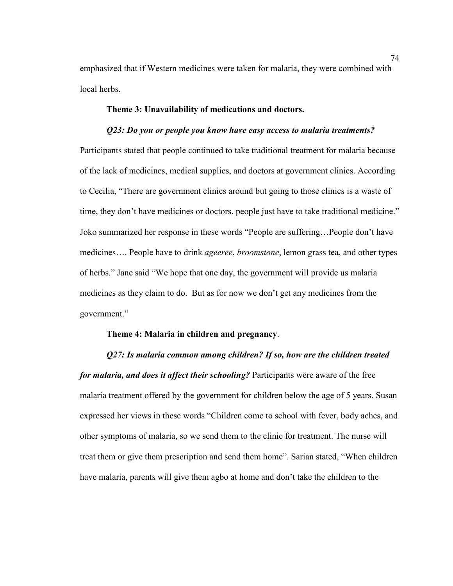emphasized that if Western medicines were taken for malaria, they were combined with local herbs.

## **Theme 3: Unavailability of medications and doctors.**

#### *Q23: Do you or people you know have easy access to malaria treatments?*

Participants stated that people continued to take traditional treatment for malaria because of the lack of medicines, medical supplies, and doctors at government clinics. According to Cecilia, "There are government clinics around but going to those clinics is a waste of time, they don't have medicines or doctors, people just have to take traditional medicine." Joko summarized her response in these words "People are suffering…People don't have medicines…. People have to drink *ageeree*, *broomstone*, lemon grass tea, and other types of herbs." Jane said "We hope that one day, the government will provide us malaria medicines as they claim to do. But as for now we don't get any medicines from the government."

#### **Theme 4: Malaria in children and pregnancy**.

*Q27: Is malaria common among children? If so, how are the children treated for malaria, and does it affect their schooling?* Participants were aware of the free malaria treatment offered by the government for children below the age of 5 years. Susan expressed her views in these words "Children come to school with fever, body aches, and other symptoms of malaria, so we send them to the clinic for treatment. The nurse will treat them or give them prescription and send them home". Sarian stated, "When children have malaria, parents will give them agbo at home and don't take the children to the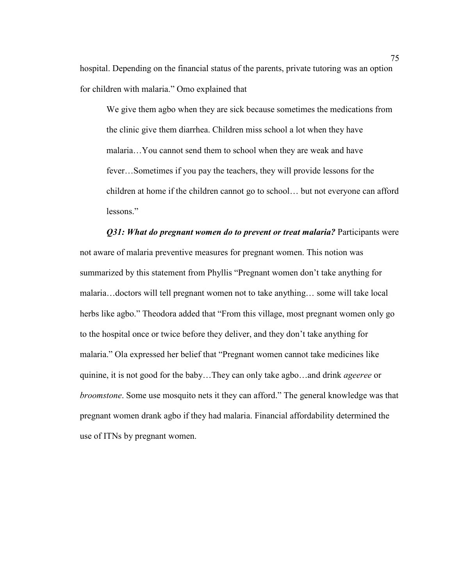hospital. Depending on the financial status of the parents, private tutoring was an option for children with malaria." Omo explained that

We give them agbo when they are sick because sometimes the medications from the clinic give them diarrhea. Children miss school a lot when they have malaria…You cannot send them to school when they are weak and have fever…Sometimes if you pay the teachers, they will provide lessons for the children at home if the children cannot go to school… but not everyone can afford lessons."

#### *Q31: What do pregnant women do to prevent or treat malaria? Participants were*

not aware of malaria preventive measures for pregnant women. This notion was summarized by this statement from Phyllis "Pregnant women don't take anything for malaria…doctors will tell pregnant women not to take anything… some will take local herbs like agbo." Theodora added that "From this village, most pregnant women only go to the hospital once or twice before they deliver, and they don't take anything for malaria." Ola expressed her belief that "Pregnant women cannot take medicines like quinine, it is not good for the baby…They can only take agbo…and drink *ageeree* or *broomstone*. Some use mosquito nets it they can afford." The general knowledge was that pregnant women drank agbo if they had malaria. Financial affordability determined the use of ITNs by pregnant women.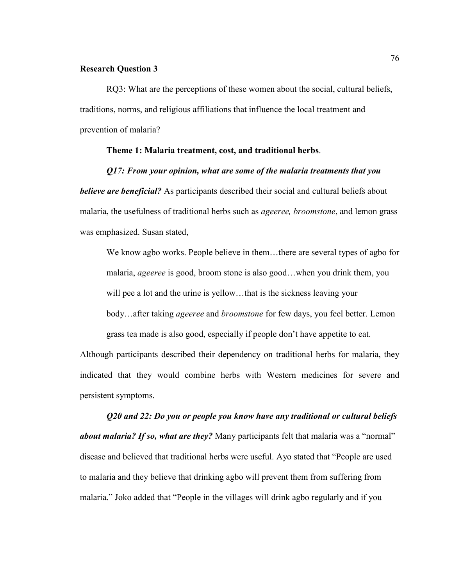## **Research Question 3**

RQ3: What are the perceptions of these women about the social, cultural beliefs, traditions, norms, and religious affiliations that influence the local treatment and prevention of malaria?

#### **Theme 1: Malaria treatment, cost, and traditional herbs**.

#### *Q17: From your opinion, what are some of the malaria treatments that you*

*believe are beneficial?* As participants described their social and cultural beliefs about malaria, the usefulness of traditional herbs such as *ageeree, broomstone*, and lemon grass was emphasized. Susan stated,

We know agbo works. People believe in them…there are several types of agbo for malaria, *ageeree* is good, broom stone is also good…when you drink them, you will pee a lot and the urine is yellow...that is the sickness leaving your body…after taking *ageeree* and *broomstone* for few days, you feel better. Lemon grass tea made is also good, especially if people don't have appetite to eat.

Although participants described their dependency on traditional herbs for malaria, they indicated that they would combine herbs with Western medicines for severe and persistent symptoms.

*Q20 and 22: Do you or people you know have any traditional or cultural beliefs about malaria? If so, what are they?* Many participants felt that malaria was a "normal" disease and believed that traditional herbs were useful. Ayo stated that "People are used to malaria and they believe that drinking agbo will prevent them from suffering from malaria." Joko added that "People in the villages will drink agbo regularly and if you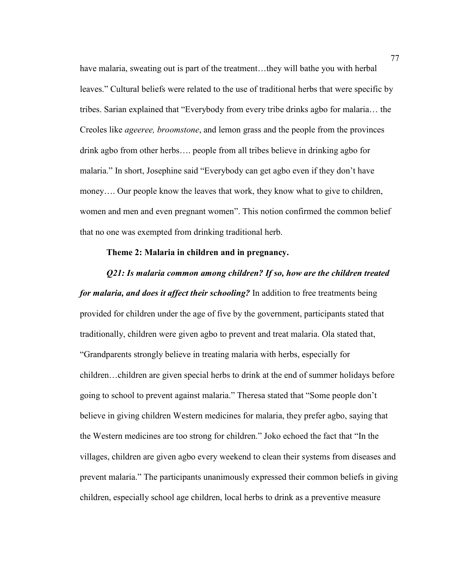have malaria, sweating out is part of the treatment...they will bathe you with herbal leaves." Cultural beliefs were related to the use of traditional herbs that were specific by tribes. Sarian explained that "Everybody from every tribe drinks agbo for malaria… the Creoles like *ageeree, broomstone*, and lemon grass and the people from the provinces drink agbo from other herbs…. people from all tribes believe in drinking agbo for malaria." In short, Josephine said "Everybody can get agbo even if they don't have money.... Our people know the leaves that work, they know what to give to children, women and men and even pregnant women". This notion confirmed the common belief that no one was exempted from drinking traditional herb.

## **Theme 2: Malaria in children and in pregnancy.**

#### *Q21: Is malaria common among children? If so, how are the children treated*

*for malaria, and does it affect their schooling?* In addition to free treatments being provided for children under the age of five by the government, participants stated that traditionally, children were given agbo to prevent and treat malaria. Ola stated that, "Grandparents strongly believe in treating malaria with herbs, especially for children…children are given special herbs to drink at the end of summer holidays before going to school to prevent against malaria." Theresa stated that "Some people don't believe in giving children Western medicines for malaria, they prefer agbo, saying that the Western medicines are too strong for children." Joko echoed the fact that "In the villages, children are given agbo every weekend to clean their systems from diseases and prevent malaria." The participants unanimously expressed their common beliefs in giving children, especially school age children, local herbs to drink as a preventive measure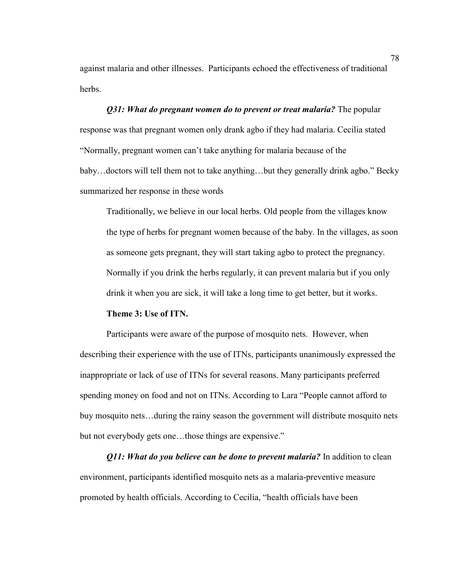against malaria and other illnesses. Participants echoed the effectiveness of traditional herbs.

## *Q31: What do pregnant women do to prevent or treat malaria?* **The popular** response was that pregnant women only drank agbo if they had malaria. Cecilia stated "Normally, pregnant women can't take anything for malaria because of the baby…doctors will tell them not to take anything…but they generally drink agbo." Becky summarized her response in these words

Traditionally, we believe in our local herbs. Old people from the villages know the type of herbs for pregnant women because of the baby. In the villages, as soon as someone gets pregnant, they will start taking agbo to protect the pregnancy. Normally if you drink the herbs regularly, it can prevent malaria but if you only drink it when you are sick, it will take a long time to get better, but it works.

#### **Theme 3: Use of ITN.**

Participants were aware of the purpose of mosquito nets. However, when describing their experience with the use of ITNs, participants unanimously expressed the inappropriate or lack of use of ITNs for several reasons. Many participants preferred spending money on food and not on ITNs. According to Lara "People cannot afford to buy mosquito nets…during the rainy season the government will distribute mosquito nets but not everybody gets one…those things are expensive."

*Q11: What do you believe can be done to prevent malaria?* In addition to clean environment, participants identified mosquito nets as a malaria-preventive measure promoted by health officials. According to Cecilia, "health officials have been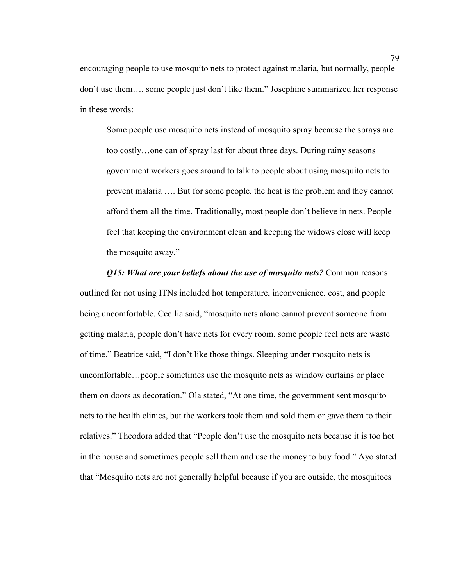encouraging people to use mosquito nets to protect against malaria, but normally, people don't use them…. some people just don't like them." Josephine summarized her response in these words:

Some people use mosquito nets instead of mosquito spray because the sprays are too costly…one can of spray last for about three days. During rainy seasons government workers goes around to talk to people about using mosquito nets to prevent malaria …. But for some people, the heat is the problem and they cannot afford them all the time. Traditionally, most people don't believe in nets. People feel that keeping the environment clean and keeping the widows close will keep the mosquito away."

*Q15: What are your beliefs about the use of mosquito nets?* Common reasons outlined for not using ITNs included hot temperature, inconvenience, cost, and people being uncomfortable. Cecilia said, "mosquito nets alone cannot prevent someone from getting malaria, people don't have nets for every room, some people feel nets are waste of time." Beatrice said, "I don't like those things. Sleeping under mosquito nets is uncomfortable…people sometimes use the mosquito nets as window curtains or place them on doors as decoration." Ola stated, "At one time, the government sent mosquito nets to the health clinics, but the workers took them and sold them or gave them to their relatives." Theodora added that "People don't use the mosquito nets because it is too hot in the house and sometimes people sell them and use the money to buy food." Ayo stated that "Mosquito nets are not generally helpful because if you are outside, the mosquitoes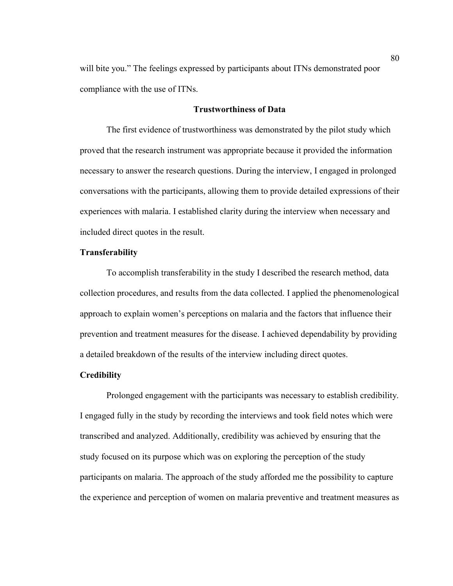will bite you." The feelings expressed by participants about ITNs demonstrated poor compliance with the use of ITNs.

## **Trustworthiness of Data**

The first evidence of trustworthiness was demonstrated by the pilot study which proved that the research instrument was appropriate because it provided the information necessary to answer the research questions. During the interview, I engaged in prolonged conversations with the participants, allowing them to provide detailed expressions of their experiences with malaria. I established clarity during the interview when necessary and included direct quotes in the result.

## **Transferability**

To accomplish transferability in the study I described the research method, data collection procedures, and results from the data collected. I applied the phenomenological approach to explain women's perceptions on malaria and the factors that influence their prevention and treatment measures for the disease. I achieved dependability by providing a detailed breakdown of the results of the interview including direct quotes.

#### **Credibility**

Prolonged engagement with the participants was necessary to establish credibility. I engaged fully in the study by recording the interviews and took field notes which were transcribed and analyzed. Additionally, credibility was achieved by ensuring that the study focused on its purpose which was on exploring the perception of the study participants on malaria. The approach of the study afforded me the possibility to capture the experience and perception of women on malaria preventive and treatment measures as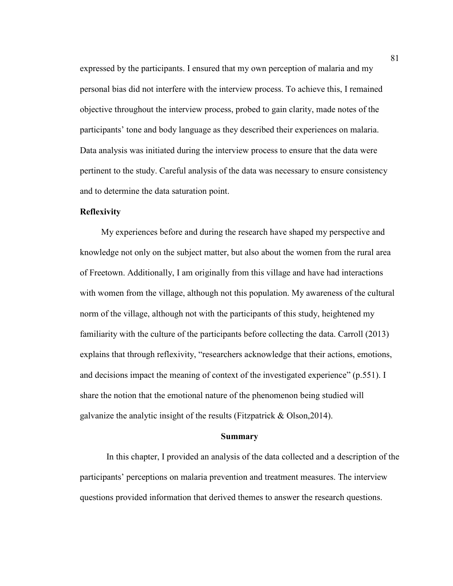expressed by the participants. I ensured that my own perception of malaria and my personal bias did not interfere with the interview process. To achieve this, I remained objective throughout the interview process, probed to gain clarity, made notes of the participants' tone and body language as they described their experiences on malaria. Data analysis was initiated during the interview process to ensure that the data were pertinent to the study. Careful analysis of the data was necessary to ensure consistency and to determine the data saturation point.

## **Reflexivity**

My experiences before and during the research have shaped my perspective and knowledge not only on the subject matter, but also about the women from the rural area of Freetown. Additionally, I am originally from this village and have had interactions with women from the village, although not this population. My awareness of the cultural norm of the village, although not with the participants of this study, heightened my familiarity with the culture of the participants before collecting the data. Carroll (2013) explains that through reflexivity, "researchers acknowledge that their actions, emotions, and decisions impact the meaning of context of the investigated experience" (p.551). I share the notion that the emotional nature of the phenomenon being studied will galvanize the analytic insight of the results (Fitzpatrick & Olson,2014).

## **Summary**

In this chapter, I provided an analysis of the data collected and a description of the participants' perceptions on malaria prevention and treatment measures. The interview questions provided information that derived themes to answer the research questions.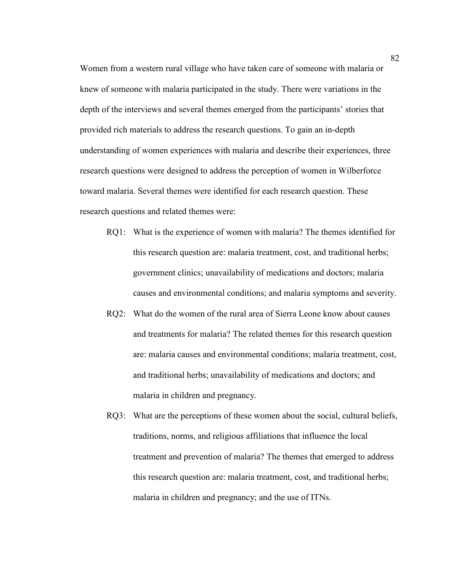Women from a western rural village who have taken care of someone with malaria or knew of someone with malaria participated in the study. There were variations in the depth of the interviews and several themes emerged from the participants' stories that provided rich materials to address the research questions. To gain an in-depth understanding of women experiences with malaria and describe their experiences, three research questions were designed to address the perception of women in Wilberforce toward malaria. Several themes were identified for each research question. These research questions and related themes were:

- RQ1: What is the experience of women with malaria? The themes identified for this research question are: malaria treatment, cost, and traditional herbs; government clinics; unavailability of medications and doctors; malaria causes and environmental conditions; and malaria symptoms and severity.
- RQ2: What do the women of the rural area of Sierra Leone know about causes and treatments for malaria? The related themes for this research question are: malaria causes and environmental conditions; malaria treatment, cost, and traditional herbs; unavailability of medications and doctors; and malaria in children and pregnancy.
- RQ3: What are the perceptions of these women about the social, cultural beliefs, traditions, norms, and religious affiliations that influence the local treatment and prevention of malaria? The themes that emerged to address this research question are: malaria treatment, cost, and traditional herbs; malaria in children and pregnancy; and the use of ITNs.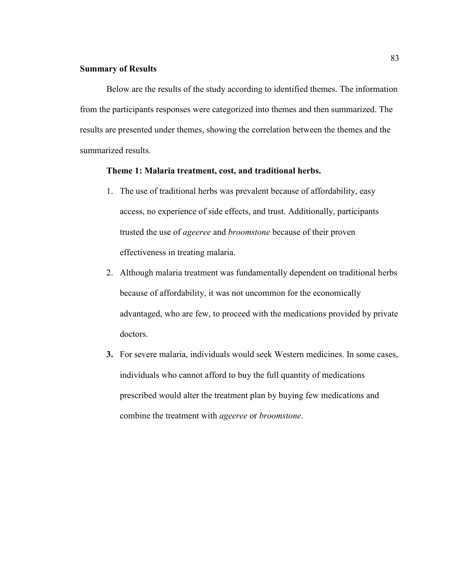#### **Summary of Results**

Below are the results of the study according to identified themes. The information from the participants responses were categorized into themes and then summarized. The results are presented under themes, showing the correlation between the themes and the summarized results.

## **Theme 1: Malaria treatment, cost, and traditional herbs.**

- 1. The use of traditional herbs was prevalent because of affordability, easy access, no experience of side effects, and trust. Additionally, participants trusted the use of *ageeree* and *broomstone* because of their proven effectiveness in treating malaria.
- 2. Although malaria treatment was fundamentally dependent on traditional herbs because of affordability, it was not uncommon for the economically advantaged, who are few, to proceed with the medications provided by private doctors.
- **3.** For severe malaria, individuals would seek Western medicines. In some cases, individuals who cannot afford to buy the full quantity of medications prescribed would alter the treatment plan by buying few medications and combine the treatment with *ageeree* or *broomstone*.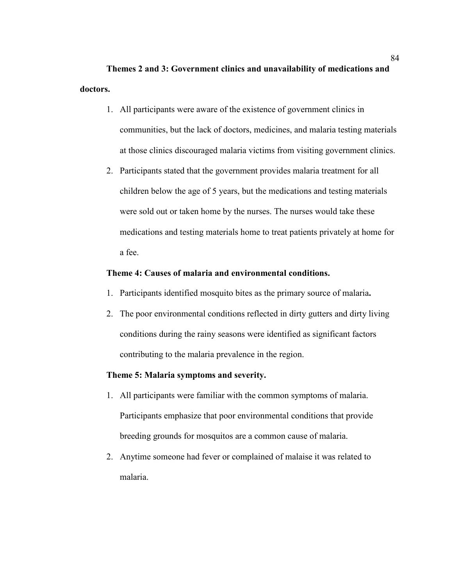**Themes 2 and 3: Government clinics and unavailability of medications and doctors.** 

- 1. All participants were aware of the existence of government clinics in communities, but the lack of doctors, medicines, and malaria testing materials at those clinics discouraged malaria victims from visiting government clinics.
- 2. Participants stated that the government provides malaria treatment for all children below the age of 5 years, but the medications and testing materials were sold out or taken home by the nurses. The nurses would take these medications and testing materials home to treat patients privately at home for a fee.

## **Theme 4: Causes of malaria and environmental conditions.**

- 1. Participants identified mosquito bites as the primary source of malaria**.**
- 2. The poor environmental conditions reflected in dirty gutters and dirty living conditions during the rainy seasons were identified as significant factors contributing to the malaria prevalence in the region.

## **Theme 5: Malaria symptoms and severity.**

- 1. All participants were familiar with the common symptoms of malaria. Participants emphasize that poor environmental conditions that provide breeding grounds for mosquitos are a common cause of malaria.
- 2. Anytime someone had fever or complained of malaise it was related to malaria.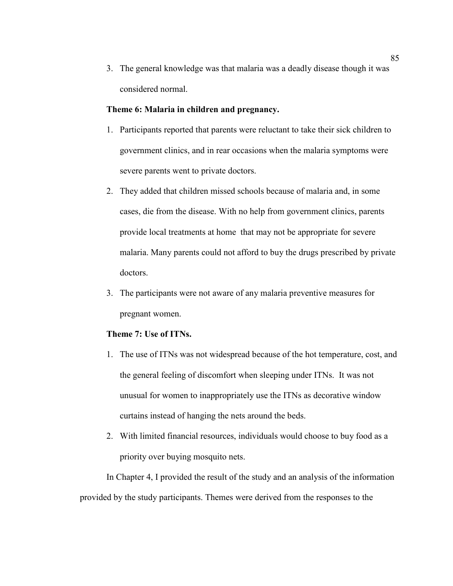3. The general knowledge was that malaria was a deadly disease though it was considered normal.

#### **Theme 6: Malaria in children and pregnancy.**

- 1. Participants reported that parents were reluctant to take their sick children to government clinics, and in rear occasions when the malaria symptoms were severe parents went to private doctors.
- 2. They added that children missed schools because of malaria and, in some cases, die from the disease. With no help from government clinics, parents provide local treatments at home that may not be appropriate for severe malaria. Many parents could not afford to buy the drugs prescribed by private doctors.
- 3. The participants were not aware of any malaria preventive measures for pregnant women.

## **Theme 7: Use of ITNs.**

- 1. The use of ITNs was not widespread because of the hot temperature, cost, and the general feeling of discomfort when sleeping under ITNs. It was not unusual for women to inappropriately use the ITNs as decorative window curtains instead of hanging the nets around the beds.
- 2. With limited financial resources, individuals would choose to buy food as a priority over buying mosquito nets.

In Chapter 4, I provided the result of the study and an analysis of the information provided by the study participants. Themes were derived from the responses to the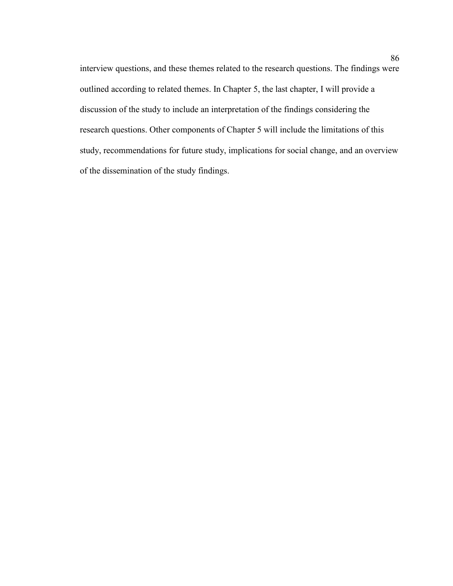interview questions, and these themes related to the research questions. The findings were outlined according to related themes. In Chapter 5, the last chapter, I will provide a discussion of the study to include an interpretation of the findings considering the research questions. Other components of Chapter 5 will include the limitations of this study, recommendations for future study, implications for social change, and an overview of the dissemination of the study findings.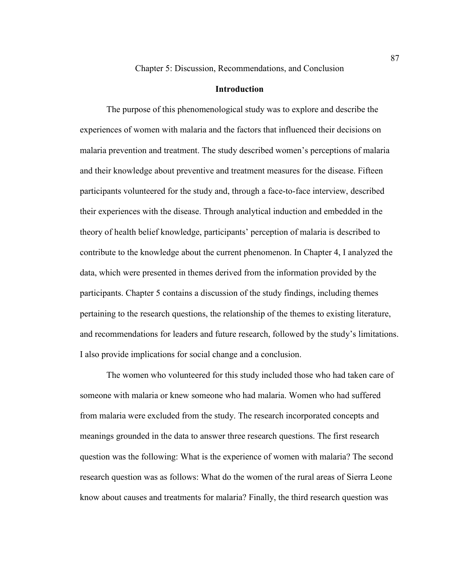Chapter 5: Discussion, Recommendations, and Conclusion

#### **Introduction**

The purpose of this phenomenological study was to explore and describe the experiences of women with malaria and the factors that influenced their decisions on malaria prevention and treatment. The study described women's perceptions of malaria and their knowledge about preventive and treatment measures for the disease. Fifteen participants volunteered for the study and, through a face-to-face interview, described their experiences with the disease. Through analytical induction and embedded in the theory of health belief knowledge, participants' perception of malaria is described to contribute to the knowledge about the current phenomenon. In Chapter 4, I analyzed the data, which were presented in themes derived from the information provided by the participants. Chapter 5 contains a discussion of the study findings, including themes pertaining to the research questions, the relationship of the themes to existing literature, and recommendations for leaders and future research, followed by the study's limitations. I also provide implications for social change and a conclusion.

The women who volunteered for this study included those who had taken care of someone with malaria or knew someone who had malaria. Women who had suffered from malaria were excluded from the study. The research incorporated concepts and meanings grounded in the data to answer three research questions. The first research question was the following: What is the experience of women with malaria? The second research question was as follows: What do the women of the rural areas of Sierra Leone know about causes and treatments for malaria? Finally, the third research question was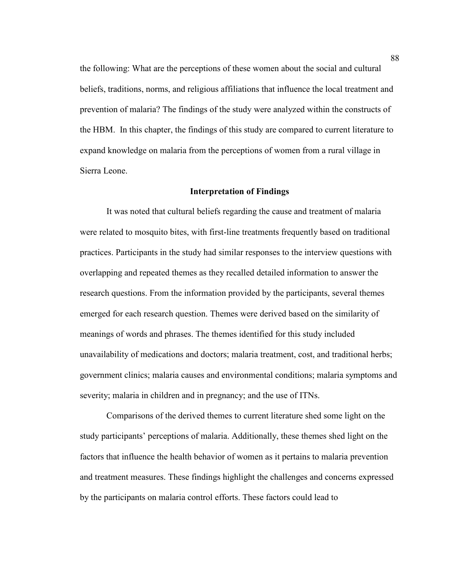the following: What are the perceptions of these women about the social and cultural beliefs, traditions, norms, and religious affiliations that influence the local treatment and prevention of malaria? The findings of the study were analyzed within the constructs of the HBM. In this chapter, the findings of this study are compared to current literature to expand knowledge on malaria from the perceptions of women from a rural village in Sierra Leone.

#### **Interpretation of Findings**

It was noted that cultural beliefs regarding the cause and treatment of malaria were related to mosquito bites, with first-line treatments frequently based on traditional practices. Participants in the study had similar responses to the interview questions with overlapping and repeated themes as they recalled detailed information to answer the research questions. From the information provided by the participants, several themes emerged for each research question. Themes were derived based on the similarity of meanings of words and phrases. The themes identified for this study included unavailability of medications and doctors; malaria treatment, cost, and traditional herbs; government clinics; malaria causes and environmental conditions; malaria symptoms and severity; malaria in children and in pregnancy; and the use of ITNs.

Comparisons of the derived themes to current literature shed some light on the study participants' perceptions of malaria. Additionally, these themes shed light on the factors that influence the health behavior of women as it pertains to malaria prevention and treatment measures. These findings highlight the challenges and concerns expressed by the participants on malaria control efforts. These factors could lead to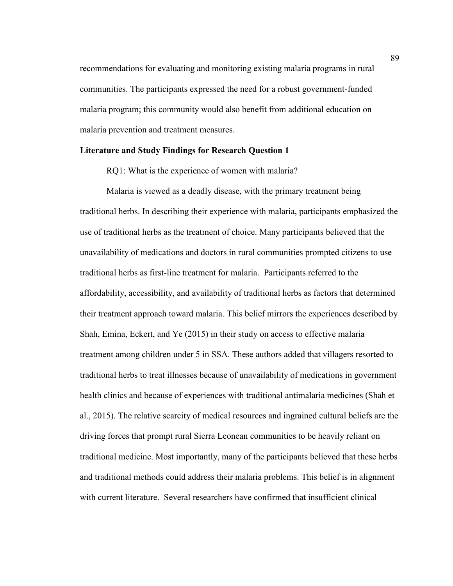recommendations for evaluating and monitoring existing malaria programs in rural communities. The participants expressed the need for a robust government-funded malaria program; this community would also benefit from additional education on malaria prevention and treatment measures.

#### **Literature and Study Findings for Research Question 1**

RQ1: What is the experience of women with malaria?

Malaria is viewed as a deadly disease, with the primary treatment being traditional herbs. In describing their experience with malaria, participants emphasized the use of traditional herbs as the treatment of choice. Many participants believed that the unavailability of medications and doctors in rural communities prompted citizens to use traditional herbs as first-line treatment for malaria. Participants referred to the affordability, accessibility, and availability of traditional herbs as factors that determined their treatment approach toward malaria. This belief mirrors the experiences described by Shah, Emina, Eckert, and Ye (2015) in their study on access to effective malaria treatment among children under 5 in SSA. These authors added that villagers resorted to traditional herbs to treat illnesses because of unavailability of medications in government health clinics and because of experiences with traditional antimalaria medicines (Shah et al., 2015). The relative scarcity of medical resources and ingrained cultural beliefs are the driving forces that prompt rural Sierra Leonean communities to be heavily reliant on traditional medicine. Most importantly, many of the participants believed that these herbs and traditional methods could address their malaria problems. This belief is in alignment with current literature. Several researchers have confirmed that insufficient clinical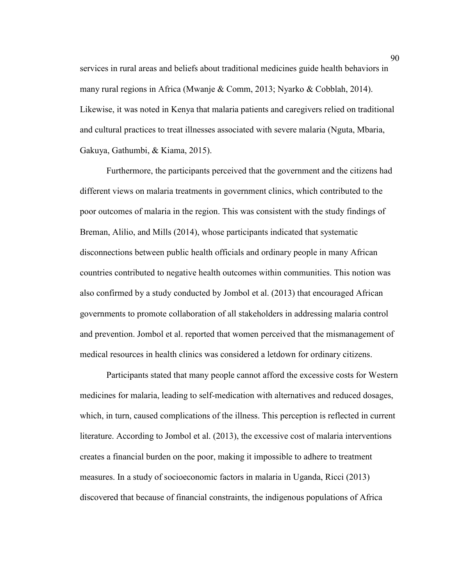services in rural areas and beliefs about traditional medicines guide health behaviors in many rural regions in Africa (Mwanje & Comm, 2013; Nyarko & Cobblah, 2014). Likewise, it was noted in Kenya that malaria patients and caregivers relied on traditional and cultural practices to treat illnesses associated with severe malaria (Nguta, Mbaria, Gakuya, Gathumbi, & Kiama, 2015).

Furthermore, the participants perceived that the government and the citizens had different views on malaria treatments in government clinics, which contributed to the poor outcomes of malaria in the region. This was consistent with the study findings of Breman, Alilio, and Mills (2014), whose participants indicated that systematic disconnections between public health officials and ordinary people in many African countries contributed to negative health outcomes within communities. This notion was also confirmed by a study conducted by Jombol et al. (2013) that encouraged African governments to promote collaboration of all stakeholders in addressing malaria control and prevention. Jombol et al. reported that women perceived that the mismanagement of medical resources in health clinics was considered a letdown for ordinary citizens.

Participants stated that many people cannot afford the excessive costs for Western medicines for malaria, leading to self-medication with alternatives and reduced dosages, which, in turn, caused complications of the illness. This perception is reflected in current literature. According to Jombol et al. (2013), the excessive cost of malaria interventions creates a financial burden on the poor, making it impossible to adhere to treatment measures. In a study of socioeconomic factors in malaria in Uganda, Ricci (2013) discovered that because of financial constraints, the indigenous populations of Africa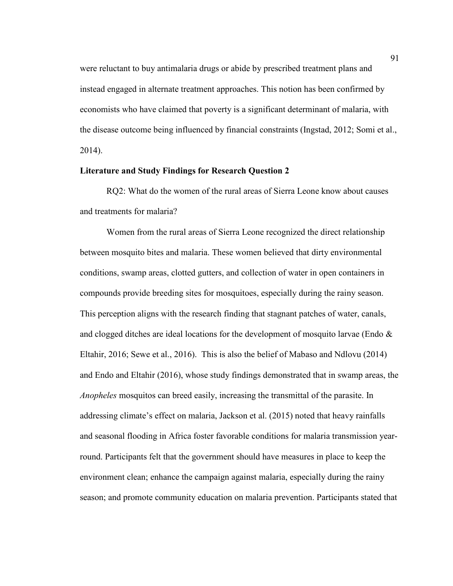were reluctant to buy antimalaria drugs or abide by prescribed treatment plans and instead engaged in alternate treatment approaches. This notion has been confirmed by economists who have claimed that poverty is a significant determinant of malaria, with the disease outcome being influenced by financial constraints (Ingstad, 2012; Somi et al., 2014).

## **Literature and Study Findings for Research Question 2**

RQ2: What do the women of the rural areas of Sierra Leone know about causes and treatments for malaria?

Women from the rural areas of Sierra Leone recognized the direct relationship between mosquito bites and malaria. These women believed that dirty environmental conditions, swamp areas, clotted gutters, and collection of water in open containers in compounds provide breeding sites for mosquitoes, especially during the rainy season. This perception aligns with the research finding that stagnant patches of water, canals, and clogged ditches are ideal locations for the development of mosquito larvae (Endo  $\&$ Eltahir, 2016; Sewe et al., 2016). This is also the belief of Mabaso and Ndlovu (2014) and Endo and Eltahir (2016), whose study findings demonstrated that in swamp areas, the *Anopheles* mosquitos can breed easily, increasing the transmittal of the parasite. In addressing climate's effect on malaria, Jackson et al. (2015) noted that heavy rainfalls and seasonal flooding in Africa foster favorable conditions for malaria transmission yearround. Participants felt that the government should have measures in place to keep the environment clean; enhance the campaign against malaria, especially during the rainy season; and promote community education on malaria prevention. Participants stated that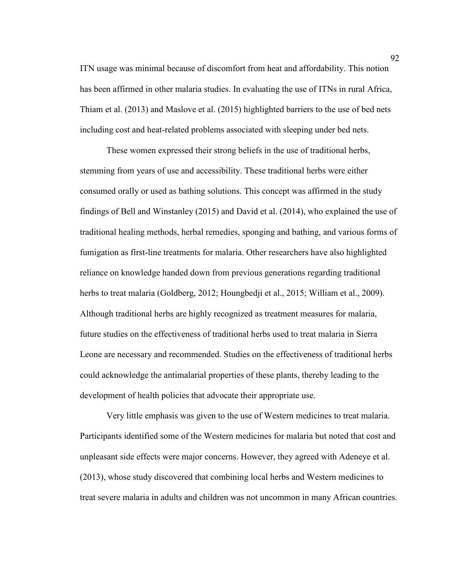ITN usage was minimal because of discomfort from heat and affordability. This notion has been affirmed in other malaria studies. In evaluating the use of ITNs in rural Africa, Thiam et al. (2013) and Maslove et al. (2015) highlighted barriers to the use of bed nets including cost and heat-related problems associated with sleeping under bed nets.

These women expressed their strong beliefs in the use of traditional herbs, stemming from years of use and accessibility. These traditional herbs were either consumed orally or used as bathing solutions. This concept was affirmed in the study findings of Bell and Winstanley (2015) and David et al. (2014), who explained the use of traditional healing methods, herbal remedies, sponging and bathing, and various forms of fumigation as first-line treatments for malaria. Other researchers have also highlighted reliance on knowledge handed down from previous generations regarding traditional herbs to treat malaria (Goldberg, 2012; Houngbedji et al., 2015; William et al., 2009). Although traditional herbs are highly recognized as treatment measures for malaria, future studies on the effectiveness of traditional herbs used to treat malaria in Sierra Leone are necessary and recommended. Studies on the effectiveness of traditional herbs could acknowledge the antimalarial properties of these plants, thereby leading to the development of health policies that advocate their appropriate use.

Very little emphasis was given to the use of Western medicines to treat malaria. Participants identified some of the Western medicines for malaria but noted that cost and unpleasant side effects were major concerns. However, they agreed with Adeneye et al. (2013), whose study discovered that combining local herbs and Western medicines to treat severe malaria in adults and children was not uncommon in many African countries.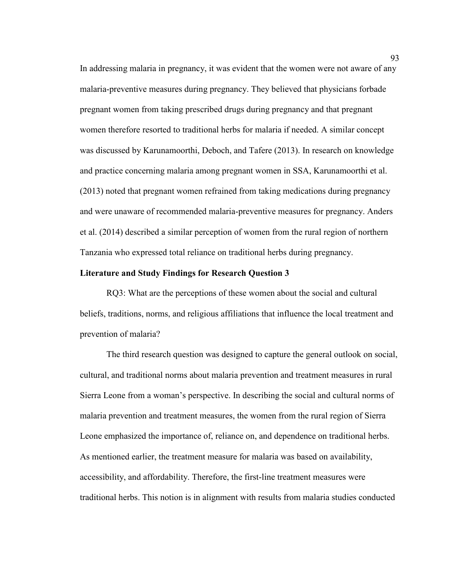In addressing malaria in pregnancy, it was evident that the women were not aware of any malaria-preventive measures during pregnancy. They believed that physicians forbade pregnant women from taking prescribed drugs during pregnancy and that pregnant women therefore resorted to traditional herbs for malaria if needed. A similar concept was discussed by Karunamoorthi, Deboch, and Tafere (2013). In research on knowledge and practice concerning malaria among pregnant women in SSA, Karunamoorthi et al. (2013) noted that pregnant women refrained from taking medications during pregnancy and were unaware of recommended malaria-preventive measures for pregnancy. Anders et al. (2014) described a similar perception of women from the rural region of northern Tanzania who expressed total reliance on traditional herbs during pregnancy.

## **Literature and Study Findings for Research Question 3**

RQ3: What are the perceptions of these women about the social and cultural beliefs, traditions, norms, and religious affiliations that influence the local treatment and prevention of malaria?

The third research question was designed to capture the general outlook on social, cultural, and traditional norms about malaria prevention and treatment measures in rural Sierra Leone from a woman's perspective. In describing the social and cultural norms of malaria prevention and treatment measures, the women from the rural region of Sierra Leone emphasized the importance of, reliance on, and dependence on traditional herbs. As mentioned earlier, the treatment measure for malaria was based on availability, accessibility, and affordability. Therefore, the first-line treatment measures were traditional herbs. This notion is in alignment with results from malaria studies conducted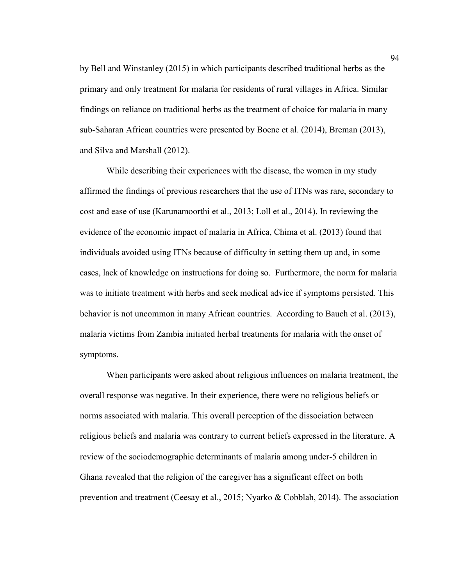by Bell and Winstanley (2015) in which participants described traditional herbs as the primary and only treatment for malaria for residents of rural villages in Africa. Similar findings on reliance on traditional herbs as the treatment of choice for malaria in many sub-Saharan African countries were presented by Boene et al. (2014), Breman (2013), and Silva and Marshall (2012).

While describing their experiences with the disease, the women in my study affirmed the findings of previous researchers that the use of ITNs was rare, secondary to cost and ease of use (Karunamoorthi et al., 2013; Loll et al., 2014). In reviewing the evidence of the economic impact of malaria in Africa, Chima et al. (2013) found that individuals avoided using ITNs because of difficulty in setting them up and, in some cases, lack of knowledge on instructions for doing so. Furthermore, the norm for malaria was to initiate treatment with herbs and seek medical advice if symptoms persisted. This behavior is not uncommon in many African countries. According to Bauch et al. (2013), malaria victims from Zambia initiated herbal treatments for malaria with the onset of symptoms.

When participants were asked about religious influences on malaria treatment, the overall response was negative. In their experience, there were no religious beliefs or norms associated with malaria. This overall perception of the dissociation between religious beliefs and malaria was contrary to current beliefs expressed in the literature. A review of the sociodemographic determinants of malaria among under-5 children in Ghana revealed that the religion of the caregiver has a significant effect on both prevention and treatment (Ceesay et al., 2015; Nyarko & Cobblah, 2014). The association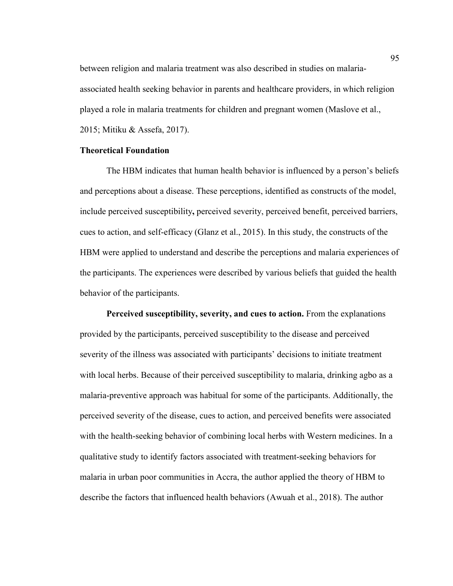between religion and malaria treatment was also described in studies on malariaassociated health seeking behavior in parents and healthcare providers, in which religion played a role in malaria treatments for children and pregnant women (Maslove et al., 2015; Mitiku & Assefa, 2017).

## **Theoretical Foundation**

The HBM indicates that human health behavior is influenced by a person's beliefs and perceptions about a disease. These perceptions, identified as constructs of the model, include perceived susceptibility**,** perceived severity, perceived benefit, perceived barriers, cues to action, and self-efficacy (Glanz et al., 2015). In this study, the constructs of the HBM were applied to understand and describe the perceptions and malaria experiences of the participants. The experiences were described by various beliefs that guided the health behavior of the participants.

Perceived susceptibility, severity, and cues to action. From the explanations provided by the participants, perceived susceptibility to the disease and perceived severity of the illness was associated with participants' decisions to initiate treatment with local herbs. Because of their perceived susceptibility to malaria, drinking agbo as a malaria-preventive approach was habitual for some of the participants. Additionally, the perceived severity of the disease, cues to action, and perceived benefits were associated with the health-seeking behavior of combining local herbs with Western medicines. In a qualitative study to identify factors associated with treatment-seeking behaviors for malaria in urban poor communities in Accra, the author applied the theory of HBM to describe the factors that influenced health behaviors (Awuah et al., 2018). The author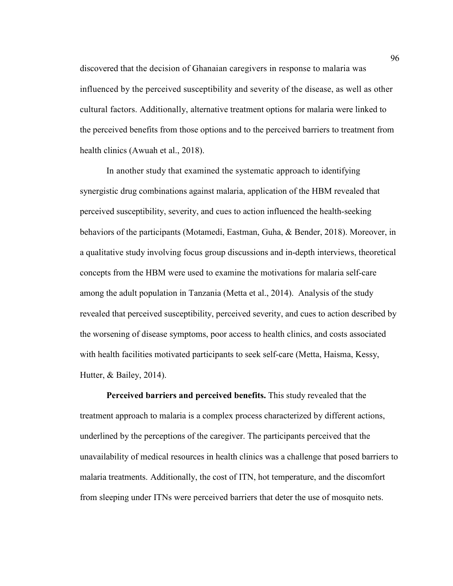discovered that the decision of Ghanaian caregivers in response to malaria was influenced by the perceived susceptibility and severity of the disease, as well as other cultural factors. Additionally, alternative treatment options for malaria were linked to the perceived benefits from those options and to the perceived barriers to treatment from health clinics (Awuah et al., 2018).

In another study that examined the systematic approach to identifying synergistic drug combinations against malaria, application of the HBM revealed that perceived susceptibility, severity, and cues to action influenced the health-seeking behaviors of the participants (Motamedi, Eastman, Guha, & Bender, 2018). Moreover, in a qualitative study involving focus group discussions and in-depth interviews, theoretical concepts from the HBM were used to examine the motivations for malaria self-care among the adult population in Tanzania (Metta et al., 2014). Analysis of the study revealed that perceived susceptibility, perceived severity, and cues to action described by the worsening of disease symptoms, poor access to health clinics, and costs associated with health facilities motivated participants to seek self-care (Metta, Haisma, Kessy, Hutter, & Bailey, 2014).

**Perceived barriers and perceived benefits.** This study revealed that the treatment approach to malaria is a complex process characterized by different actions, underlined by the perceptions of the caregiver. The participants perceived that the unavailability of medical resources in health clinics was a challenge that posed barriers to malaria treatments. Additionally, the cost of ITN, hot temperature, and the discomfort from sleeping under ITNs were perceived barriers that deter the use of mosquito nets.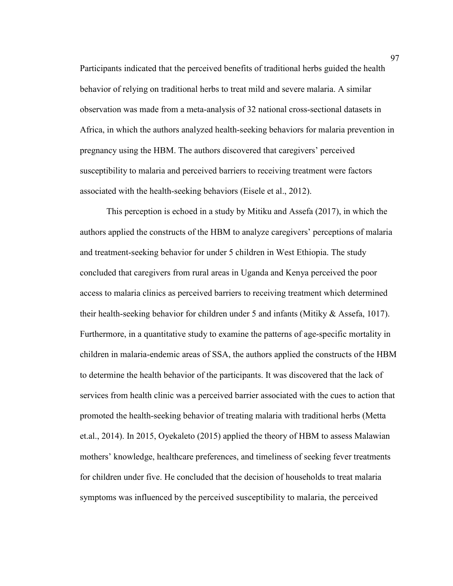Participants indicated that the perceived benefits of traditional herbs guided the health behavior of relying on traditional herbs to treat mild and severe malaria. A similar observation was made from a meta-analysis of 32 national cross-sectional datasets in Africa, in which the authors analyzed health-seeking behaviors for malaria prevention in pregnancy using the HBM. The authors discovered that caregivers' perceived susceptibility to malaria and perceived barriers to receiving treatment were factors associated with the health-seeking behaviors (Eisele et al., 2012).

This perception is echoed in a study by Mitiku and Assefa (2017), in which the authors applied the constructs of the HBM to analyze caregivers' perceptions of malaria and treatment-seeking behavior for under 5 children in West Ethiopia. The study concluded that caregivers from rural areas in Uganda and Kenya perceived the poor access to malaria clinics as perceived barriers to receiving treatment which determined their health-seeking behavior for children under 5 and infants (Mitiky & Assefa, 1017). Furthermore, in a quantitative study to examine the patterns of age-specific mortality in children in malaria-endemic areas of SSA, the authors applied the constructs of the HBM to determine the health behavior of the participants. It was discovered that the lack of services from health clinic was a perceived barrier associated with the cues to action that promoted the health-seeking behavior of treating malaria with traditional herbs (Metta et.al., 2014). In 2015, Oyekaleto (2015) applied the theory of HBM to assess Malawian mothers' knowledge, healthcare preferences, and timeliness of seeking fever treatments for children under five. He concluded that the decision of households to treat malaria symptoms was influenced by the perceived susceptibility to malaria, the perceived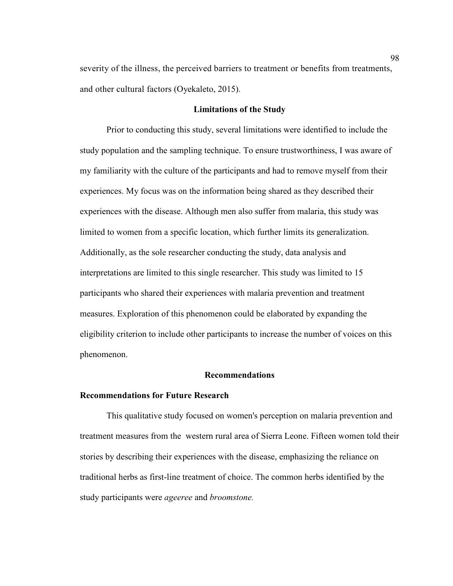severity of the illness, the perceived barriers to treatment or benefits from treatments, and other cultural factors (Oyekaleto, 2015).

## **Limitations of the Study**

Prior to conducting this study, several limitations were identified to include the study population and the sampling technique. To ensure trustworthiness, I was aware of my familiarity with the culture of the participants and had to remove myself from their experiences. My focus was on the information being shared as they described their experiences with the disease. Although men also suffer from malaria, this study was limited to women from a specific location, which further limits its generalization. Additionally, as the sole researcher conducting the study, data analysis and interpretations are limited to this single researcher. This study was limited to 15 participants who shared their experiences with malaria prevention and treatment measures. Exploration of this phenomenon could be elaborated by expanding the eligibility criterion to include other participants to increase the number of voices on this phenomenon.

## **Recommendations**

# **Recommendations for Future Research**

This qualitative study focused on women's perception on malaria prevention and treatment measures from the western rural area of Sierra Leone. Fifteen women told their stories by describing their experiences with the disease, emphasizing the reliance on traditional herbs as first-line treatment of choice. The common herbs identified by the study participants were *ageeree* and *broomstone.*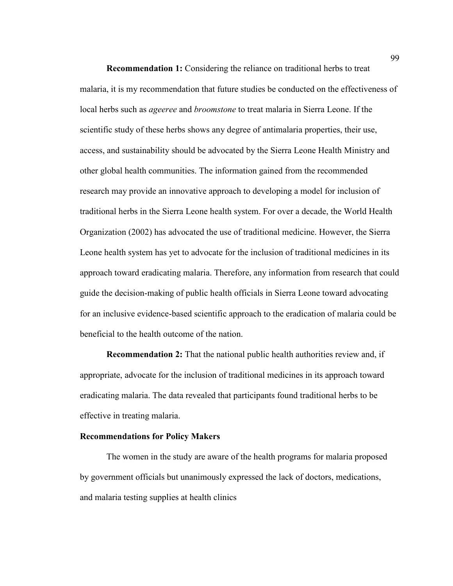**Recommendation 1:** Considering the reliance on traditional herbs to treat malaria, it is my recommendation that future studies be conducted on the effectiveness of local herbs such as *ageeree* and *broomstone* to treat malaria in Sierra Leone. If the scientific study of these herbs shows any degree of antimalaria properties, their use, access, and sustainability should be advocated by the Sierra Leone Health Ministry and other global health communities. The information gained from the recommended research may provide an innovative approach to developing a model for inclusion of traditional herbs in the Sierra Leone health system. For over a decade, the World Health Organization (2002) has advocated the use of traditional medicine. However, the Sierra Leone health system has yet to advocate for the inclusion of traditional medicines in its approach toward eradicating malaria. Therefore, any information from research that could guide the decision-making of public health officials in Sierra Leone toward advocating for an inclusive evidence-based scientific approach to the eradication of malaria could be beneficial to the health outcome of the nation.

**Recommendation 2:** That the national public health authorities review and, if appropriate, advocate for the inclusion of traditional medicines in its approach toward eradicating malaria. The data revealed that participants found traditional herbs to be effective in treating malaria.

### **Recommendations for Policy Makers**

The women in the study are aware of the health programs for malaria proposed by government officials but unanimously expressed the lack of doctors, medications, and malaria testing supplies at health clinics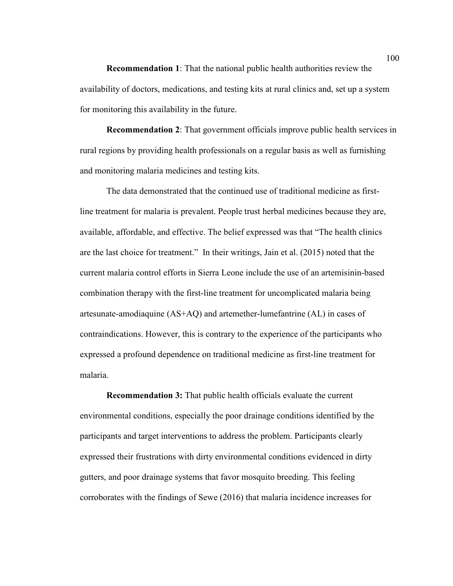**Recommendation 1**: That the national public health authorities review the availability of doctors, medications, and testing kits at rural clinics and, set up a system for monitoring this availability in the future.

**Recommendation 2**: That government officials improve public health services in rural regions by providing health professionals on a regular basis as well as furnishing and monitoring malaria medicines and testing kits.

The data demonstrated that the continued use of traditional medicine as firstline treatment for malaria is prevalent. People trust herbal medicines because they are, available, affordable, and effective. The belief expressed was that "The health clinics are the last choice for treatment." In their writings, Jain et al. (2015) noted that the current malaria control efforts in Sierra Leone include the use of an artemisinin-based combination therapy with the first-line treatment for uncomplicated malaria being artesunate-amodiaquine (AS+AQ) and artemether-lumefantrine (AL) in cases of contraindications. However, this is contrary to the experience of the participants who expressed a profound dependence on traditional medicine as first-line treatment for malaria.

**Recommendation 3:** That public health officials evaluate the current environmental conditions, especially the poor drainage conditions identified by the participants and target interventions to address the problem. Participants clearly expressed their frustrations with dirty environmental conditions evidenced in dirty gutters, and poor drainage systems that favor mosquito breeding. This feeling corroborates with the findings of Sewe (2016) that malaria incidence increases for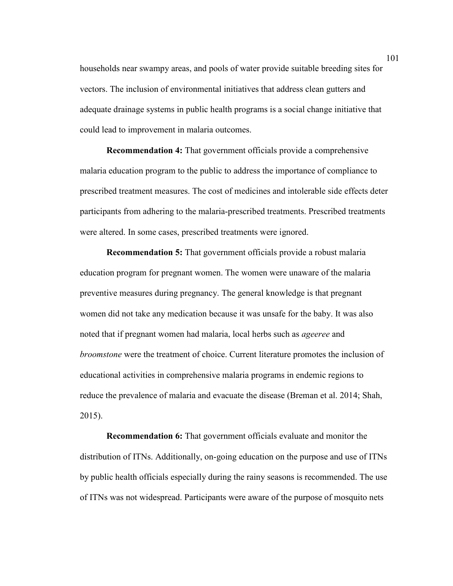households near swampy areas, and pools of water provide suitable breeding sites for vectors. The inclusion of environmental initiatives that address clean gutters and adequate drainage systems in public health programs is a social change initiative that could lead to improvement in malaria outcomes.

**Recommendation 4:** That government officials provide a comprehensive malaria education program to the public to address the importance of compliance to prescribed treatment measures. The cost of medicines and intolerable side effects deter participants from adhering to the malaria-prescribed treatments. Prescribed treatments were altered. In some cases, prescribed treatments were ignored.

**Recommendation 5:** That government officials provide a robust malaria education program for pregnant women. The women were unaware of the malaria preventive measures during pregnancy. The general knowledge is that pregnant women did not take any medication because it was unsafe for the baby. It was also noted that if pregnant women had malaria, local herbs such as *ageeree* and *broomstone* were the treatment of choice. Current literature promotes the inclusion of educational activities in comprehensive malaria programs in endemic regions to reduce the prevalence of malaria and evacuate the disease (Breman et al. 2014; Shah, 2015).

**Recommendation 6:** That government officials evaluate and monitor the distribution of ITNs. Additionally, on-going education on the purpose and use of ITNs by public health officials especially during the rainy seasons is recommended. The use of ITNs was not widespread. Participants were aware of the purpose of mosquito nets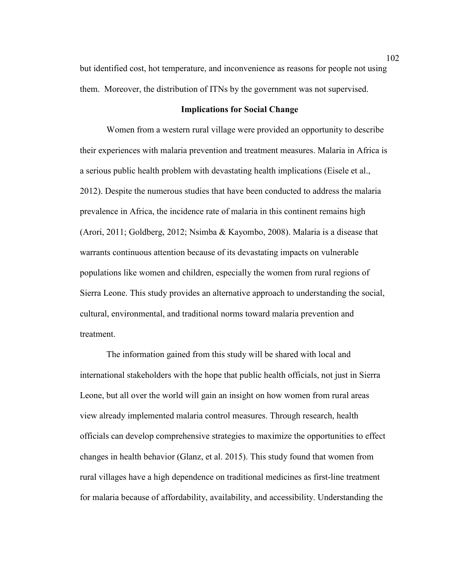but identified cost, hot temperature, and inconvenience as reasons for people not using them. Moreover, the distribution of ITNs by the government was not supervised.

## **Implications for Social Change**

Women from a western rural village were provided an opportunity to describe their experiences with malaria prevention and treatment measures. Malaria in Africa is a serious public health problem with devastating health implications (Eisele et al., 2012). Despite the numerous studies that have been conducted to address the malaria prevalence in Africa, the incidence rate of malaria in this continent remains high (Arori, 2011; Goldberg, 2012; Nsimba & Kayombo, 2008). Malaria is a disease that warrants continuous attention because of its devastating impacts on vulnerable populations like women and children, especially the women from rural regions of Sierra Leone. This study provides an alternative approach to understanding the social, cultural, environmental, and traditional norms toward malaria prevention and treatment.

The information gained from this study will be shared with local and international stakeholders with the hope that public health officials, not just in Sierra Leone, but all over the world will gain an insight on how women from rural areas view already implemented malaria control measures. Through research, health officials can develop comprehensive strategies to maximize the opportunities to effect changes in health behavior (Glanz, et al. 2015). This study found that women from rural villages have a high dependence on traditional medicines as first-line treatment for malaria because of affordability, availability, and accessibility. Understanding the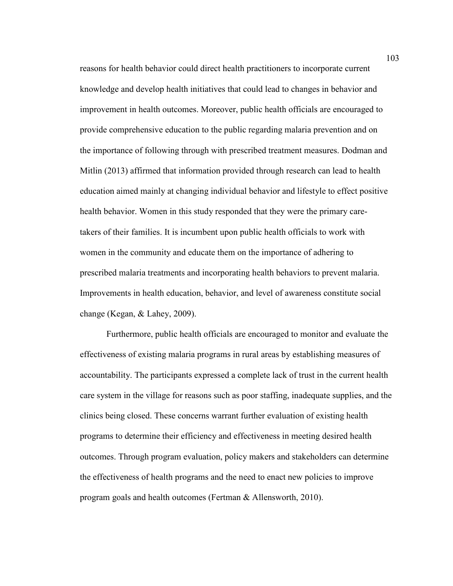reasons for health behavior could direct health practitioners to incorporate current knowledge and develop health initiatives that could lead to changes in behavior and improvement in health outcomes. Moreover, public health officials are encouraged to provide comprehensive education to the public regarding malaria prevention and on the importance of following through with prescribed treatment measures. Dodman and Mitlin (2013) affirmed that information provided through research can lead to health education aimed mainly at changing individual behavior and lifestyle to effect positive health behavior. Women in this study responded that they were the primary caretakers of their families. It is incumbent upon public health officials to work with women in the community and educate them on the importance of adhering to prescribed malaria treatments and incorporating health behaviors to prevent malaria. Improvements in health education, behavior, and level of awareness constitute social change (Kegan, & Lahey, 2009).

Furthermore, public health officials are encouraged to monitor and evaluate the effectiveness of existing malaria programs in rural areas by establishing measures of accountability. The participants expressed a complete lack of trust in the current health care system in the village for reasons such as poor staffing, inadequate supplies, and the clinics being closed. These concerns warrant further evaluation of existing health programs to determine their efficiency and effectiveness in meeting desired health outcomes. Through program evaluation, policy makers and stakeholders can determine the effectiveness of health programs and the need to enact new policies to improve program goals and health outcomes (Fertman & Allensworth, 2010).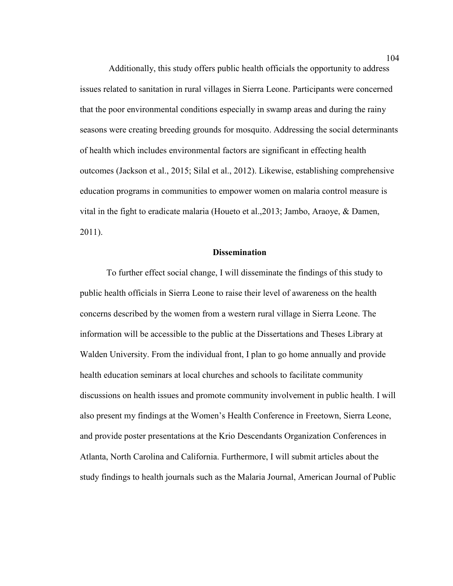Additionally, this study offers public health officials the opportunity to address issues related to sanitation in rural villages in Sierra Leone. Participants were concerned that the poor environmental conditions especially in swamp areas and during the rainy seasons were creating breeding grounds for mosquito. Addressing the social determinants of health which includes environmental factors are significant in effecting health outcomes (Jackson et al., 2015; Silal et al., 2012). Likewise, establishing comprehensive education programs in communities to empower women on malaria control measure is vital in the fight to eradicate malaria (Houeto et al.,2013; Jambo, Araoye, & Damen, 2011).

# **Dissemination**

To further effect social change, I will disseminate the findings of this study to public health officials in Sierra Leone to raise their level of awareness on the health concerns described by the women from a western rural village in Sierra Leone. The information will be accessible to the public at the Dissertations and Theses Library at Walden University. From the individual front, I plan to go home annually and provide health education seminars at local churches and schools to facilitate community discussions on health issues and promote community involvement in public health. I will also present my findings at the Women's Health Conference in Freetown, Sierra Leone, and provide poster presentations at the Krio Descendants Organization Conferences in Atlanta, North Carolina and California. Furthermore, I will submit articles about the study findings to health journals such as the Malaria Journal, American Journal of Public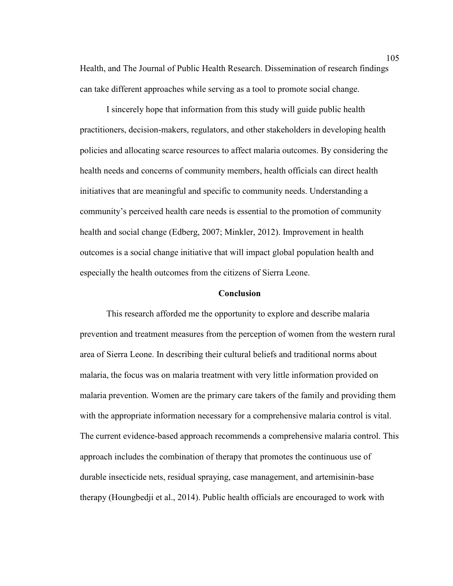Health, and The Journal of Public Health Research. Dissemination of research findings can take different approaches while serving as a tool to promote social change.

I sincerely hope that information from this study will guide public health practitioners, decision-makers, regulators, and other stakeholders in developing health policies and allocating scarce resources to affect malaria outcomes. By considering the health needs and concerns of community members, health officials can direct health initiatives that are meaningful and specific to community needs. Understanding a community's perceived health care needs is essential to the promotion of community health and social change (Edberg, 2007; Minkler, 2012). Improvement in health outcomes is a social change initiative that will impact global population health and especially the health outcomes from the citizens of Sierra Leone.

#### **Conclusion**

This research afforded me the opportunity to explore and describe malaria prevention and treatment measures from the perception of women from the western rural area of Sierra Leone. In describing their cultural beliefs and traditional norms about malaria, the focus was on malaria treatment with very little information provided on malaria prevention. Women are the primary care takers of the family and providing them with the appropriate information necessary for a comprehensive malaria control is vital. The current evidence-based approach recommends a comprehensive malaria control. This approach includes the combination of therapy that promotes the continuous use of durable insecticide nets, residual spraying, case management, and artemisinin-base therapy (Houngbedji et al., 2014). Public health officials are encouraged to work with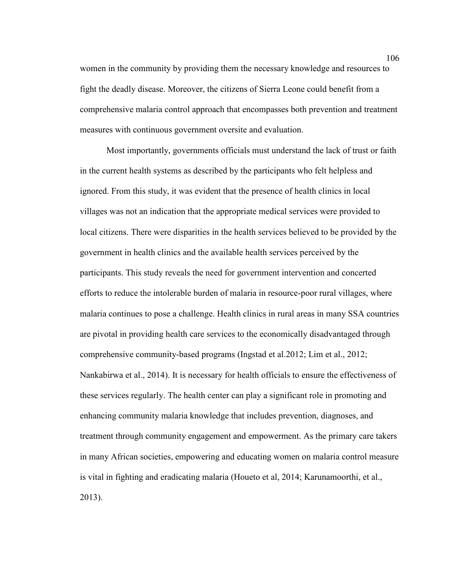women in the community by providing them the necessary knowledge and resources to fight the deadly disease. Moreover, the citizens of Sierra Leone could benefit from a comprehensive malaria control approach that encompasses both prevention and treatment measures with continuous government oversite and evaluation.

Most importantly, governments officials must understand the lack of trust or faith in the current health systems as described by the participants who felt helpless and ignored. From this study, it was evident that the presence of health clinics in local villages was not an indication that the appropriate medical services were provided to local citizens. There were disparities in the health services believed to be provided by the government in health clinics and the available health services perceived by the participants. This study reveals the need for government intervention and concerted efforts to reduce the intolerable burden of malaria in resource-poor rural villages, where malaria continues to pose a challenge. Health clinics in rural areas in many SSA countries are pivotal in providing health care services to the economically disadvantaged through comprehensive community-based programs (Ingstad et al.2012; Lim et al., 2012; Nankabirwa et al., 2014). It is necessary for health officials to ensure the effectiveness of these services regularly. The health center can play a significant role in promoting and enhancing community malaria knowledge that includes prevention, diagnoses, and treatment through community engagement and empowerment. As the primary care takers in many African societies, empowering and educating women on malaria control measure is vital in fighting and eradicating malaria (Houeto et al, 2014; Karunamoorthi, et al., 2013).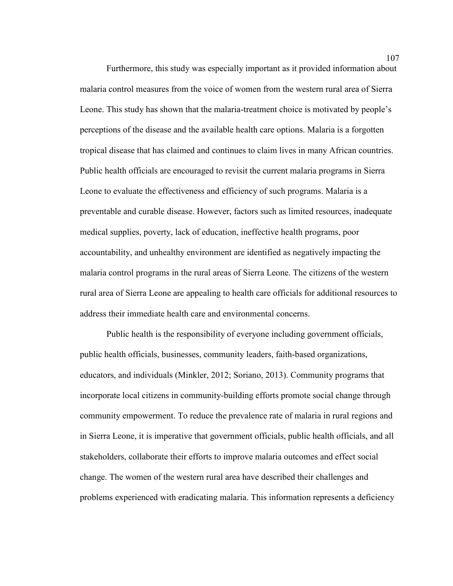Furthermore, this study was especially important as it provided information about malaria control measures from the voice of women from the western rural area of Sierra Leone. This study has shown that the malaria-treatment choice is motivated by people's perceptions of the disease and the available health care options. Malaria is a forgotten tropical disease that has claimed and continues to claim lives in many African countries. Public health officials are encouraged to revisit the current malaria programs in Sierra Leone to evaluate the effectiveness and efficiency of such programs. Malaria is a preventable and curable disease. However, factors such as limited resources, inadequate medical supplies, poverty, lack of education, ineffective health programs, poor accountability, and unhealthy environment are identified as negatively impacting the malaria control programs in the rural areas of Sierra Leone. The citizens of the western rural area of Sierra Leone are appealing to health care officials for additional resources to address their immediate health care and environmental concerns.

Public health is the responsibility of everyone including government officials, public health officials, businesses, community leaders, faith-based organizations, educators, and individuals (Minkler, 2012; Soriano, 2013). Community programs that incorporate local citizens in community-building efforts promote social change through community empowerment. To reduce the prevalence rate of malaria in rural regions and in Sierra Leone, it is imperative that government officials, public health officials, and all stakeholders, collaborate their efforts to improve malaria outcomes and effect social change. The women of the western rural area have described their challenges and problems experienced with eradicating malaria. This information represents a deficiency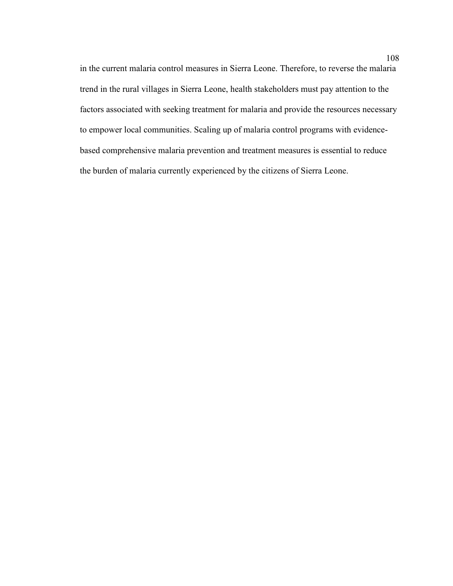in the current malaria control measures in Sierra Leone. Therefore, to reverse the malaria trend in the rural villages in Sierra Leone, health stakeholders must pay attention to the factors associated with seeking treatment for malaria and provide the resources necessary to empower local communities. Scaling up of malaria control programs with evidencebased comprehensive malaria prevention and treatment measures is essential to reduce the burden of malaria currently experienced by the citizens of Sierra Leone.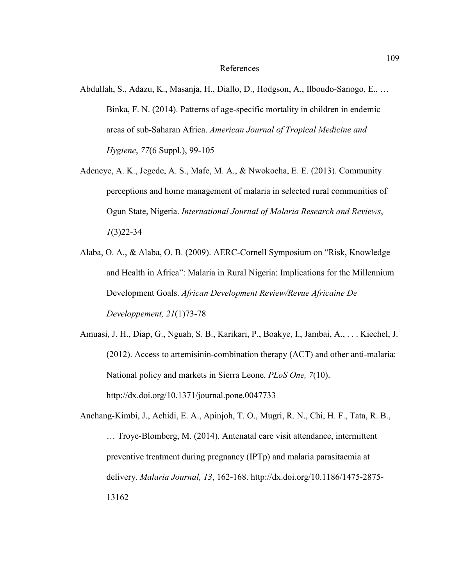#### References

- Abdullah, S., Adazu, K., Masanja, H., Diallo, D., Hodgson, A., Ilboudo-Sanogo, E., … Binka, F. N. (2014). Patterns of age-specific mortality in children in endemic areas of sub-Saharan Africa. *American Journal of Tropical Medicine and Hygiene*, *77*(6 Suppl.), 99-105
- Adeneye, A. K., Jegede, A. S., Mafe, M. A., & Nwokocha, E. E. (2013). Community perceptions and home management of malaria in selected rural communities of Ogun State, Nigeria. *International Journal of Malaria Research and Reviews*, *1*(3)22-34
- Alaba, O. A., & Alaba, O. B. (2009). AERC-Cornell Symposium on "Risk, Knowledge and Health in Africa": Malaria in Rural Nigeria: Implications for the Millennium Development Goals. *African Development Review/Revue Africaine De Developpement, 21*(1)73-78
- Amuasi, J. H., Diap, G., Nguah, S. B., Karikari, P., Boakye, I., Jambai, A., . . . Kiechel, J. (2012). Access to artemisinin-combination therapy (ACT) and other anti-malaria: National policy and markets in Sierra Leone. *PLoS One, 7*(10). http://dx.doi.org/10.1371/journal.pone.0047733
- Anchang-Kimbi, J., Achidi, E. A., Apinjoh, T. O., Mugri, R. N., Chi, H. F., Tata, R. B., … Troye-Blomberg, M. (2014). Antenatal care visit attendance, intermittent preventive treatment during pregnancy (IPTp) and malaria parasitaemia at delivery. *Malaria Journal, 13*, 162-168. http://dx.doi.org/10.1186/1475-2875- 13162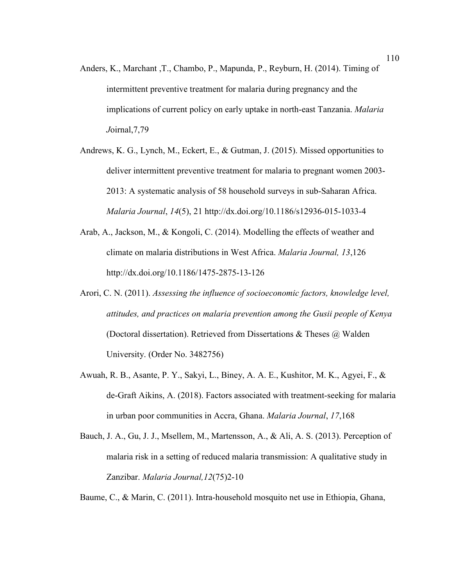- Anders, K., Marchant ,T., Chambo, P., Mapunda, P., Reyburn, H. (2014). Timing of intermittent preventive treatment for malaria during pregnancy and the implications of current policy on early uptake in north-east Tanzania. *Malaria J*oirnal,7,79
- Andrews, K. G., Lynch, M., Eckert, E., & Gutman, J. (2015). Missed opportunities to deliver intermittent preventive treatment for malaria to pregnant women 2003- 2013: A systematic analysis of 58 household surveys in sub-Saharan Africa. *Malaria Journal*, *14*(5), 21 http://dx.doi.org/10.1186/s12936-015-1033-4
- Arab, A., Jackson, M., & Kongoli, C. (2014). Modelling the effects of weather and climate on malaria distributions in West Africa. *Malaria Journal, 13*,126 http://dx.doi.org/10.1186/1475-2875-13-126
- Arori, C. N. (2011). *Assessing the influence of socioeconomic factors, knowledge level, attitudes, and practices on malaria prevention among the Gusii people of Kenya*  (Doctoral dissertation). Retrieved from Dissertations  $\&$  Theses  $\ω$  Walden University. (Order No. 3482756)
- Awuah, R. B., Asante, P. Y., Sakyi, L., Biney, A. A. E., Kushitor, M. K., Agyei, F., & de-Graft Aikins, A. (2018). Factors associated with treatment-seeking for malaria in urban poor communities in Accra, Ghana. *Malaria Journal*, *17*,168
- Bauch, J. A., Gu, J. J., Msellem, M., Martensson, A., & Ali, A. S. (2013). Perception of malaria risk in a setting of reduced malaria transmission: A qualitative study in Zanzibar. *Malaria Journal,12*(75)2-10

Baume, C., & Marin, C. (2011). Intra-household mosquito net use in Ethiopia, Ghana,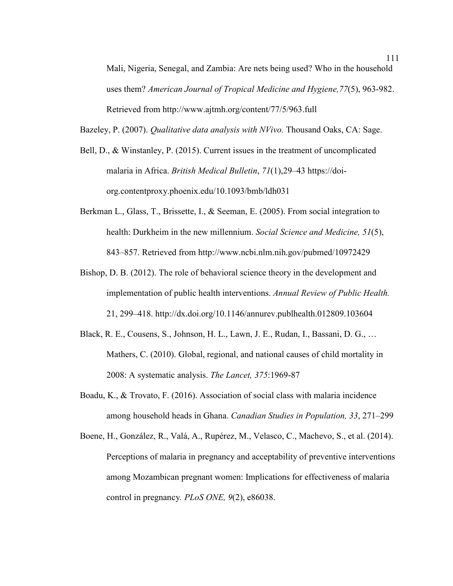Mali, Nigeria, Senegal, and Zambia: Are nets being used? Who in the household uses them? *American Journal of Tropical Medicine and Hygiene,77*(5), 963-982. Retrieved from http://www.ajtmh.org/content/77/5/963.full

Bazeley, P. (2007). *Qualitative data analysis with NVivo.* Thousand Oaks, CA: Sage.

- Bell, D., & Winstanley, P. (2015). Current issues in the treatment of uncomplicated malaria in Africa. *British Medical Bulletin*, *71*(1),29–43 https://doiorg.contentproxy.phoenix.edu/10.1093/bmb/ldh031
- Berkman L., Glass, T., Brissette, I., & Seeman, E. (2005). From social integration to health: Durkheim in the new millennium. *Social Science and Medicine, 51*(5), 843–857. Retrieved from http://www.ncbi.nlm.nih.gov/pubmed/10972429
- Bishop, D. B. (2012). The role of behavioral science theory in the development and implementation of public health interventions. *Annual Review of Public Health.* 21, 299–418. http://dx.doi.org/10.1146/annurev.publhealth.012809.103604
- Black, R. E., Cousens, S., Johnson, H. L., Lawn, J. E., Rudan, I., Bassani, D. G., … Mathers, C. (2010). Global, regional, and national causes of child mortality in 2008: A systematic analysis. *The Lancet, 375*:1969-87
- Boadu, K., & Trovato, F. (2016). Association of social class with malaria incidence among household heads in Ghana. *Canadian Studies in Population, 33*, 271–299
- Boene, H., González, R., Valá, A., Rupérez, M., Velasco, C., Machevo, S., et al. (2014). Perceptions of malaria in pregnancy and acceptability of preventive interventions among Mozambican pregnant women: Implications for effectiveness of malaria control in pregnancy*. PLoS ONE, 9*(2), e86038.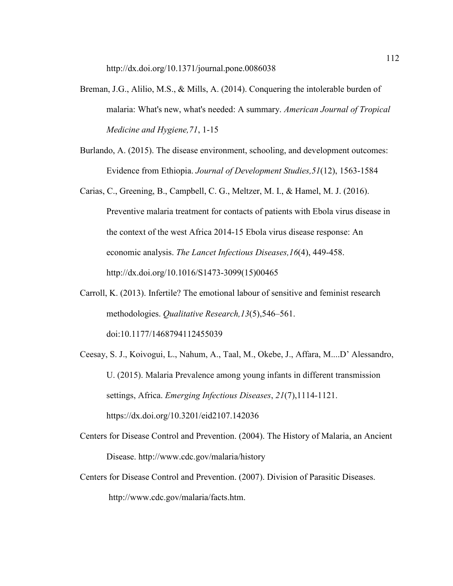- Breman, J.G., Alilio, M.S., & Mills, A. (2014). Conquering the intolerable burden of malaria: What's new, what's needed: A summary. *American Journal of Tropical Medicine and Hygiene,71*, 1-15
- Burlando, A. (2015). The disease environment, schooling, and development outcomes: Evidence from Ethiopia. *Journal of Development Studies,51*(12), 1563-1584
- Carias, C., Greening, B., Campbell, C. G., Meltzer, M. I., & Hamel, M. J. (2016). Preventive malaria treatment for contacts of patients with Ebola virus disease in the context of the west Africa 2014-15 Ebola virus disease response: An economic analysis. *The Lancet Infectious Diseases,16*(4), 449-458. http://dx.doi.org/10.1016/S1473-3099(15)00465
- Carroll, K. (2013). Infertile? The emotional labour of sensitive and feminist research methodologies. *Qualitative Research,13*(5),546–561. doi:10.1177/1468794112455039
- Ceesay, S. J., Koivogui, L., Nahum, A., Taal, M., Okebe, J., Affara, M....D' Alessandro, U. (2015). Malaria Prevalence among young infants in different transmission settings, Africa. *Emerging Infectious Diseases*, *21*(7),1114-1121. https://dx.doi.org/10.3201/eid2107.142036
- Centers for Disease Control and Prevention. (2004). The History of Malaria, an Ancient Disease. http://www.cdc.gov/malaria/history
- Centers for Disease Control and Prevention. (2007). Division of Parasitic Diseases.

http://www.cdc.gov/malaria/facts.htm.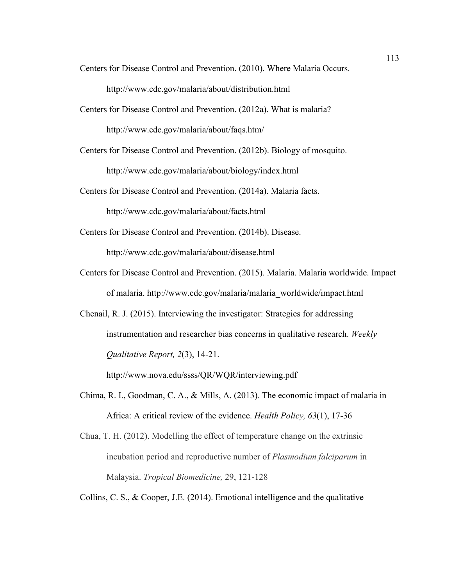Centers for Disease Control and Prevention. (2010). Where Malaria Occurs.

http://www.cdc.gov/malaria/about/distribution.html

Centers for Disease Control and Prevention. (2012a). What is malaria?

http://www.cdc.gov/malaria/about/faqs.htm/

Centers for Disease Control and Prevention. (2012b). Biology of mosquito.

http://www.cdc.gov/malaria/about/biology/index.html

Centers for Disease Control and Prevention. (2014a). Malaria facts.

http://www.cdc.gov/malaria/about/facts.html

Centers for Disease Control and Prevention. (2014b). Disease.

http://www.cdc.gov/malaria/about/disease.html

- Centers for Disease Control and Prevention. (2015). Malaria. Malaria worldwide. Impact of malaria. http://www.cdc.gov/malaria/malaria\_worldwide/impact.html
- Chenail, R. J. (2015). Interviewing the investigator: Strategies for addressing instrumentation and researcher bias concerns in qualitative research. *Weekly Qualitative Report, 2*(3), 14-21.

http://www.nova.edu/ssss/QR/WQR/interviewing.pdf

- Chima, R. I., Goodman, C. A., & Mills, A. (2013). The economic impact of malaria in Africa: A critical review of the evidence. *Health Policy, 63*(1), 17-36
- Chua, T. H. (2012). Modelling the effect of temperature change on the extrinsic incubation period and reproductive number of *Plasmodium falciparum* in Malaysia. *Tropical Biomedicine,* 29, 121-128

Collins, C. S., & Cooper, J.E. (2014). Emotional intelligence and the qualitative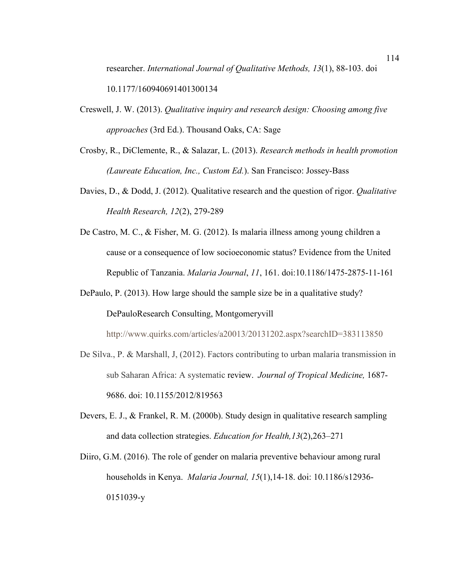researcher. *International Journal of Qualitative Methods, 13*(1), 88-103. doi 10.1177/160940691401300134

- Creswell, J. W. (2013). *Qualitative inquiry and research design: Choosing among five approaches* (3rd Ed.). Thousand Oaks, CA: Sage
- Crosby, R., DiClemente, R., & Salazar, L. (2013). *Research methods in health promotion (Laureate Education, Inc., Custom Ed.*). San Francisco: Jossey-Bass
- Davies, D., & Dodd, J. (2012). Qualitative research and the question of rigor. *Qualitative Health Research, 12*(2), 279-289
- De Castro, M. C., & Fisher, M. G. (2012). Is malaria illness among young children a cause or a consequence of low socioeconomic status? Evidence from the United Republic of Tanzania. *Malaria Journal*, *11*, 161. doi:10.1186/1475-2875-11-161
- DePaulo, P. (2013). How large should the sample size be in a qualitative study? DePauloResearch Consulting, Montgomeryvill

http://www.quirks.com/articles/a20013/20131202.aspx?searchID=383113850

- De Silva., P. & Marshall, J, (2012). Factors contributing to urban malaria transmission in sub Saharan Africa: A systematic review. *Journal of Tropical Medicine,* 1687- 9686. doi: 10.1155/2012/819563
- Devers, E. J., & Frankel, R. M. (2000b). Study design in qualitative research sampling and data collection strategies. *Education for Health,13*(2),263–271
- Diiro, G.M. (2016). The role of gender on malaria preventive behaviour among rural households in Kenya. *Malaria Journal, 15*(1),14-18. doi: 10.1186/s12936- 0151039-y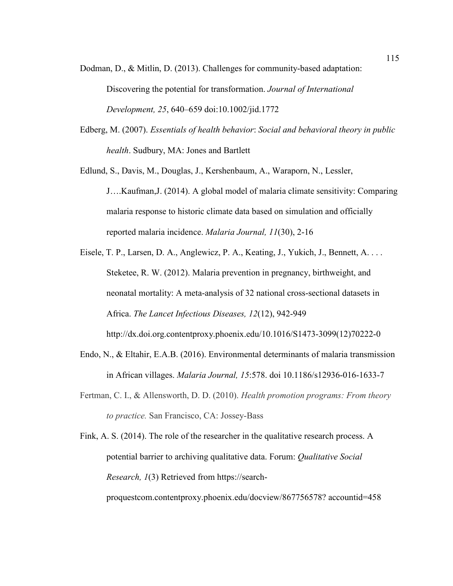- Dodman, D., & Mitlin, D. (2013). Challenges for community-based adaptation: Discovering the potential for transformation. *Journal of International Development, 25*, 640–659 doi:10.1002/jid.1772
- Edberg, M. (2007). *Essentials of health behavior*: *Social and behavioral theory in public health*. Sudbury, MA: Jones and Bartlett
- Edlund, S., Davis, M., Douglas, J., Kershenbaum, A., Waraporn, N., Lessler,

J….Kaufman,J. (2014). A global model of malaria climate sensitivity: Comparing malaria response to historic climate data based on simulation and officially reported malaria incidence. *Malaria Journal, 11*(30), 2-16

- Eisele, T. P., Larsen, D. A., Anglewicz, P. A., Keating, J., Yukich, J., Bennett, A. . . . Steketee, R. W. (2012). Malaria prevention in pregnancy, birthweight, and neonatal mortality: A meta-analysis of 32 national cross-sectional datasets in Africa. *The Lancet Infectious Diseases, 12*(12), 942-949 http://dx.doi.org.contentproxy.phoenix.edu/10.1016/S1473-3099(12)70222-0
- Endo, N., & Eltahir, E.A.B. (2016). Environmental determinants of malaria transmission in African villages. *Malaria Journal, 15*:578. doi 10.1186/s12936-016-1633-7
- Fertman, C. I., & Allensworth, D. D. (2010). *Health promotion programs: From theory to practice.* San Francisco, CA: Jossey-Bass

Fink, A. S. (2014). The role of the researcher in the qualitative research process. A potential barrier to archiving qualitative data. Forum: *Qualitative Social Research, 1*(3) Retrieved from https://searchproquestcom.contentproxy.phoenix.edu/docview/867756578? accountid=458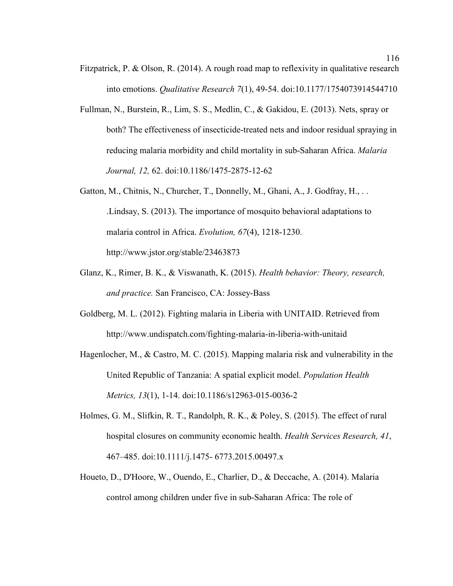- Fitzpatrick, P. & Olson, R. (2014). A rough road map to reflexivity in qualitative research into emotions. *Qualitative Research 7*(1), 49-54. doi:10.1177/1754073914544710
- Fullman, N., Burstein, R., Lim, S. S., Medlin, C., & Gakidou, E. (2013). Nets, spray or both? The effectiveness of insecticide-treated nets and indoor residual spraying in reducing malaria morbidity and child mortality in sub-Saharan Africa. *Malaria Journal, 12,* 62. doi:10.1186/1475-2875-12-62
- Gatton, M., Chitnis, N., Churcher, T., Donnelly, M., Ghani, A., J. Godfray, H., . . .Lindsay, S. (2013). The importance of mosquito behavioral adaptations to malaria control in Africa. *Evolution, 67*(4), 1218-1230. http://www.jstor.org/stable/23463873
- Glanz, K., Rimer, B. K., & Viswanath, K. (2015). *Health behavior: Theory, research, and practice.* San Francisco, CA: Jossey-Bass
- Goldberg, M. L. (2012). Fighting malaria in Liberia with UNITAID. Retrieved from http://www.undispatch.com/fighting-malaria-in-liberia-with-unitaid
- Hagenlocher, M., & Castro, M. C. (2015). Mapping malaria risk and vulnerability in the United Republic of Tanzania: A spatial explicit model. *Population Health Metrics, 13*(1), 1-14. doi:10.1186/s12963-015-0036-2
- Holmes, G. M., Slifkin, R. T., Randolph, R. K., & Poley, S. (2015). The effect of rural hospital closures on community economic health. *Health Services Research, 41*, 467–485. doi:10.1111/j.1475- 6773.2015.00497.x
- Houeto, D., D'Hoore, W., Ouendo, E., Charlier, D., & Deccache, A. (2014). Malaria control among children under five in sub-Saharan Africa: The role of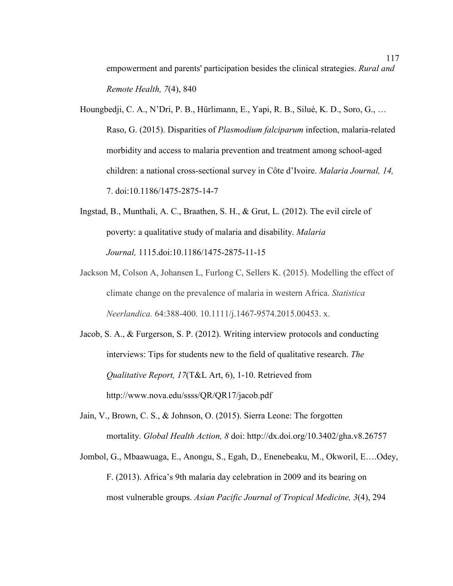empowerment and parents' participation besides the clinical strategies. *Rural and Remote Health, 7*(4), 840

- Houngbedji, C. A., N'Dri, P. B., Hürlimann, E., Yapi, R. B., Silué, K. D., Soro, G., … Raso, G. (2015). Disparities of *Plasmodium falciparum* infection, malaria-related morbidity and access to malaria prevention and treatment among school-aged children: a national cross-sectional survey in Côte d'Ivoire. *Malaria Journal, 14,*  7. doi:10.1186/1475-2875-14-7
- Ingstad, B., Munthali, A. C., Braathen, S. H., & Grut, L. (2012). The evil circle of poverty: a qualitative study of malaria and disability. *Malaria Journal,* 1115.doi:10.1186/1475-2875-11-15
- Jackson M, Colson A, Johansen L, Furlong C, Sellers K. (2015). Modelling the effect of climate change on the prevalence of malaria in western Africa. *Statistica Neerlandica.* 64:388-400. 10.1111/j.1467-9574.2015.00453. x.
- Jacob, S. A., & Furgerson, S. P. (2012). Writing interview protocols and conducting interviews: Tips for students new to the field of qualitative research. *The Qualitative Report, 17*(T&L Art, 6), 1-10. Retrieved from http://www.nova.edu/ssss/QR/QR17/jacob.pdf
- Jain, V., Brown, C. S., & Johnson, O. (2015). Sierra Leone: The forgotten mortality. *Global Health Action, 8* doi: http://dx.doi.org/10.3402/gha.v8.26757
- Jombol, G., Mbaawuaga, E., Anongu, S., Egah, D., Enenebeaku, M., Okworil, E….Odey, F. (2013). Africa's 9th malaria day celebration in 2009 and its bearing on most vulnerable groups. *Asian Pacific Journal of Tropical Medicine, 3*(4), 294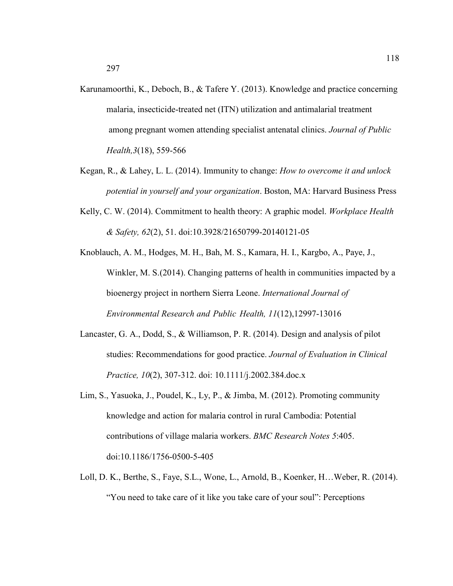- Karunamoorthi, K., Deboch, B., & Tafere Y. (2013). Knowledge and practice concerning malaria, insecticide-treated net (ITN) utilization and antimalarial treatment among pregnant women attending specialist antenatal clinics. *Journal of Public Health,3*(18), 559-566
- Kegan, R., & Lahey, L. L. (2014). Immunity to change: *How to overcome it and unlock potential in yourself and your organization*. Boston, MA: Harvard Business Press
- Kelly, C. W. (2014). Commitment to health theory: A graphic model. *Workplace Health & Safety, 62*(2), 51. doi:10.3928/21650799-20140121-05
- Knoblauch, A. M., Hodges, M. H., Bah, M. S., Kamara, H. I., Kargbo, A., Paye, J., Winkler, M. S. (2014). Changing patterns of health in communities impacted by a bioenergy project in northern Sierra Leone. *International Journal of Environmental Research and Public Health, 11*(12),12997-13016
- Lancaster, G. A., Dodd, S., & Williamson, P. R. (2014). Design and analysis of pilot studies: Recommendations for good practice. *Journal of Evaluation in Clinical Practice, 10*(2), 307-312. doi: 10.1111/j.2002.384.doc.x
- Lim, S., Yasuoka, J., Poudel, K., Ly, P., & Jimba, M. (2012). Promoting community knowledge and action for malaria control in rural Cambodia: Potential contributions of village malaria workers. *BMC Research Notes 5*:405. doi:10.1186/1756-0500-5-405
- Loll, D. K., Berthe, S., Faye, S.L., Wone, L., Arnold, B., Koenker, H…Weber, R. (2014). "You need to take care of it like you take care of your soul": Perceptions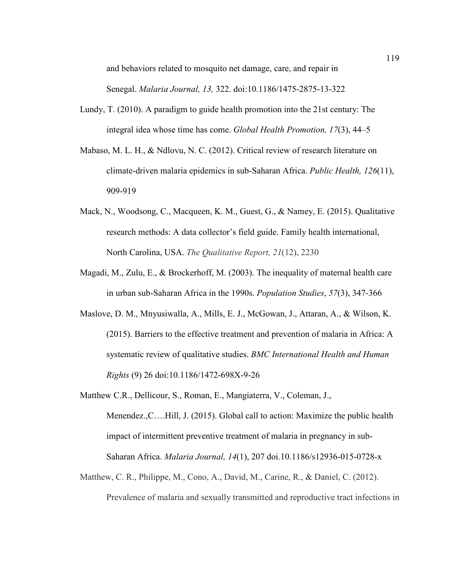and behaviors related to mosquito net damage, care, and repair in Senegal. *Malaria Journal, 13,* 322. doi:10.1186/1475-2875-13-322

- Lundy, T. (2010). A paradigm to guide health promotion into the 21st century: The integral idea whose time has come. *Global Health Promotion, 17*(3), 44–5
- Mabaso, M. L. H., & Ndlovu, N. C. (2012). Critical review of research literature on climate-driven malaria epidemics in sub-Saharan Africa. *Public Health, 126*(11), 909-919
- Mack, N., Woodsong, C., Macqueen, K. M., Guest, G., & Namey, E. (2015). Qualitative research methods: A data collector's field guide. Family health international, North Carolina, USA. *The Qualitative Report, 21*(12), 2230
- Magadi, M., Zulu, E., & Brockerhoff, M. (2003). The inequality of maternal health care in urban sub-Saharan Africa in the 1990s. *Population Studies*, *57*(3), 347-366
- Maslove, D. M., Mnyusiwalla, A., Mills, E. J., McGowan, J., Attaran, A., & Wilson, K. (2015). Barriers to the effective treatment and prevention of malaria in Africa: A systematic review of qualitative studies. *BMC International Health and Human Rights* (9) 26 doi:10.1186/1472-698X-9-26
- Matthew C.R., Dellicour, S., Roman, E., Mangiaterra, V., Coleman, J., Menendez.,C….Hill, J. (2015). Global call to action: Maximize the public health impact of intermittent preventive treatment of malaria in pregnancy in sub-Saharan Africa. *Malaria Journal, 14*(1), 207 doi.10.1186/s12936-015-0728-x
- Matthew, C. R., Philippe, M., Cono, A., David, M., Carine, R., & Daniel, C. (2012). Prevalence of malaria and sexually transmitted and reproductive tract infections in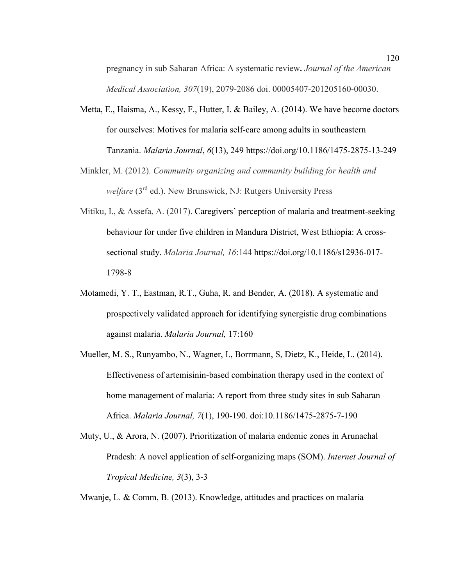pregnancy in sub Saharan Africa: A systematic review**.** *Journal of the American Medical Association, 307*(19), 2079-2086 doi. 00005407-201205160-00030.

- Metta, E., Haisma, A., Kessy, F., Hutter, I. & Bailey, A. (2014). We have become doctors for ourselves: Motives for malaria self-care among adults in southeastern Tanzania. *Malaria Journal*, *6*(13), 249 https://doi.org/10.1186/1475-2875-13-249
- Minkler, M. (2012). *Community organizing and community building for health and welfare* (3rd ed.). New Brunswick, NJ: Rutgers University Press
- Mitiku, I., & Assefa, A. (2017). Caregivers' perception of malaria and treatment-seeking behaviour for under five children in Mandura District, West Ethiopia: A crosssectional study. *Malaria Journal, 16*:144 https://doi.org/10.1186/s12936-017- 1798-8
- Motamedi, Y. T., Eastman, R.T., Guha, R. and Bender, A. (2018). A systematic and prospectively validated approach for identifying synergistic drug combinations against malaria. *Malaria Journal,* 17:160
- Mueller, M. S., Runyambo, N., Wagner, I., Borrmann, S, Dietz, K., Heide, L. (2014). Effectiveness of artemisinin-based combination therapy used in the context of home management of malaria: A report from three study sites in sub Saharan Africa. *Malaria Journal, 7*(1), 190-190. doi:10.1186/1475-2875-7-190
- Muty, U., & Arora, N. (2007). Prioritization of malaria endemic zones in Arunachal Pradesh: A novel application of self-organizing maps (SOM). *Internet Journal of Tropical Medicine, 3*(3), 3-3

Mwanje, L. & Comm, B. (2013). Knowledge, attitudes and practices on malaria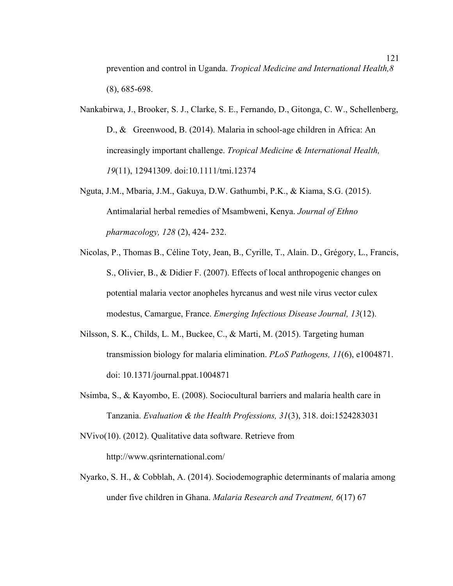prevention and control in Uganda. *Tropical Medicine and International Health,8*  (8), 685-698.

- Nankabirwa, J., Brooker, S. J., Clarke, S. E., Fernando, D., Gitonga, C. W., Schellenberg, D., & Greenwood, B. (2014). Malaria in school-age children in Africa: An increasingly important challenge. *Tropical Medicine & International Health, 19*(11), 12941309. doi:10.1111/tmi.12374
- Nguta, J.M., Mbaria, J.M., Gakuya, D.W. Gathumbi, P.K., & Kiama, S.G. (2015). Antimalarial herbal remedies of Msambweni, Kenya. *Journal of Ethno pharmacology, 128* (2), 424- 232.
- Nicolas, P., Thomas B., Céline Toty, Jean, B., Cyrille, T., Alain. D., Grégory, L., Francis, S., Olivier, B., & Didier F. (2007). Effects of local anthropogenic changes on potential malaria vector anopheles hyrcanus and west nile virus vector culex modestus, Camargue, France. *Emerging Infectious Disease Journal, 13*(12).
- Nilsson, S. K., Childs, L. M., Buckee, C., & Marti, M. (2015). Targeting human transmission biology for malaria elimination. *PLoS Pathogens, 11*(6), e1004871. doi: 10.1371/journal.ppat.1004871
- Nsimba, S., & Kayombo, E. (2008). Sociocultural barriers and malaria health care in Tanzania. *Evaluation & the Health Professions, 31*(3), 318. doi:1524283031
- NVivo(10). (2012). Qualitative data software. Retrieve from http://www.qsrinternational.com/
- Nyarko, S. H., & Cobblah, A. (2014). Sociodemographic determinants of malaria among under five children in Ghana. *Malaria Research and Treatment, 6*(17) 67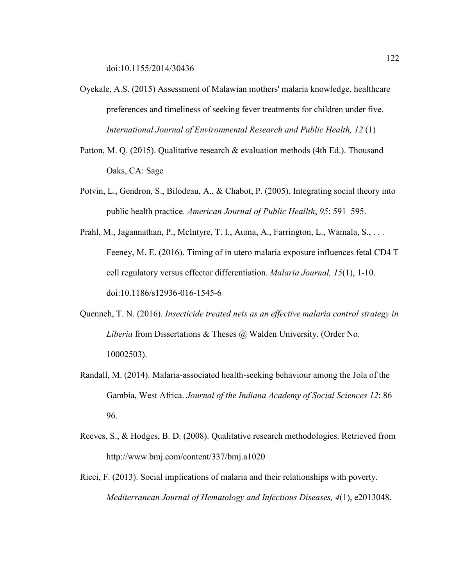- Oyekale, A.S. (2015) Assessment of Malawian mothers' malaria knowledge, healthcare preferences and timeliness of seeking fever treatments for children under five. *International Journal of Environmental Research and Public Health, 12* (1)
- Patton, M. Q. (2015). Qualitative research & evaluation methods (4th Ed.). Thousand Oaks, CA: Sage
- Potvin, L., Gendron, S., Bilodeau, A., & Chabot, P. (2005). Integrating social theory into public health practice. *American Journal of Public Heallth*, *95*: 591–595.

Prahl, M., Jagannathan, P., McIntyre, T. I., Auma, A., Farrington, L., Wamala, S., ... Feeney, M. E. (2016). Timing of in utero malaria exposure influences fetal CD4 T cell regulatory versus effector differentiation. *Malaria Journal, 15*(1), 1-10. doi:10.1186/s12936-016-1545-6

- Quenneh, T. N. (2016). *Insecticide treated nets as an effective malaria control strategy in Liberia* from Dissertations & Theses @ Walden University. (Order No. 10002503).
- Randall, M. (2014). Malaria-associated health-seeking behaviour among the Jola of the Gambia, West Africa. *Journal of the Indiana Academy of Social Sciences 12*: 86– 96.
- Reeves, S., & Hodges, B. D. (2008). Qualitative research methodologies. Retrieved from http://www.bmj.com/content/337/bmj.a1020
- Ricci, F. (2013). Social implications of malaria and their relationships with poverty. *Mediterranean Journal of Hematology and Infectious Diseases, 4*(1), e2013048.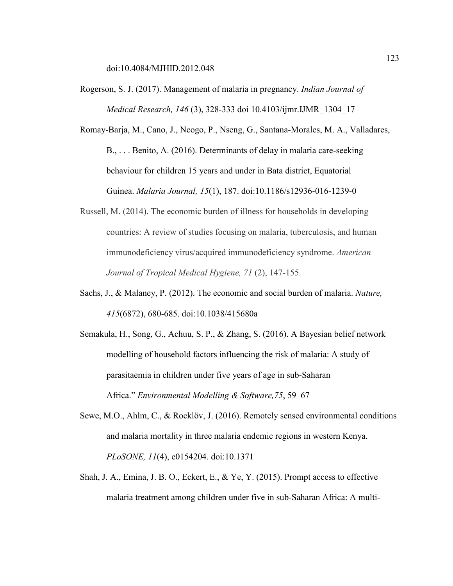doi:10.4084/MJHID.2012.048

Rogerson, S. J. (2017). Management of malaria in pregnancy. *Indian Journal of Medical Research, 146* (3), 328-333 doi 10.4103/ijmr.IJMR\_1304\_17

Romay-Barja, M., Cano, J., Ncogo, P., Nseng, G., Santana-Morales, M. A., Valladares, B., . . . Benito, A. (2016). Determinants of delay in malaria care-seeking behaviour for children 15 years and under in Bata district, Equatorial Guinea. *Malaria Journal, 15*(1), 187. doi:10.1186/s12936-016-1239-0

- Russell, M. (2014). The economic burden of illness for households in developing countries: A review of studies focusing on malaria, tuberculosis, and human immunodeficiency virus/acquired immunodeficiency syndrome. *American Journal of Tropical Medical Hygiene, 71* (2), 147-155.
- Sachs, J., & Malaney, P. (2012). The economic and social burden of malaria. *Nature, 415*(6872), 680-685. doi:10.1038/415680a
- Semakula, H., Song, G., Achuu, S. P., & Zhang, S. (2016). A Bayesian belief network modelling of household factors influencing the risk of malaria: A study of parasitaemia in children under five years of age in sub-Saharan Africa." *Environmental Modelling & Software,75*, 59–67
- Sewe, M.O., Ahlm, C., & Rocklöv, J. (2016). Remotely sensed environmental conditions and malaria mortality in three malaria endemic regions in western Kenya. *PLoSONE, 11*(4), e0154204. doi:10.1371
- Shah, J. A., Emina, J. B. O., Eckert, E., & Ye, Y. (2015). Prompt access to effective malaria treatment among children under five in sub-Saharan Africa: A multi-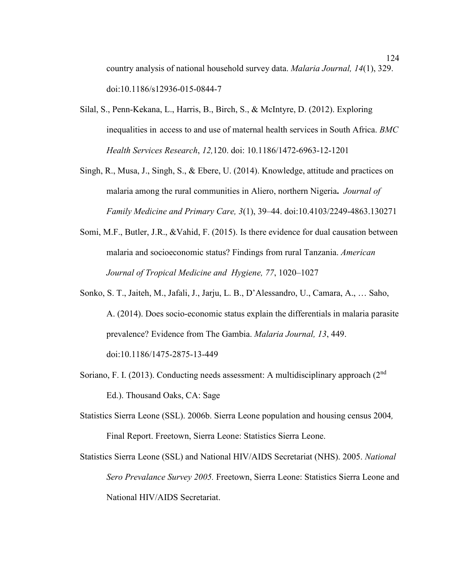country analysis of national household survey data. *Malaria Journal, 14*(1), 329. doi:10.1186/s12936-015-0844-7

- Silal, S., Penn-Kekana, L., Harris, B., Birch, S., & McIntyre, D. (2012). Exploring inequalities in access to and use of maternal health services in South Africa. *BMC Health Services Research*, *12,*120. doi: 10.1186/1472-6963-12-1201
- Singh, R., Musa, J., Singh, S., & Ebere, U. (2014). Knowledge, attitude and practices on malaria among the rural communities in Aliero, northern Nigeria**.** *Journal of Family Medicine and Primary Care, 3*(1), 39–44. doi:10.4103/2249-4863.130271
- Somi, M.F., Butler, J.R., &Vahid, F. (2015). Is there evidence for dual causation between malaria and socioeconomic status? Findings from rural Tanzania. *American Journal of Tropical Medicine and Hygiene, 77*, 1020–1027
- Sonko, S. T., Jaiteh, M., Jafali, J., Jarju, L. B., D'Alessandro, U., Camara, A., … Saho, A. (2014). Does socio-economic status explain the differentials in malaria parasite prevalence? Evidence from The Gambia. *Malaria Journal, 13*, 449. doi:10.1186/1475-2875-13-449
- Soriano, F. I. (2013). Conducting needs assessment: A multidisciplinary approach  $(2^{nd}$ Ed.). Thousand Oaks, CA: Sage
- Statistics Sierra Leone (SSL). 2006b. Sierra Leone population and housing census 2004*,*  Final Report. Freetown, Sierra Leone: Statistics Sierra Leone.

Statistics Sierra Leone (SSL) and National HIV/AIDS Secretariat (NHS). 2005. *National Sero Prevalance Survey 2005.* Freetown, Sierra Leone: Statistics Sierra Leone and National HIV/AIDS Secretariat.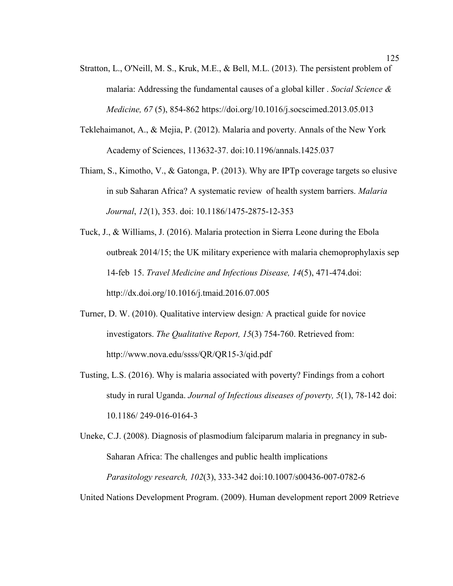- Stratton, L., O'Neill, M. S., Kruk, M.E., & Bell, M.L. (2013). The persistent problem of malaria: Addressing the fundamental causes of a global killer . *Social Science & Medicine, 67* (5), 854-862 https://doi.org/10.1016/j.socscimed.2013.05.013
- Teklehaimanot, A., & Mejia, P. (2012). Malaria and poverty. Annals of the New York Academy of Sciences, 113632-37. doi:10.1196/annals.1425.037
- Thiam, S., Kimotho, V., & Gatonga, P. (2013). Why are IPTp coverage targets so elusive in sub Saharan Africa? A systematic review of health system barriers. *Malaria Journal*, *12*(1), 353. doi: 10.1186/1475-2875-12-353
- Tuck, J., & Williams, J. (2016). Malaria protection in Sierra Leone during the Ebola outbreak 2014/15; the UK military experience with malaria chemoprophylaxis sep 14-feb 15. *Travel Medicine and Infectious Disease, 14*(5), 471-474.doi: http://dx.doi.org/10.1016/j.tmaid.2016.07.005
- Turner, D. W. (2010). Qualitative interview design*:* A practical guide for novice investigators. *The Qualitative Report, 15*(3) 754-760. Retrieved from: http://www.nova.edu/ssss/QR/QR15-3/qid.pdf
- Tusting, L.S. (2016). Why is malaria associated with poverty? Findings from a cohort study in rural Uganda. *Journal of Infectious diseases of poverty, 5*(1), 78-142 doi: 10.1186/ 249-016-0164-3
- Uneke, C.J. (2008). Diagnosis of plasmodium falciparum malaria in pregnancy in sub-Saharan Africa: The challenges and public health implications *Parasitology research, 102*(3), 333-342 doi:10.1007/s00436-007-0782-6

United Nations Development Program. (2009). Human development report 2009 Retrieve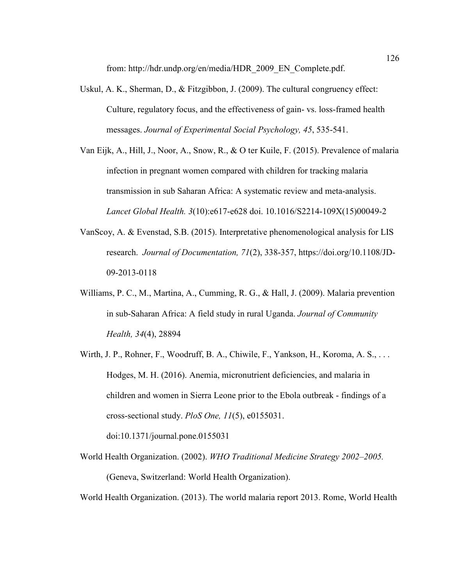from: http://hdr.undp.org/en/media/HDR\_2009\_EN\_Complete.pdf.

- Uskul, A. K., Sherman, D., & Fitzgibbon, J. (2009). The cultural congruency effect: Culture, regulatory focus, and the effectiveness of gain- vs. loss-framed health messages. *Journal of Experimental Social Psychology, 45*, 535-541.
- Van Eijk, A., Hill, J., Noor, A., Snow, R., & O ter Kuile, F. (2015). Prevalence of malaria infection in pregnant women compared with children for tracking malaria transmission in sub Saharan Africa: A systematic review and meta-analysis. *Lancet Global Health. 3*(10):e617-e628 doi. 10.1016/S2214-109X(15)00049-2
- VanScoy, A. & Evenstad, S.B. (2015). Interpretative phenomenological analysis for LIS research. *Journal of Documentation, 71*(2), 338-357, https://doi.org/10.1108/JD-09-2013-0118
- Williams, P. C., M., Martina, A., Cumming, R. G., & Hall, J. (2009). Malaria prevention in sub-Saharan Africa: A field study in rural Uganda. *Journal of Community Health, 34*(4), 28894
- Wirth, J. P., Rohner, F., Woodruff, B. A., Chiwile, F., Yankson, H., Koroma, A. S., ... Hodges, M. H. (2016). Anemia, micronutrient deficiencies, and malaria in children and women in Sierra Leone prior to the Ebola outbreak - findings of a cross-sectional study. *PloS One, 11*(5), e0155031.

doi:10.1371/journal.pone.0155031

World Health Organization. (2002). *WHO Traditional Medicine Strategy 2002–2005.*  (Geneva, Switzerland: World Health Organization).

World Health Organization. (2013). The world malaria report 2013. Rome, World Health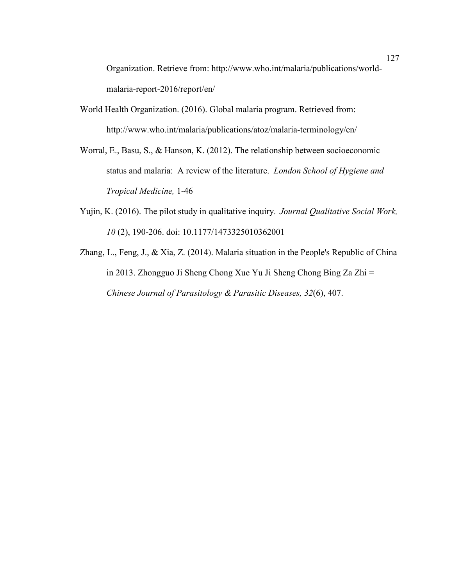Organization. Retrieve from: http://www.who.int/malaria/publications/worldmalaria-report-2016/report/en/

- World Health Organization. (2016). Global malaria program. Retrieved from: http://www.who.int/malaria/publications/atoz/malaria-terminology/en/
- Worral, E., Basu, S., & Hanson, K. (2012). The relationship between socioeconomic status and malaria: A review of the literature. *London School of Hygiene and Tropical Medicine,* 1-46
- Yujin, K. (2016). The pilot study in qualitative inquiry.*Journal Qualitative Social Work, 10* (2), 190-206. doi: 10.1177/1473325010362001
- Zhang, L., Feng, J., & Xia, Z. (2014). Malaria situation in the People's Republic of China in 2013. Zhongguo Ji Sheng Chong Xue Yu Ji Sheng Chong Bing Za Zhi = *Chinese Journal of Parasitology & Parasitic Diseases, 32*(6), 407.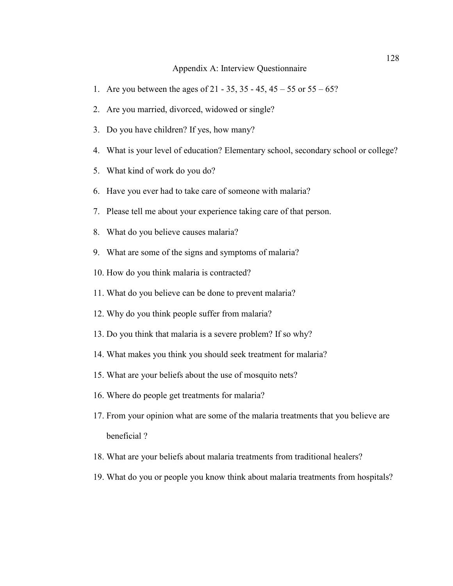#### Appendix A: Interview Questionnaire

- 1. Are you between the ages of 21 35, 35 45, 45 55 or 55 65?
- 2. Are you married, divorced, widowed or single?
- 3. Do you have children? If yes, how many?
- 4. What is your level of education? Elementary school, secondary school or college?
- 5. What kind of work do you do?
- 6. Have you ever had to take care of someone with malaria?
- 7. Please tell me about your experience taking care of that person.
- 8. What do you believe causes malaria?
- 9. What are some of the signs and symptoms of malaria?
- 10. How do you think malaria is contracted?
- 11. What do you believe can be done to prevent malaria?
- 12. Why do you think people suffer from malaria?
- 13. Do you think that malaria is a severe problem? If so why?
- 14. What makes you think you should seek treatment for malaria?
- 15. What are your beliefs about the use of mosquito nets?
- 16. Where do people get treatments for malaria?
- 17. From your opinion what are some of the malaria treatments that you believe are beneficial ?
- 18. What are your beliefs about malaria treatments from traditional healers?
- 19. What do you or people you know think about malaria treatments from hospitals?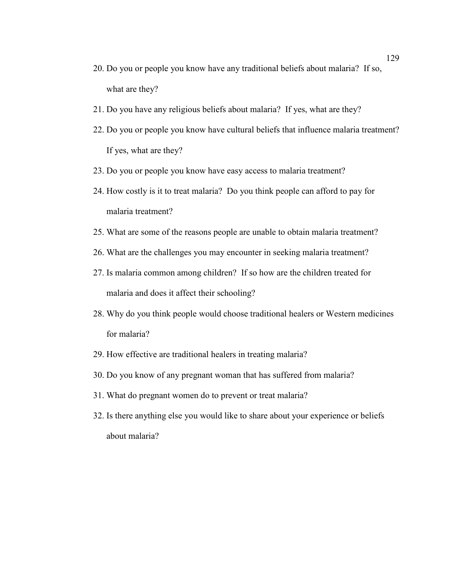- 20. Do you or people you know have any traditional beliefs about malaria? If so, what are they?
- 21. Do you have any religious beliefs about malaria? If yes, what are they?
- 22. Do you or people you know have cultural beliefs that influence malaria treatment? If yes, what are they?
- 23. Do you or people you know have easy access to malaria treatment?
- 24. How costly is it to treat malaria? Do you think people can afford to pay for malaria treatment?
- 25. What are some of the reasons people are unable to obtain malaria treatment?
- 26. What are the challenges you may encounter in seeking malaria treatment?
- 27. Is malaria common among children? If so how are the children treated for malaria and does it affect their schooling?
- 28. Why do you think people would choose traditional healers or Western medicines for malaria?
- 29. How effective are traditional healers in treating malaria?
- 30. Do you know of any pregnant woman that has suffered from malaria?
- 31. What do pregnant women do to prevent or treat malaria?
- 32. Is there anything else you would like to share about your experience or beliefs about malaria?